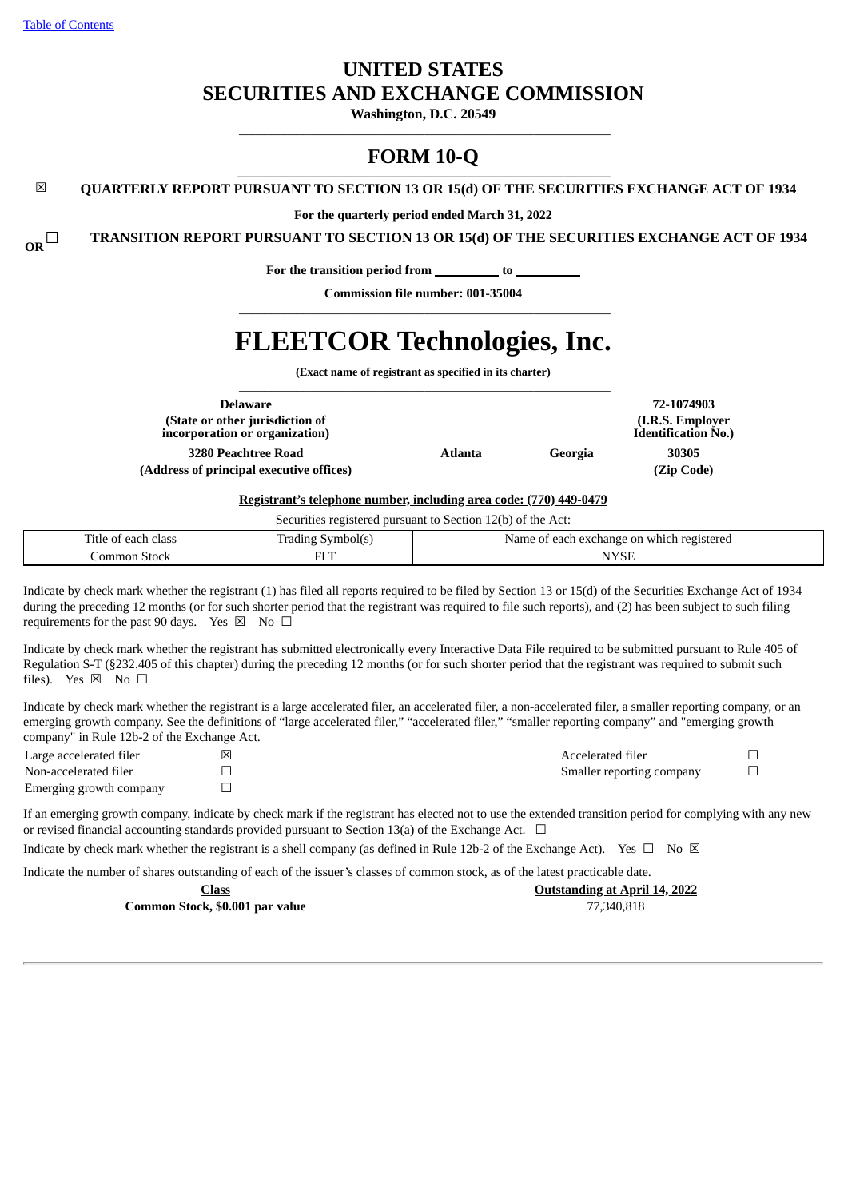## **UNITED STATES SECURITIES AND EXCHANGE COMMISSION**

**Washington, D.C. 20549** \_\_\_\_\_\_\_\_\_\_\_\_\_\_\_\_\_\_\_\_\_\_\_\_\_\_\_\_\_\_\_\_\_\_\_\_\_\_\_\_\_\_\_\_\_\_\_\_\_\_\_\_\_\_\_\_\_\_

## **FORM 10-Q**

 \_\_\_\_\_\_\_\_\_\_\_\_\_\_\_\_\_\_\_\_\_\_\_\_\_\_\_\_\_\_\_\_\_\_\_\_\_\_\_\_\_\_\_\_\_\_\_\_\_\_\_\_\_\_\_\_\_\_\_\_\_\_\_\_\_\_\_\_\_\_\_\_\_\_\_\_\_\_\_\_\_\_\_\_\_\_\_\_\_\_\_\_\_\_\_\_\_ ☒ **QUARTERLY REPORT PURSUANT TO SECTION 13 OR 15(d) OF THE SECURITIES EXCHANGE ACT OF 1934**

**For the quarterly period ended March 31, 2022**

**OR**☐ **TRANSITION REPORT PURSUANT TO SECTION <sup>13</sup> OR 15(d) OF THE SECURITIES EXCHANGE ACT OF <sup>1934</sup>**

**For the transition period from to**

**Commission file number: 001-35004**

# **FLEETCOR Technologies, Inc.**

\_\_\_\_\_\_\_\_\_\_\_\_\_\_\_\_\_\_\_\_\_\_\_\_\_\_\_\_\_\_\_\_\_\_\_\_\_\_\_\_\_\_\_\_\_\_\_\_\_\_\_\_\_\_\_\_\_\_

**(Exact name of registrant as specified in its charter)**

|         |         | 72-1074903                              |
|---------|---------|-----------------------------------------|
|         |         | (I.R.S. Employer<br>Identification No.) |
| Atlanta | Georgia | 30305<br>(Zip Code)                     |
|         |         |                                         |

## **Registrant's telephone number, including area code: (770) 449-0479**

Securities registered pursuant to Section 12(b) of the Act:

| $-$<br>Litle<br>class<br>- -<br>ea. | ---<br>۱۵۱۲.<br>, rading i | Name<br>registered<br>on<br>$\alpha v$<br>which<br>. hange<br>ו ה ה<br>∙acπ<br>$\mathbf{u}$ |
|-------------------------------------|----------------------------|---------------------------------------------------------------------------------------------|
| ommon<br>Stock                      | T<br>1 U L                 | $\cdots$<br>ندن د                                                                           |

Indicate by check mark whether the registrant (1) has filed all reports required to be filed by Section 13 or 15(d) of the Securities Exchange Act of 1934 during the preceding 12 months (or for such shorter period that the registrant was required to file such reports), and (2) has been subject to such filing requirements for the past 90 days. Yes  $\boxtimes$  No  $\Box$ 

Indicate by check mark whether the registrant has submitted electronically every Interactive Data File required to be submitted pursuant to Rule 405 of Regulation S-T (§232.405 of this chapter) during the preceding 12 months (or for such shorter period that the registrant was required to submit such files). Yes  $\boxtimes$  No  $\square$ 

Indicate by check mark whether the registrant is a large accelerated filer, an accelerated filer, a non-accelerated filer, a smaller reporting company, or an emerging growth company. See the definitions of "large accelerated filer," "accelerated filer," "smaller reporting company" and "emerging growth company" in Rule 12b-2 of the Exchange Act.

| Large accelerated filer | ×l | Accelerated filer         |  |
|-------------------------|----|---------------------------|--|
| Non-accelerated filer   |    | Smaller reporting company |  |
| Emerging growth company |    |                           |  |

If an emerging growth company, indicate by check mark if the registrant has elected not to use the extended transition period for complying with any new or revised financial accounting standards provided pursuant to Section 13(a) of the Exchange Act.  $\Box$ 

Indicate by check mark whether the registrant is a shell company (as defined in Rule 12b-2 of the Exchange Act). Yes  $\Box$  No  $\boxtimes$ 

<span id="page-0-0"></span>Indicate the number of shares outstanding of each of the issuer's classes of common stock, as of the latest practicable date.

| Class                           | <b>Outstanding at April 14, 2022</b> |
|---------------------------------|--------------------------------------|
| Common Stock, \$0.001 par value | 77.340.818                           |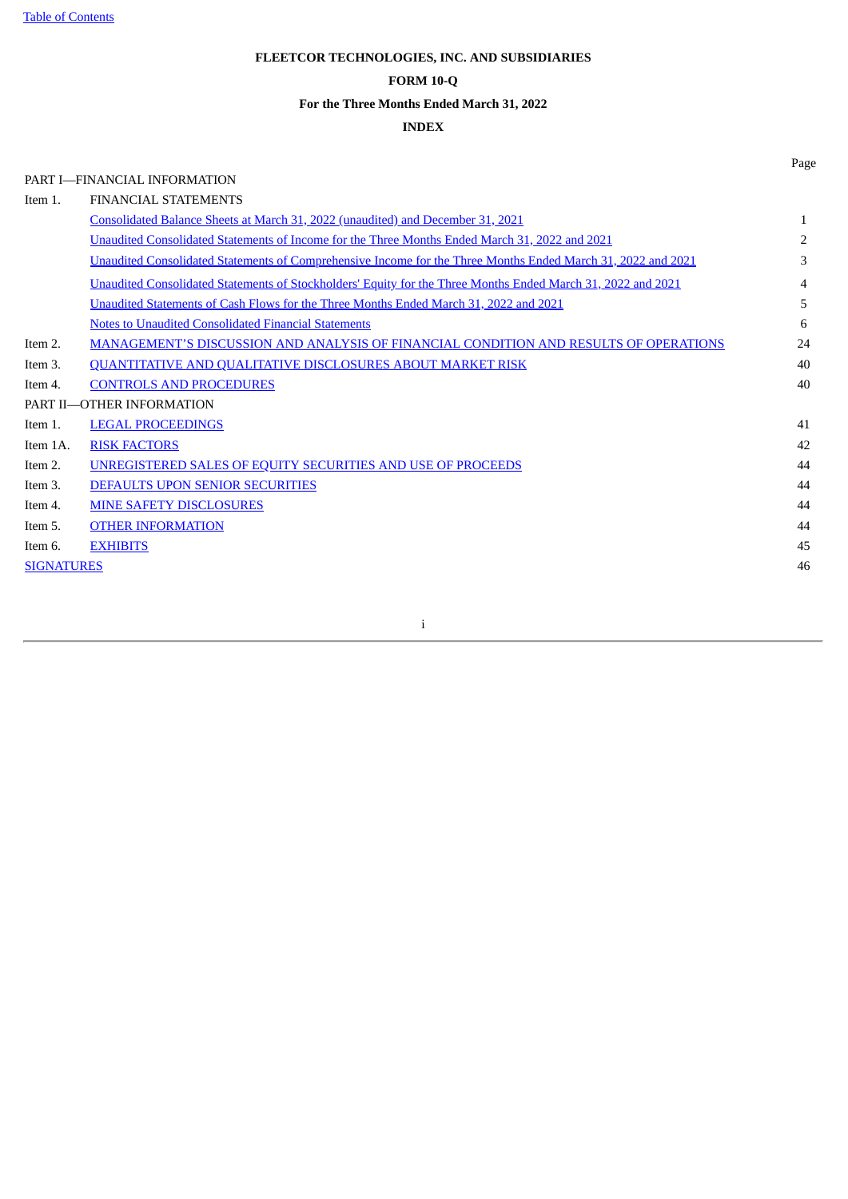## **FLEETCOR TECHNOLOGIES, INC. AND SUBSIDIARIES**

## **FORM 10-Q**

## **For the Three Months Ended March 31, 2022**

## **INDEX**

## Page PART I—FINANCIAL INFORMATION Item 1. FINANCIAL [STATEMENTS](#page-2-0) [Consolidated](#page-2-1) Balance Sheets at March 31, 2022 (unaudited) and December 31, 2021 [1](#page-2-1) Unaudited [Consolidated](#page-2-2) Statements of Income for the Three Months Ended March 31, 2022 and 2021 [2](#page-2-2) Unaudited Consolidated Statements of [Comprehensive](#page-3-0) Income for the Three Months Ended March 31, 2022 and 2021 [3](#page-3-0) Unaudited Consolidated Statements of [Stockholders'](#page-4-0) Equity for the Three Months Ended March 31, 2022 and 2021 [4](#page-4-0) Unaudited [Statements](#page-5-0) of Cash Flows for the Three Months Ended March 31, 2022 and 2021 [5](#page-5-0) Notes to Unaudited [Consolidated](#page-6-0) Financial Statements [6](#page-6-0) Item 2. [MANAGEMENT'S](#page-24-0) DISCUSSION AND ANALYSIS OF FINANCIAL CONDITION AND RESULTS OF OPERATIONS [24](#page-24-0) Item 3. [QUANTITATIVE](#page-41-0) AND QUALITATIVE DISCLOSURES ABOUT MARKET RISK [40](#page-41-0) Item 4. CONTROLS AND [PROCEDURES](#page-41-0) [40](#page-41-1) PART II—OTHER INFORMATION Item 1. LEGAL [PROCEEDINGS](#page-42-0) [41](#page-42-0) Item 1A. RISK [FACTORS](#page-42-1) [42](#page-42-1) Item 2. [UNREGISTERED](#page-44-0) SALES OF EQUITY SECURITIES AND USE OF PROCEEDS [44](#page-44-0) Item 3. DEFAULTS UPON SENIOR [SECURITIES](#page-45-0) [44](#page-45-0) Item 4. MINE SAFETY [DISCLOSURES](#page-45-1) [44](#page-45-1) Item 5. OTHER [INFORMATION](#page-45-2) [44](#page-45-2) Item 6. [EXHIBITS](#page-45-3) [45](#page-45-3) signatures and the set of the set of the set of the set of the set of the set of the set of the set of the set of the set of the set of the set of the set of the set of the set of the set of the set of the set of the set o

i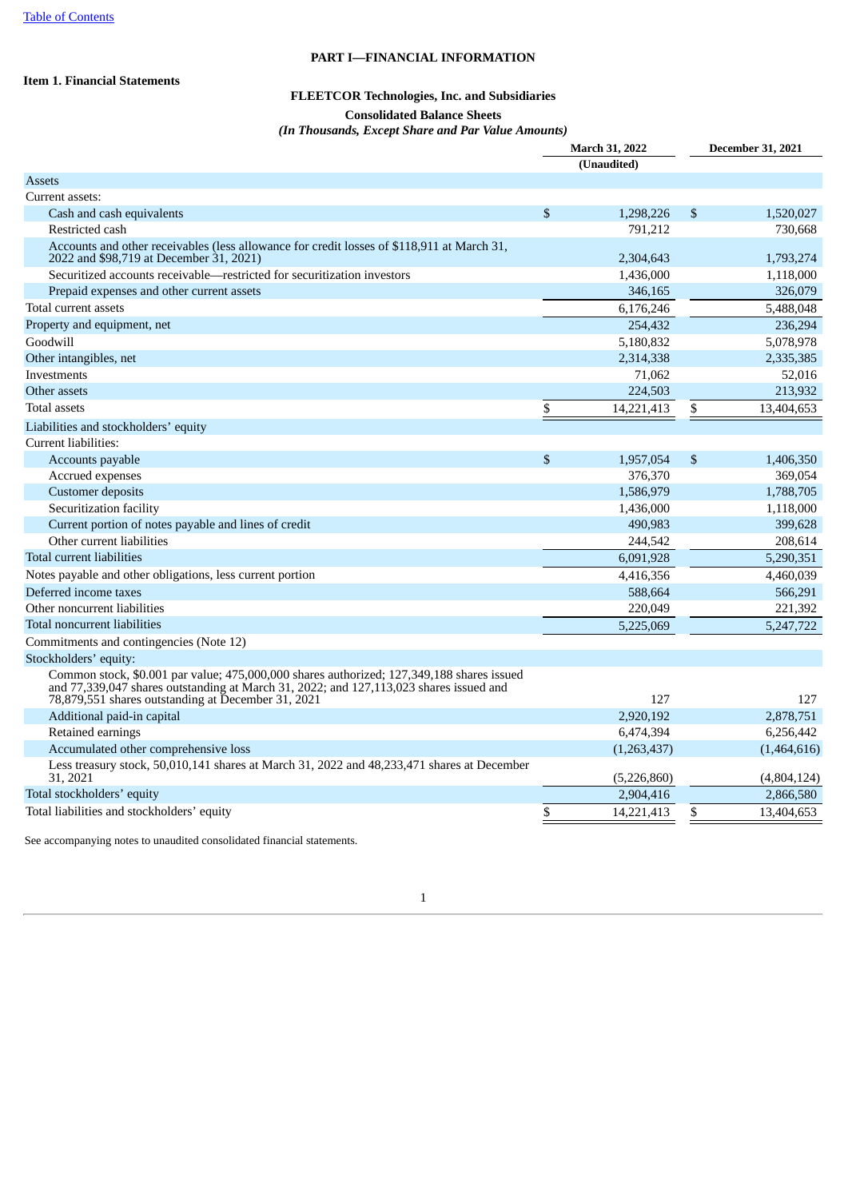## **PART I—FINANCIAL INFORMATION**

## <span id="page-2-1"></span><span id="page-2-0"></span>**Item 1. Financial Statements**

## **FLEETCOR Technologies, Inc. and Subsidiaries**

**Consolidated Balance Sheets**

## *(In Thousands, Except Share and Par Value Amounts)*

<span id="page-2-2"></span>

|                                                                                                                                                                                                                                           |              | March 31, 2022 | <b>December 31, 2021</b> |             |  |
|-------------------------------------------------------------------------------------------------------------------------------------------------------------------------------------------------------------------------------------------|--------------|----------------|--------------------------|-------------|--|
|                                                                                                                                                                                                                                           |              | (Unaudited)    |                          |             |  |
| <b>Assets</b>                                                                                                                                                                                                                             |              |                |                          |             |  |
| Current assets:                                                                                                                                                                                                                           |              |                |                          |             |  |
| Cash and cash equivalents                                                                                                                                                                                                                 | \$           | 1,298,226      | \$                       | 1,520,027   |  |
| Restricted cash                                                                                                                                                                                                                           |              | 791,212        |                          | 730,668     |  |
| Accounts and other receivables (less allowance for credit losses of \$118,911 at March 31,<br>2022 and \$98,719 at December 31, 2021)                                                                                                     |              | 2,304,643      |                          | 1,793,274   |  |
| Securitized accounts receivable-restricted for securitization investors                                                                                                                                                                   |              | 1,436,000      |                          | 1,118,000   |  |
| Prepaid expenses and other current assets                                                                                                                                                                                                 |              | 346,165        |                          | 326,079     |  |
| Total current assets                                                                                                                                                                                                                      |              | 6,176,246      |                          | 5,488,048   |  |
| Property and equipment, net                                                                                                                                                                                                               |              | 254,432        |                          | 236,294     |  |
| Goodwill                                                                                                                                                                                                                                  |              | 5,180,832      |                          | 5,078,978   |  |
| Other intangibles, net                                                                                                                                                                                                                    |              | 2,314,338      |                          | 2,335,385   |  |
| Investments                                                                                                                                                                                                                               |              | 71,062         |                          | 52,016      |  |
| Other assets                                                                                                                                                                                                                              |              | 224,503        |                          | 213,932     |  |
| <b>Total assets</b>                                                                                                                                                                                                                       | \$           | 14,221,413     | \$                       | 13,404,653  |  |
| Liabilities and stockholders' equity                                                                                                                                                                                                      |              |                |                          |             |  |
| Current liabilities:                                                                                                                                                                                                                      |              |                |                          |             |  |
| Accounts payable                                                                                                                                                                                                                          | $\mathbb{S}$ | 1,957,054      | \$                       | 1,406,350   |  |
| Accrued expenses                                                                                                                                                                                                                          |              | 376,370        |                          | 369,054     |  |
| Customer deposits                                                                                                                                                                                                                         |              | 1,586,979      |                          | 1,788,705   |  |
| Securitization facility                                                                                                                                                                                                                   |              | 1,436,000      |                          | 1,118,000   |  |
| Current portion of notes payable and lines of credit                                                                                                                                                                                      |              | 490,983        |                          | 399,628     |  |
| Other current liabilities                                                                                                                                                                                                                 |              | 244,542        |                          | 208,614     |  |
| <b>Total current liabilities</b>                                                                                                                                                                                                          |              | 6,091,928      |                          | 5,290,351   |  |
| Notes payable and other obligations, less current portion                                                                                                                                                                                 |              | 4,416,356      |                          | 4,460,039   |  |
| Deferred income taxes                                                                                                                                                                                                                     |              | 588,664        |                          | 566,291     |  |
| Other noncurrent liabilities                                                                                                                                                                                                              |              | 220,049        |                          | 221,392     |  |
| Total noncurrent liabilities                                                                                                                                                                                                              |              | 5,225,069      |                          | 5,247,722   |  |
| Commitments and contingencies (Note 12)                                                                                                                                                                                                   |              |                |                          |             |  |
| Stockholders' equity:                                                                                                                                                                                                                     |              |                |                          |             |  |
| Common stock, \$0.001 par value; 475,000,000 shares authorized; 127,349,188 shares issued<br>and 77,339,047 shares outstanding at March 31, 2022; and 127,113,023 shares issued and<br>78,879,551 shares outstanding at December 31, 2021 |              | 127            |                          | 127         |  |
| Additional paid-in capital                                                                                                                                                                                                                |              | 2,920,192      |                          | 2,878,751   |  |
| Retained earnings                                                                                                                                                                                                                         |              | 6,474,394      |                          | 6,256,442   |  |
| Accumulated other comprehensive loss                                                                                                                                                                                                      |              | (1,263,437)    |                          | (1,464,616) |  |
| Less treasury stock, 50,010,141 shares at March 31, 2022 and 48,233,471 shares at December                                                                                                                                                |              |                |                          |             |  |
| 31, 2021                                                                                                                                                                                                                                  |              | (5,226,860)    |                          | (4,804,124) |  |
| Total stockholders' equity                                                                                                                                                                                                                |              | 2,904,416      |                          | 2,866,580   |  |
| Total liabilities and stockholders' equity                                                                                                                                                                                                | \$           | 14,221,413     | \$                       | 13,404,653  |  |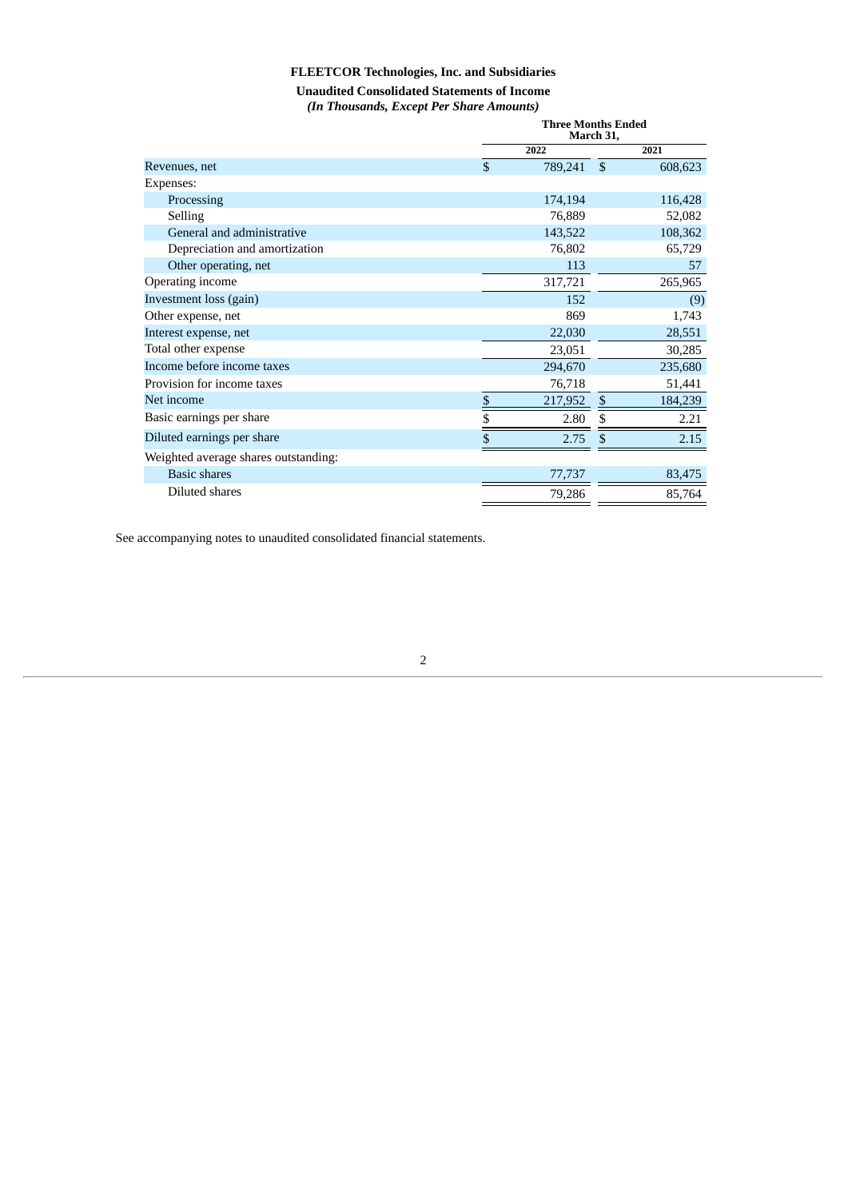## **FLEETCOR Technologies, Inc. and Subsidiaries**

## **Unaudited Consolidated Statements of Income**

*(In Thousands, Except Per Share Amounts)*

<span id="page-3-0"></span>

|                                      | <b>Three Months Ended</b><br>March 31, |         |                          |         |  |
|--------------------------------------|----------------------------------------|---------|--------------------------|---------|--|
|                                      |                                        | 2022    |                          | 2021    |  |
| Revenues, net                        | $\mathbb{S}$                           | 789,241 | $\mathfrak{S}$           | 608,623 |  |
| Expenses:                            |                                        |         |                          |         |  |
| Processing                           |                                        | 174,194 |                          | 116,428 |  |
| Selling                              |                                        | 76,889  |                          | 52,082  |  |
| General and administrative           |                                        | 143,522 |                          | 108,362 |  |
| Depreciation and amortization        |                                        | 76,802  |                          | 65,729  |  |
| Other operating, net                 |                                        | 113     |                          | 57      |  |
| Operating income                     |                                        | 317,721 |                          | 265,965 |  |
| Investment loss (gain)               |                                        | 152     |                          | (9)     |  |
| Other expense, net                   |                                        | 869     |                          | 1,743   |  |
| Interest expense, net                |                                        | 22,030  |                          | 28,551  |  |
| Total other expense                  |                                        | 23,051  |                          | 30,285  |  |
| Income before income taxes           |                                        | 294,670 |                          | 235,680 |  |
| Provision for income taxes           |                                        | 76,718  |                          | 51,441  |  |
| Net income                           | $\boldsymbol{\mathsf{S}}$              | 217,952 | $\overline{\mathcal{X}}$ | 184,239 |  |
| Basic earnings per share             | \$                                     | 2.80    | \$                       | 2.21    |  |
| Diluted earnings per share           | \$                                     | 2.75    | \$                       | 2.15    |  |
| Weighted average shares outstanding: |                                        |         |                          |         |  |
| <b>Basic shares</b>                  |                                        | 77,737  |                          | 83,475  |  |
| Diluted shares                       |                                        | 79,286  |                          | 85,764  |  |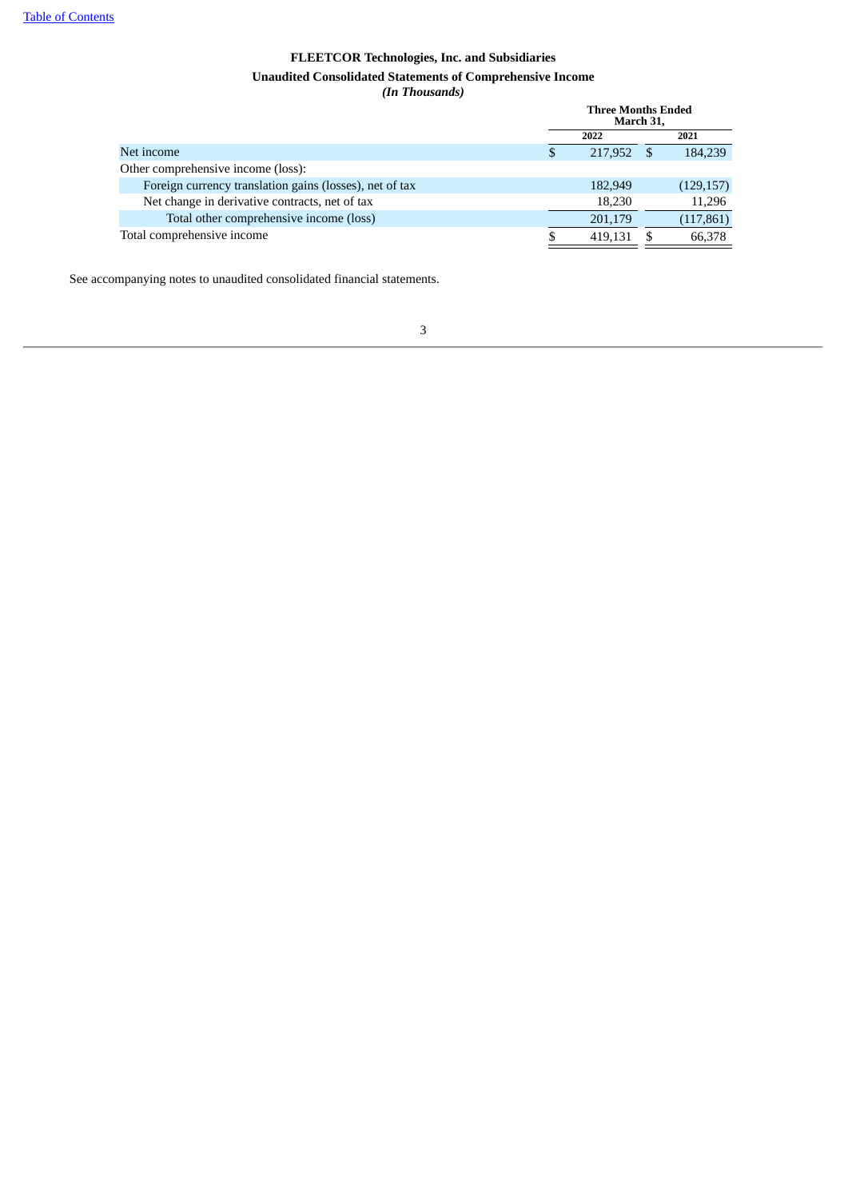## **FLEETCOR Technologies, Inc. and Subsidiaries Unaudited Consolidated Statements of Comprehensive Income** *(In Thousands)*

<span id="page-4-0"></span>

|                                                         | <b>Three Months Ended</b><br>March 31. |         |  |            |  |
|---------------------------------------------------------|----------------------------------------|---------|--|------------|--|
|                                                         |                                        | 2022    |  | 2021       |  |
| Net income                                              |                                        | 217,952 |  | 184,239    |  |
| Other comprehensive income (loss):                      |                                        |         |  |            |  |
| Foreign currency translation gains (losses), net of tax |                                        | 182,949 |  | (129, 157) |  |
| Net change in derivative contracts, net of tax          |                                        | 18,230  |  | 11,296     |  |
| Total other comprehensive income (loss)                 |                                        | 201,179 |  | (117, 861) |  |
| Total comprehensive income                              |                                        | 419.131 |  | 66,378     |  |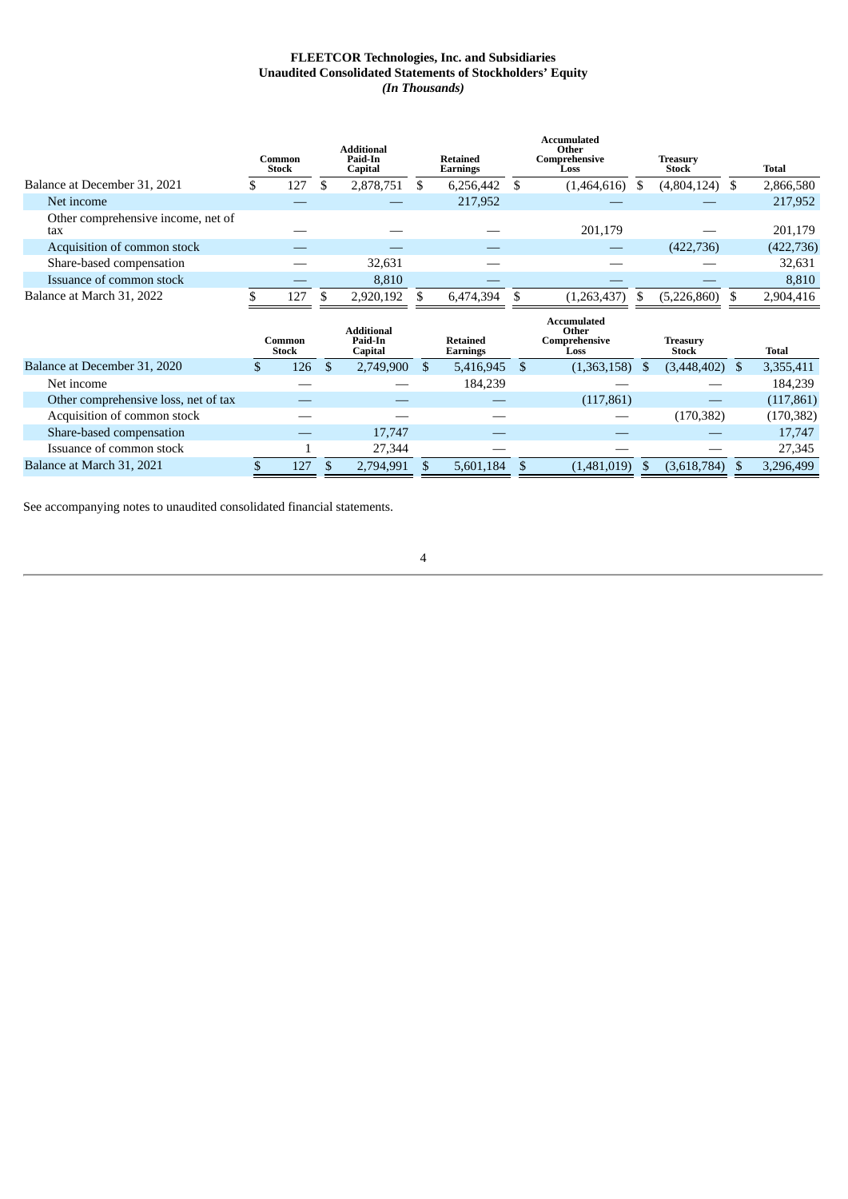## **FLEETCOR Technologies, Inc. and Subsidiaries Unaudited Consolidated Statements of Stockholders' Equity** *(In Thousands)*

|                                           | Common<br><b>Stock</b> |               | <b>Additional</b><br>Paid-In<br>Capital |     | <b>Retained</b><br>Earnings | Accumulated<br>Other<br>Comprehensive<br>Loss |               | Treasurv<br>Stock        |               | Total      |
|-------------------------------------------|------------------------|---------------|-----------------------------------------|-----|-----------------------------|-----------------------------------------------|---------------|--------------------------|---------------|------------|
| Balance at December 31, 2021              | 127                    | \$            | 2,878,751                               | \$  | 6,256,442                   | \$<br>(1,464,616)                             | S             | $(4,804,124)$ \$         |               | 2,866,580  |
| Net income                                |                        |               |                                         |     | 217,952                     |                                               |               |                          |               | 217,952    |
| Other comprehensive income, net of<br>tax |                        |               |                                         |     |                             | 201,179                                       |               |                          |               | 201,179    |
| Acquisition of common stock               |                        |               |                                         |     |                             |                                               |               | (422, 736)               |               | (422, 736) |
| Share-based compensation                  |                        |               | 32,631                                  |     |                             |                                               |               |                          |               | 32,631     |
| Issuance of common stock                  |                        |               | 8,810                                   |     |                             |                                               |               |                          |               | 8,810      |
| Balance at March 31, 2022                 | 127                    |               | 2,920,192                               |     | 6,474,394                   | (1,263,437)                                   |               | (5,226,860)              |               | 2,904,416  |
|                                           | Common<br><b>Stock</b> |               | <b>Additional</b><br>Paid-In<br>Capital |     | <b>Retained</b><br>Earnings | Accumulated<br>Other<br>Comprehensive<br>Loss |               | Treasurv<br><b>Stock</b> |               | Total      |
| Balance at December 31, 2020              | 126                    | <sup>\$</sup> | 2.749.900                               | \$. | 5,416,945                   | \$<br>(1,363,158)                             | <sup>\$</sup> | (3,448,402)              | <sup>\$</sup> | 3,355,411  |
| Net income                                |                        |               |                                         |     | 184,239                     |                                               |               |                          |               | 184,239    |
| Other comprehensive loss, net of tax      |                        |               |                                         |     |                             | (117, 861)                                    |               |                          |               | (117, 861) |

| .                           |                          |           |                          |                               |             | , , , , ,  |
|-----------------------------|--------------------------|-----------|--------------------------|-------------------------------|-------------|------------|
| Acquisition of common stock | $\overline{\phantom{a}}$ |           | $\overline{\phantom{a}}$ | $\overbrace{\phantom{12332}}$ | (170, 382)  | (170, 382) |
| Share-based compensation    |                          | 17.747    |                          |                               |             | 17.747     |
| Issuance of common stock    |                          | 27.344    |                          | __                            |             | 27,345     |
| Balance at March 31, 2021   | 127                      | 2.794.991 | 5.601.184                | (1.481.019)                   | (3.618.784) | 3.296.499  |

<span id="page-5-0"></span>See accompanying notes to unaudited consolidated financial statements.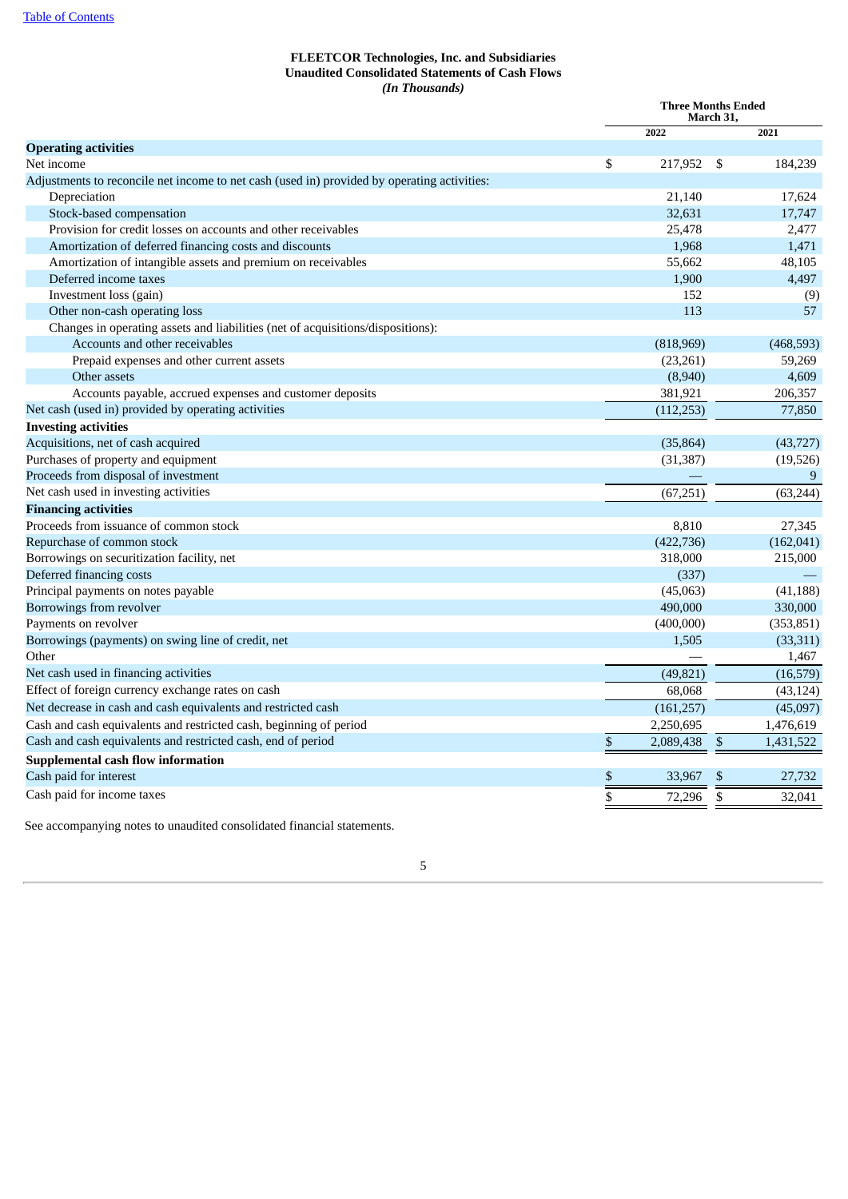#### **FLEETCOR Technologies, Inc. and Subsidiaries Unaudited Consolidated Statements of Cash Flows** *(In Thousands)*

<span id="page-6-0"></span>

|                                                                                             | <b>Three Months Ended</b> | March 31,    |            |
|---------------------------------------------------------------------------------------------|---------------------------|--------------|------------|
|                                                                                             | 2022                      |              | 2021       |
| <b>Operating activities</b>                                                                 |                           |              |            |
| Net income                                                                                  | \$<br>217,952             | \$           | 184,239    |
| Adjustments to reconcile net income to net cash (used in) provided by operating activities: |                           |              |            |
| Depreciation                                                                                | 21,140                    |              | 17,624     |
| Stock-based compensation                                                                    | 32,631                    |              | 17,747     |
| Provision for credit losses on accounts and other receivables                               | 25,478                    |              | 2,477      |
| Amortization of deferred financing costs and discounts                                      | 1,968                     |              | 1,471      |
| Amortization of intangible assets and premium on receivables                                | 55,662                    |              | 48,105     |
| Deferred income taxes                                                                       | 1,900                     |              | 4,497      |
| Investment loss (gain)                                                                      | 152                       |              | (9)        |
| Other non-cash operating loss                                                               | 113                       |              | 57         |
| Changes in operating assets and liabilities (net of acquisitions/dispositions):             |                           |              |            |
| Accounts and other receivables                                                              | (818,969)                 |              | (468, 593) |
| Prepaid expenses and other current assets                                                   | (23, 261)                 |              | 59,269     |
| Other assets                                                                                | (8,940)                   |              | 4,609      |
| Accounts payable, accrued expenses and customer deposits                                    | 381,921                   |              | 206,357    |
| Net cash (used in) provided by operating activities                                         | (112, 253)                |              | 77,850     |
| <b>Investing activities</b>                                                                 |                           |              |            |
| Acquisitions, net of cash acquired                                                          | (35, 864)                 |              | (43, 727)  |
| Purchases of property and equipment                                                         | (31, 387)                 |              | (19,526)   |
| Proceeds from disposal of investment                                                        |                           |              | 9          |
| Net cash used in investing activities                                                       | (67,251)                  |              | (63, 244)  |
| <b>Financing activities</b>                                                                 |                           |              |            |
| Proceeds from issuance of common stock                                                      | 8,810                     |              | 27,345     |
| Repurchase of common stock                                                                  | (422, 736)                |              | (162, 041) |
| Borrowings on securitization facility, net                                                  | 318,000                   |              | 215,000    |
| Deferred financing costs                                                                    | (337)                     |              |            |
| Principal payments on notes payable                                                         | (45,063)                  |              | (41, 188)  |
| Borrowings from revolver                                                                    | 490,000                   |              | 330,000    |
| Payments on revolver                                                                        | (400,000)                 |              | (353, 851) |
| Borrowings (payments) on swing line of credit, net                                          | 1,505                     |              | (33, 311)  |
| Other                                                                                       |                           |              | 1,467      |
| Net cash used in financing activities                                                       | (49, 821)                 |              | (16, 579)  |
| Effect of foreign currency exchange rates on cash                                           | 68,068                    |              | (43, 124)  |
| Net decrease in cash and cash equivalents and restricted cash                               | (161, 257)                |              | (45,097)   |
| Cash and cash equivalents and restricted cash, beginning of period                          | 2,250,695                 |              | 1,476,619  |
| Cash and cash equivalents and restricted cash, end of period                                | \$<br>2,089,438           | $\mathbb{S}$ | 1,431,522  |
| <b>Supplemental cash flow information</b>                                                   |                           |              |            |
| Cash paid for interest                                                                      | \$<br>33,967              | \$           | 27,732     |
|                                                                                             |                           |              |            |
| Cash paid for income taxes                                                                  | \$<br>72,296              | \$           | 32,041     |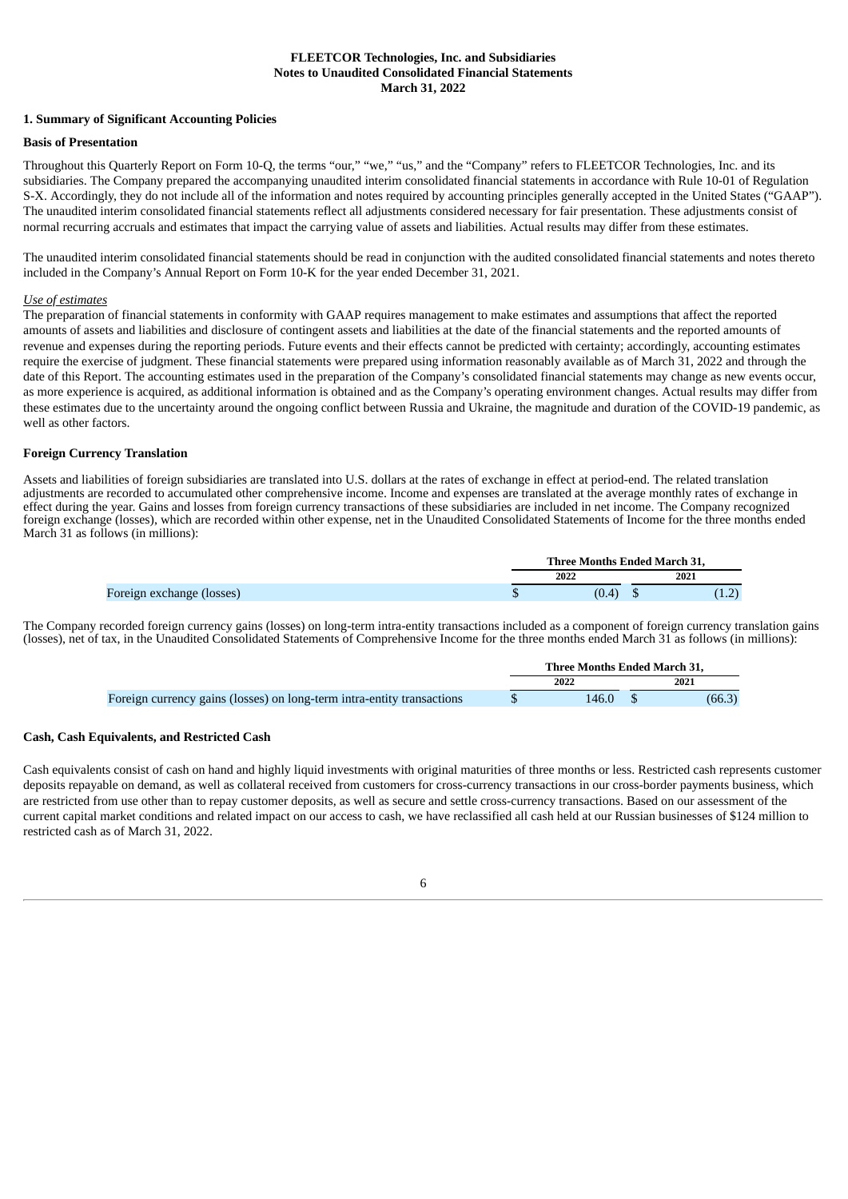#### **FLEETCOR Technologies, Inc. and Subsidiaries Notes to Unaudited Consolidated Financial Statements March 31, 2022**

#### **1. Summary of Significant Accounting Policies**

#### **Basis of Presentation**

Throughout this Quarterly Report on Form 10-Q, the terms "our," "we," "us," and the "Company" refers to FLEETCOR Technologies, Inc. and its subsidiaries. The Company prepared the accompanying unaudited interim consolidated financial statements in accordance with Rule 10-01 of Regulation S-X. Accordingly, they do not include all of the information and notes required by accounting principles generally accepted in the United States ("GAAP"). The unaudited interim consolidated financial statements reflect all adjustments considered necessary for fair presentation. These adjustments consist of normal recurring accruals and estimates that impact the carrying value of assets and liabilities. Actual results may differ from these estimates.

The unaudited interim consolidated financial statements should be read in conjunction with the audited consolidated financial statements and notes thereto included in the Company's Annual Report on Form 10-K for the year ended December 31, 2021.

#### *Use of estimates*

The preparation of financial statements in conformity with GAAP requires management to make estimates and assumptions that affect the reported amounts of assets and liabilities and disclosure of contingent assets and liabilities at the date of the financial statements and the reported amounts of revenue and expenses during the reporting periods. Future events and their effects cannot be predicted with certainty; accordingly, accounting estimates require the exercise of judgment. These financial statements were prepared using information reasonably available as of March 31, 2022 and through the date of this Report. The accounting estimates used in the preparation of the Company's consolidated financial statements may change as new events occur, as more experience is acquired, as additional information is obtained and as the Company's operating environment changes. Actual results may differ from these estimates due to the uncertainty around the ongoing conflict between Russia and Ukraine, the magnitude and duration of the COVID-19 pandemic, as well as other factors.

#### **Foreign Currency Translation**

Assets and liabilities of foreign subsidiaries are translated into U.S. dollars at the rates of exchange in effect at period-end. The related translation adjustments are recorded to accumulated other comprehensive income. Income and expenses are translated at the average monthly rates of exchange in effect during the year. Gains and losses from foreign currency transactions of these subsidiaries are included in net income. The Company recognized foreign exchange (losses), which are recorded within other expense, net in the Unaudited Consolidated Statements of Income for the three months ended March 31 as follows (in millions):

|                           | Three Months Ended March 31. |  |       |  |  |  |  |
|---------------------------|------------------------------|--|-------|--|--|--|--|
|                           | 2022                         |  | 2021  |  |  |  |  |
| Foreign exchange (losses) | (0.4)                        |  | (1.2) |  |  |  |  |

The Company recorded foreign currency gains (losses) on long-term intra-entity transactions included as a component of foreign currency translation gains (losses), net of tax, in the Unaudited Consolidated Statements of Comprehensive Income for the three months ended March 31 as follows (in millions):

|                                                                        | Three Months Ended March 31. |  |        |  |  |
|------------------------------------------------------------------------|------------------------------|--|--------|--|--|
|                                                                        | 2022                         |  | 2021   |  |  |
| Foreign currency gains (losses) on long-term intra-entity transactions | 146.0                        |  | (66.3) |  |  |

#### **Cash, Cash Equivalents, and Restricted Cash**

Cash equivalents consist of cash on hand and highly liquid investments with original maturities of three months or less. Restricted cash represents customer deposits repayable on demand, as well as collateral received from customers for cross-currency transactions in our cross-border payments business, which are restricted from use other than to repay customer deposits, as well as secure and settle cross-currency transactions. Based on our assessment of the current capital market conditions and related impact on our access to cash, we have reclassified all cash held at our Russian businesses of \$124 million to restricted cash as of March 31, 2022.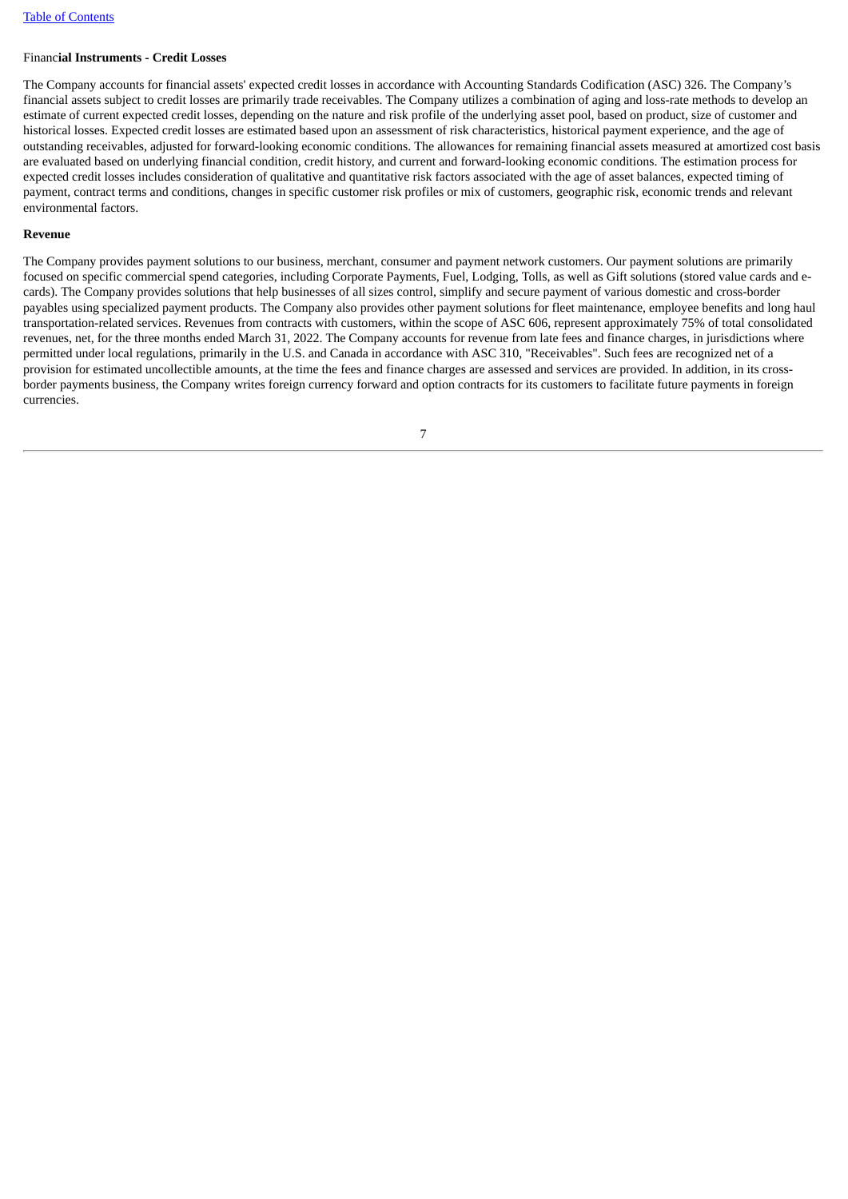## Financ**ial Instruments - Credit Losses**

The Company accounts for financial assets' expected credit losses in accordance with Accounting Standards Codification (ASC) 326. The Company's financial assets subject to credit losses are primarily trade receivables. The Company utilizes a combination of aging and loss-rate methods to develop an estimate of current expected credit losses, depending on the nature and risk profile of the underlying asset pool, based on product, size of customer and historical losses. Expected credit losses are estimated based upon an assessment of risk characteristics, historical payment experience, and the age of outstanding receivables, adjusted for forward-looking economic conditions. The allowances for remaining financial assets measured at amortized cost basis are evaluated based on underlying financial condition, credit history, and current and forward-looking economic conditions. The estimation process for expected credit losses includes consideration of qualitative and quantitative risk factors associated with the age of asset balances, expected timing of payment, contract terms and conditions, changes in specific customer risk profiles or mix of customers, geographic risk, economic trends and relevant environmental factors.

#### **Revenue**

The Company provides payment solutions to our business, merchant, consumer and payment network customers. Our payment solutions are primarily focused on specific commercial spend categories, including Corporate Payments, Fuel, Lodging, Tolls, as well as Gift solutions (stored value cards and ecards). The Company provides solutions that help businesses of all sizes control, simplify and secure payment of various domestic and cross-border payables using specialized payment products. The Company also provides other payment solutions for fleet maintenance, employee benefits and long haul transportation-related services. Revenues from contracts with customers, within the scope of ASC 606, represent approximately 75% of total consolidated revenues, net, for the three months ended March 31, 2022. The Company accounts for revenue from late fees and finance charges, in jurisdictions where permitted under local regulations, primarily in the U.S. and Canada in accordance with ASC 310, "Receivables". Such fees are recognized net of a provision for estimated uncollectible amounts, at the time the fees and finance charges are assessed and services are provided. In addition, in its crossborder payments business, the Company writes foreign currency forward and option contracts for its customers to facilitate future payments in foreign currencies.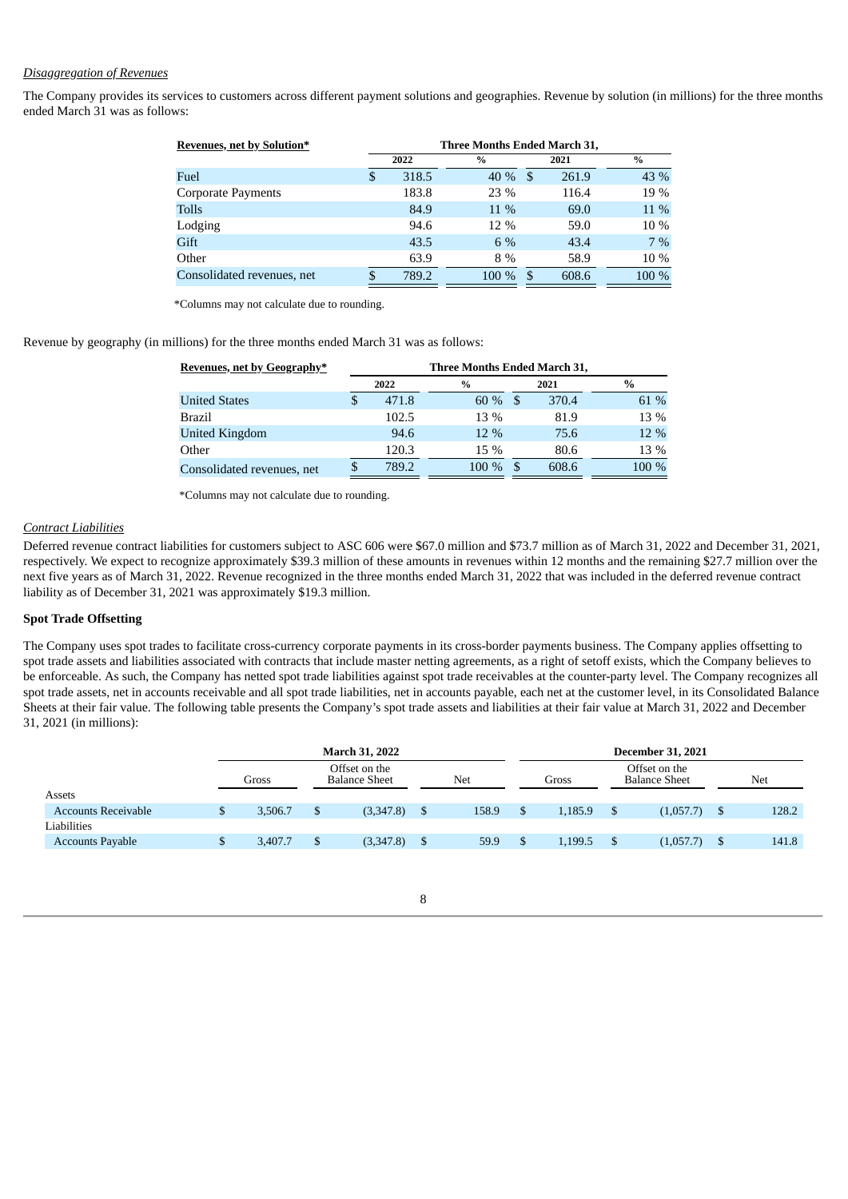### *Disaggregation of Revenues*

The Company provides its services to customers across different payment solutions and geographies. Revenue by solution (in millions) for the three months ended March 31 was as follows:

| <b>Revenues, net by Solution*</b> |   | Three Months Ended March 31, |               |      |       |               |  |  |  |
|-----------------------------------|---|------------------------------|---------------|------|-------|---------------|--|--|--|
|                                   |   | 2022                         | $\frac{9}{6}$ |      | 2021  | $\frac{0}{0}$ |  |  |  |
| Fuel                              | S | 318.5                        | 40 %          | - \$ | 261.9 | 43 %          |  |  |  |
| <b>Corporate Payments</b>         |   | 183.8                        | 23 %          |      | 116.4 | 19 %          |  |  |  |
| <b>Tolls</b>                      |   | 84.9                         | 11 %          |      | 69.0  | 11 %          |  |  |  |
| Lodging                           |   | 94.6                         | $12\%$        |      | 59.0  | 10 %          |  |  |  |
| Gift                              |   | 43.5                         | 6 %           |      | 43.4  | $7\%$         |  |  |  |
| Other                             |   | 63.9                         | 8 %           |      | 58.9  | 10 %          |  |  |  |
| Consolidated revenues, net        | S | 789.2                        | 100 %         |      | 608.6 | 100 %         |  |  |  |

\*Columns may not calculate due to rounding.

Revenue by geography (in millions) for the three months ended March 31 was as follows:

| <b>Revenues, net by Geography*</b> | <b>Three Months Ended March 31,</b> |       |               |      |       |         |  |
|------------------------------------|-------------------------------------|-------|---------------|------|-------|---------|--|
|                                    |                                     | 2022  | $\frac{0}{0}$ |      | 2021  | $\%$    |  |
| <b>United States</b>               |                                     | 471.8 | 60 %          | - \$ | 370.4 | 61 %    |  |
| <b>Brazil</b>                      |                                     | 102.5 | 13 %          |      | 81.9  | 13 %    |  |
| <b>United Kingdom</b>              |                                     | 94.6  | $12\%$        |      | 75.6  | 12 %    |  |
| Other                              |                                     | 120.3 | $15\%$        |      | 80.6  | 13 %    |  |
| Consolidated revenues, net         |                                     | 789.2 | 100 %         |      | 608.6 | $100\%$ |  |

\*Columns may not calculate due to rounding.

#### *Contract Liabilities*

Deferred revenue contract liabilities for customers subject to ASC 606 were \$67.0 million and \$73.7 million as of March 31, 2022 and December 31, 2021, respectively. We expect to recognize approximately \$39.3 million of these amounts in revenues within 12 months and the remaining \$27.7 million over the next five years as of March 31, 2022. Revenue recognized in the three months ended March 31, 2022 that was included in the deferred revenue contract liability as of December 31, 2021 was approximately \$19.3 million.

#### **Spot Trade Offsetting**

The Company uses spot trades to facilitate cross-currency corporate payments in its cross-border payments business. The Company applies offsetting to spot trade assets and liabilities associated with contracts that include master netting agreements, as a right of setoff exists, which the Company believes to be enforceable. As such, the Company has netted spot trade liabilities against spot trade receivables at the counter-party level. The Company recognizes all spot trade assets, net in accounts receivable and all spot trade liabilities, net in accounts payable, each net at the customer level, in its Consolidated Balance Sheets at their fair value. The following table presents the Company's spot trade assets and liabilities at their fair value at March 31, 2022 and December 31, 2021 (in millions):

|                            |         |  | <b>March 31, 2022</b>                 |      |       | <b>December 31, 2021</b> |                                                |    |           |     |       |  |  |
|----------------------------|---------|--|---------------------------------------|------|-------|--------------------------|------------------------------------------------|----|-----------|-----|-------|--|--|
|                            | Gross   |  | Offset on the<br><b>Balance Sheet</b> | Net  |       |                          | Offset on the<br><b>Balance Sheet</b><br>Gross |    |           | Net |       |  |  |
| Assets                     |         |  |                                       |      |       |                          |                                                |    |           |     |       |  |  |
| <b>Accounts Receivable</b> | 3.506.7 |  | (3,347.8)                             | - \$ | 158.9 |                          | 1,185.9                                        |    | (1,057.7) |     | 128.2 |  |  |
| Liabilities                |         |  |                                       |      |       |                          |                                                |    |           |     |       |  |  |
| <b>Accounts Payable</b>    | 3,407.7 |  | (3,347.8)                             | - \$ | 59.9  |                          | 1,199.5                                        | \$ | (1,057.7) |     | 141.8 |  |  |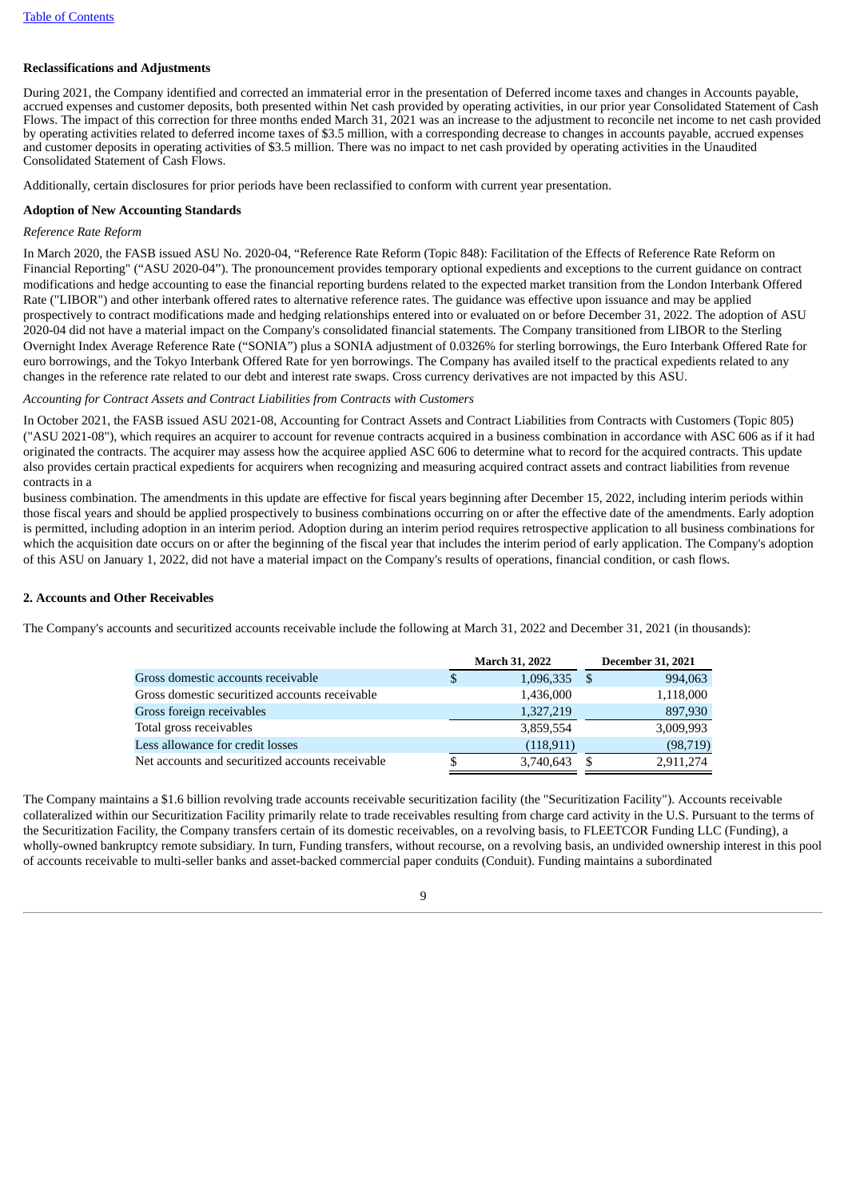#### **Reclassifications and Adjustments**

During 2021, the Company identified and corrected an immaterial error in the presentation of Deferred income taxes and changes in Accounts payable, accrued expenses and customer deposits, both presented within Net cash provided by operating activities, in our prior year Consolidated Statement of Cash Flows. The impact of this correction for three months ended March 31, 2021 was an increase to the adjustment to reconcile net income to net cash provided by operating activities related to deferred income taxes of \$3.5 million, with a corresponding decrease to changes in accounts payable, accrued expenses and customer deposits in operating activities of \$3.5 million. There was no impact to net cash provided by operating activities in the Unaudited Consolidated Statement of Cash Flows.

Additionally, certain disclosures for prior periods have been reclassified to conform with current year presentation.

#### **Adoption of New Accounting Standards**

#### *Reference Rate Reform*

In March 2020, the FASB issued ASU No. 2020-04, "Reference Rate Reform (Topic 848): Facilitation of the Effects of Reference Rate Reform on Financial Reporting" ("ASU 2020-04"). The pronouncement provides temporary optional expedients and exceptions to the current guidance on contract modifications and hedge accounting to ease the financial reporting burdens related to the expected market transition from the London Interbank Offered Rate ("LIBOR") and other interbank offered rates to alternative reference rates. The guidance was effective upon issuance and may be applied prospectively to contract modifications made and hedging relationships entered into or evaluated on or before December 31, 2022. The adoption of ASU 2020-04 did not have a material impact on the Company's consolidated financial statements. The Company transitioned from LIBOR to the Sterling Overnight Index Average Reference Rate ("SONIA") plus a SONIA adjustment of 0.0326% for sterling borrowings, the Euro Interbank Offered Rate for euro borrowings, and the Tokyo Interbank Offered Rate for yen borrowings. The Company has availed itself to the practical expedients related to any changes in the reference rate related to our debt and interest rate swaps. Cross currency derivatives are not impacted by this ASU.

#### *Accounting for Contract Assets and Contract Liabilities from Contracts with Customers*

In October 2021, the FASB issued ASU 2021-08, Accounting for Contract Assets and Contract Liabilities from Contracts with Customers (Topic 805) ("ASU 2021-08"), which requires an acquirer to account for revenue contracts acquired in a business combination in accordance with ASC 606 as if it had originated the contracts. The acquirer may assess how the acquiree applied ASC 606 to determine what to record for the acquired contracts. This update also provides certain practical expedients for acquirers when recognizing and measuring acquired contract assets and contract liabilities from revenue contracts in a

business combination. The amendments in this update are effective for fiscal years beginning after December 15, 2022, including interim periods within those fiscal years and should be applied prospectively to business combinations occurring on or after the effective date of the amendments. Early adoption is permitted, including adoption in an interim period. Adoption during an interim period requires retrospective application to all business combinations for which the acquisition date occurs on or after the beginning of the fiscal year that includes the interim period of early application. The Company's adoption of this ASU on January 1, 2022, did not have a material impact on the Company's results of operations, financial condition, or cash flows.

#### **2. Accounts and Other Receivables**

The Company's accounts and securitized accounts receivable include the following at March 31, 2022 and December 31, 2021 (in thousands):

|                                                  | <b>March 31, 2022</b> | <b>December 31, 2021</b> |
|--------------------------------------------------|-----------------------|--------------------------|
| Gross domestic accounts receivable               | 1,096,335             | 994,063                  |
| Gross domestic securitized accounts receivable   | 1,436,000             | 1,118,000                |
| Gross foreign receivables                        | 1,327,219             | 897,930                  |
| Total gross receivables                          | 3,859,554             | 3,009,993                |
| Less allowance for credit losses                 | (118, 911)            | (98, 719)                |
| Net accounts and securitized accounts receivable | 3,740,643             | 2,911,274                |

The Company maintains a \$1.6 billion revolving trade accounts receivable securitization facility (the "Securitization Facility"). Accounts receivable collateralized within our Securitization Facility primarily relate to trade receivables resulting from charge card activity in the U.S. Pursuant to the terms of the Securitization Facility, the Company transfers certain of its domestic receivables, on a revolving basis, to FLEETCOR Funding LLC (Funding), a wholly-owned bankruptcy remote subsidiary. In turn, Funding transfers, without recourse, on a revolving basis, an undivided ownership interest in this pool of accounts receivable to multi-seller banks and asset-backed commercial paper conduits (Conduit). Funding maintains a subordinated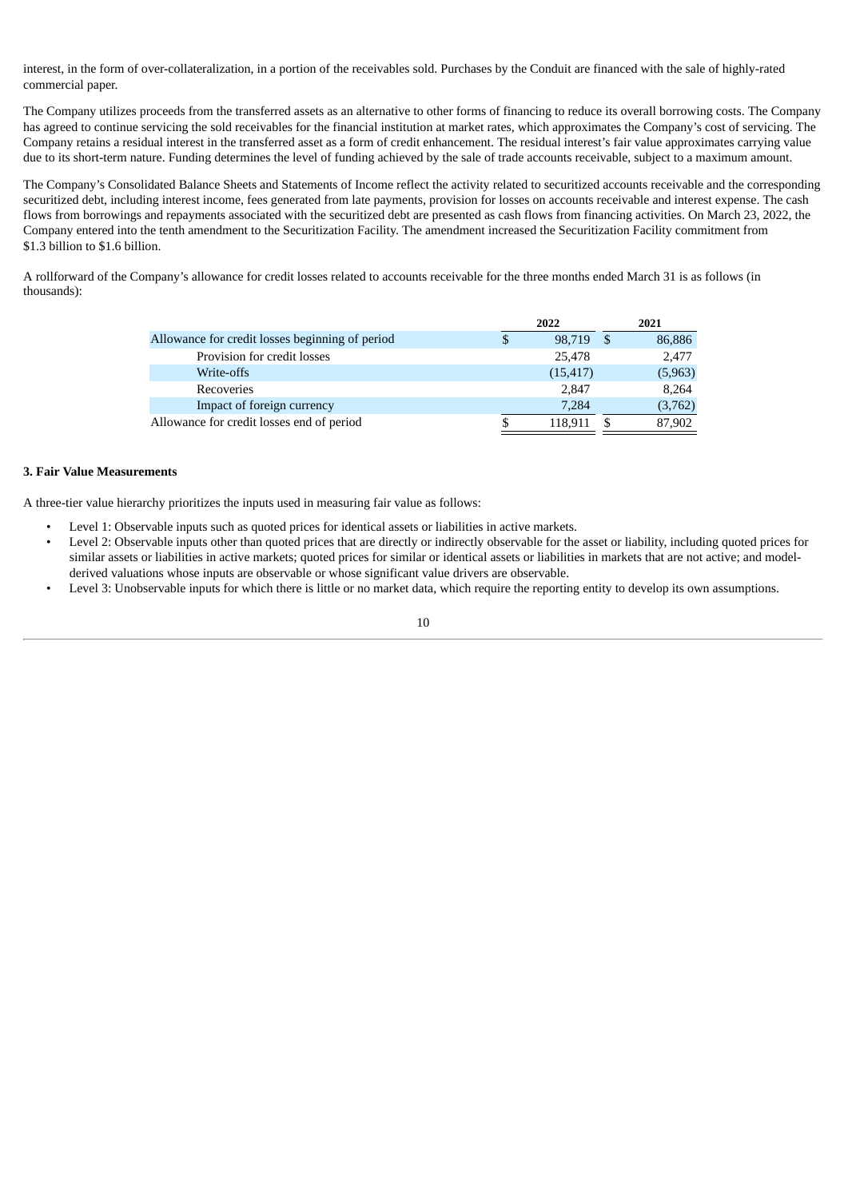interest, in the form of over-collateralization, in a portion of the receivables sold. Purchases by the Conduit are financed with the sale of highly-rated commercial paper.

The Company utilizes proceeds from the transferred assets as an alternative to other forms of financing to reduce its overall borrowing costs. The Company has agreed to continue servicing the sold receivables for the financial institution at market rates, which approximates the Company's cost of servicing. The Company retains a residual interest in the transferred asset as a form of credit enhancement. The residual interest's fair value approximates carrying value due to its short-term nature. Funding determines the level of funding achieved by the sale of trade accounts receivable, subject to a maximum amount.

The Company's Consolidated Balance Sheets and Statements of Income reflect the activity related to securitized accounts receivable and the corresponding securitized debt, including interest income, fees generated from late payments, provision for losses on accounts receivable and interest expense. The cash flows from borrowings and repayments associated with the securitized debt are presented as cash flows from financing activities. On March 23, 2022, the Company entered into the tenth amendment to the Securitization Facility. The amendment increased the Securitization Facility commitment from \$1.3 billion to \$1.6 billion.

A rollforward of the Company's allowance for credit losses related to accounts receivable for the three months ended March 31 is as follows (in thousands):

|                                                 | 2022         | 2021    |
|-------------------------------------------------|--------------|---------|
| Allowance for credit losses beginning of period | \$<br>98,719 | 86,886  |
| Provision for credit losses                     | 25,478       | 2,477   |
| Write-offs                                      | (15, 417)    | (5,963) |
| Recoveries                                      | 2,847        | 8,264   |
| Impact of foreign currency                      | 7,284        | (3,762) |
| Allowance for credit losses end of period       | 118,911      | 87,902  |

#### **3. Fair Value Measurements**

A three-tier value hierarchy prioritizes the inputs used in measuring fair value as follows:

- Level 1: Observable inputs such as quoted prices for identical assets or liabilities in active markets.
- Level 2: Observable inputs other than quoted prices that are directly or indirectly observable for the asset or liability, including quoted prices for similar assets or liabilities in active markets; quoted prices for similar or identical assets or liabilities in markets that are not active; and modelderived valuations whose inputs are observable or whose significant value drivers are observable.
- Level 3: Unobservable inputs for which there is little or no market data, which require the reporting entity to develop its own assumptions.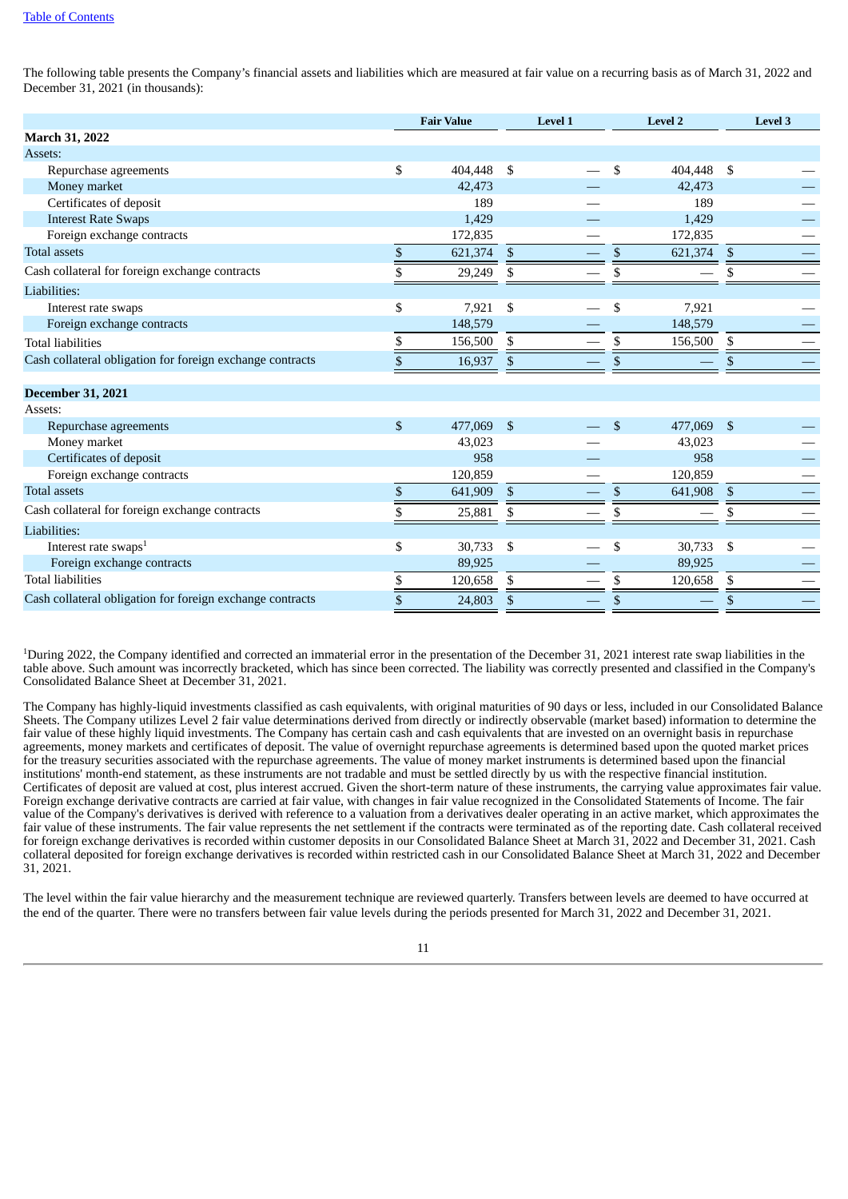The following table presents the Company's financial assets and liabilities which are measured at fair value on a recurring basis as of March 31, 2022 and December 31, 2021 (in thousands):

|                                                           |     | <b>Fair Value</b> | Level 1<br><b>Level 2</b> |  |      | Level 3 |     |  |
|-----------------------------------------------------------|-----|-------------------|---------------------------|--|------|---------|-----|--|
| <b>March 31, 2022</b>                                     |     |                   |                           |  |      |         |     |  |
| Assets:                                                   |     |                   |                           |  |      |         |     |  |
| Repurchase agreements                                     | \$  | 404,448           | - \$                      |  | \$   | 404,448 | \$  |  |
| Money market                                              |     | 42,473            |                           |  |      | 42,473  |     |  |
| Certificates of deposit                                   |     | 189               |                           |  |      | 189     |     |  |
| <b>Interest Rate Swaps</b>                                |     | 1,429             |                           |  |      | 1,429   |     |  |
| Foreign exchange contracts                                |     | 172,835           |                           |  |      | 172,835 |     |  |
| <b>Total assets</b>                                       | \$  | 621,374           | $\sqrt{5}$                |  | \$   | 621,374 | \$  |  |
| Cash collateral for foreign exchange contracts            |     | 29,249            | \$                        |  | \$   |         | S   |  |
| Liabilities:                                              |     |                   |                           |  |      |         |     |  |
| Interest rate swaps                                       | \$  | 7,921             | \$                        |  | \$   | 7,921   |     |  |
| Foreign exchange contracts                                |     | 148,579           |                           |  |      | 148,579 |     |  |
| <b>Total liabilities</b>                                  | \$  | 156,500           | \$                        |  | \$   | 156,500 | \$  |  |
| Cash collateral obligation for foreign exchange contracts |     | 16,937            | \$                        |  | \$   |         | S   |  |
| <b>December 31, 2021</b>                                  |     |                   |                           |  |      |         |     |  |
| Assets:                                                   |     |                   |                           |  |      |         |     |  |
| Repurchase agreements                                     | \$  | 477,069           | -\$                       |  | \$   | 477,069 | \$  |  |
| Money market                                              |     | 43,023            |                           |  |      | 43,023  |     |  |
| Certificates of deposit                                   |     | 958               |                           |  |      | 958     |     |  |
| Foreign exchange contracts                                |     | 120,859           |                           |  |      | 120,859 |     |  |
| <b>Total assets</b>                                       | \$  | 641,909           | $\mathfrak{s}$            |  | \$   | 641,908 | \$  |  |
| Cash collateral for foreign exchange contracts            | \$. | 25,881            | \$                        |  | \$   |         | \$  |  |
| Liabilities:                                              |     |                   |                           |  |      |         |     |  |
| Interest rate swaps <sup>1</sup>                          | \$  | 30,733            | -\$                       |  | \$   | 30,733  | -\$ |  |
| Foreign exchange contracts                                |     | 89,925            |                           |  |      | 89,925  |     |  |
| <b>Total liabilities</b>                                  | S   | 120,658           | $\mathfrak{S}$            |  | \$   | 120,658 | \$  |  |
| Cash collateral obligation for foreign exchange contracts | \$  | 24,803            | \$                        |  | $\$$ |         | \$  |  |

 $1$ During 2022, the Company identified and corrected an immaterial error in the presentation of the December 31, 2021 interest rate swap liabilities in the table above. Such amount was incorrectly bracketed, which has since been corrected. The liability was correctly presented and classified in the Company's Consolidated Balance Sheet at December 31, 2021.

The Company has highly-liquid investments classified as cash equivalents, with original maturities of 90 days or less, included in our Consolidated Balance Sheets. The Company utilizes Level 2 fair value determinations derived from directly or indirectly observable (market based) information to determine the fair value of these highly liquid investments. The Company has certain cash and cash equivalents that are invested on an overnight basis in repurchase agreements, money markets and certificates of deposit. The value of overnight repurchase agreements is determined based upon the quoted market prices for the treasury securities associated with the repurchase agreements. The value of money market instruments is determined based upon the financial institutions' month-end statement, as these instruments are not tradable and must be settled directly by us with the respective financial institution. Certificates of deposit are valued at cost, plus interest accrued. Given the short-term nature of these instruments, the carrying value approximates fair value. Foreign exchange derivative contracts are carried at fair value, with changes in fair value recognized in the Consolidated Statements of Income. The fair value of the Company's derivatives is derived with reference to a valuation from a derivatives dealer operating in an active market, which approximates the fair value of these instruments. The fair value represents the net settlement if the contracts were terminated as of the reporting date. Cash collateral received for foreign exchange derivatives is recorded within customer deposits in our Consolidated Balance Sheet at March 31, 2022 and December 31, 2021. Cash collateral deposited for foreign exchange derivatives is recorded within restricted cash in our Consolidated Balance Sheet at March 31, 2022 and December 31, 2021.

The level within the fair value hierarchy and the measurement technique are reviewed quarterly. Transfers between levels are deemed to have occurred at the end of the quarter. There were no transfers between fair value levels during the periods presented for March 31, 2022 and December 31, 2021.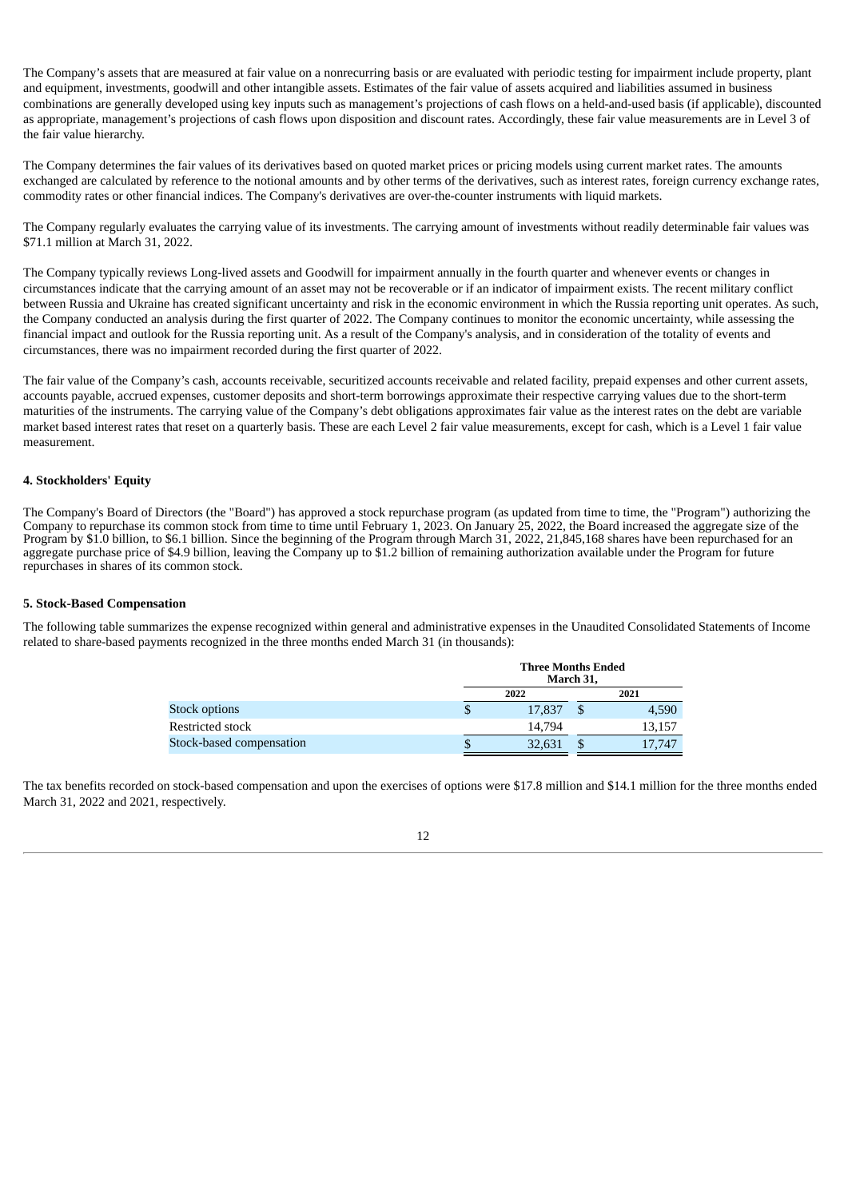The Company's assets that are measured at fair value on a nonrecurring basis or are evaluated with periodic testing for impairment include property, plant and equipment, investments, goodwill and other intangible assets. Estimates of the fair value of assets acquired and liabilities assumed in business combinations are generally developed using key inputs such as management's projections of cash flows on a held-and-used basis (if applicable), discounted as appropriate, management's projections of cash flows upon disposition and discount rates. Accordingly, these fair value measurements are in Level 3 of the fair value hierarchy.

The Company determines the fair values of its derivatives based on quoted market prices or pricing models using current market rates. The amounts exchanged are calculated by reference to the notional amounts and by other terms of the derivatives, such as interest rates, foreign currency exchange rates, commodity rates or other financial indices. The Company's derivatives are over-the-counter instruments with liquid markets.

The Company regularly evaluates the carrying value of its investments. The carrying amount of investments without readily determinable fair values was \$71.1 million at March 31, 2022.

The Company typically reviews Long-lived assets and Goodwill for impairment annually in the fourth quarter and whenever events or changes in circumstances indicate that the carrying amount of an asset may not be recoverable or if an indicator of impairment exists. The recent military conflict between Russia and Ukraine has created significant uncertainty and risk in the economic environment in which the Russia reporting unit operates. As such, the Company conducted an analysis during the first quarter of 2022. The Company continues to monitor the economic uncertainty, while assessing the financial impact and outlook for the Russia reporting unit. As a result of the Company's analysis, and in consideration of the totality of events and circumstances, there was no impairment recorded during the first quarter of 2022.

The fair value of the Company's cash, accounts receivable, securitized accounts receivable and related facility, prepaid expenses and other current assets, accounts payable, accrued expenses, customer deposits and short-term borrowings approximate their respective carrying values due to the short-term maturities of the instruments. The carrying value of the Company's debt obligations approximates fair value as the interest rates on the debt are variable market based interest rates that reset on a quarterly basis. These are each Level 2 fair value measurements, except for cash, which is a Level 1 fair value measurement.

#### **4. Stockholders' Equity**

The Company's Board of Directors (the "Board") has approved a stock repurchase program (as updated from time to time, the "Program") authorizing the Company to repurchase its common stock from time to time until February 1, 2023. On January 25, 2022, the Board increased the aggregate size of the Program by \$1.0 billion, to \$6.1 billion. Since the beginning of the Program through March 31, 2022, 21,845,168 shares have been repurchased for an aggregate purchase price of \$4.9 billion, leaving the Company up to \$1.2 billion of remaining authorization available under the Program for future repurchases in shares of its common stock.

#### **5. Stock-Based Compensation**

The following table summarizes the expense recognized within general and administrative expenses in the Unaudited Consolidated Statements of Income related to share-based payments recognized in the three months ended March 31 (in thousands):

|                          | <b>Three Months Ended</b> | March 31, |        |
|--------------------------|---------------------------|-----------|--------|
|                          | 2022                      |           | 2021   |
| <b>Stock options</b>     | 17.837                    |           | 4,590  |
| <b>Restricted stock</b>  | 14.794                    |           | 13,157 |
| Stock-based compensation | 32.631                    |           | 17.747 |

The tax benefits recorded on stock-based compensation and upon the exercises of options were \$17.8 million and \$14.1 million for the three months ended March 31, 2022 and 2021, respectively.

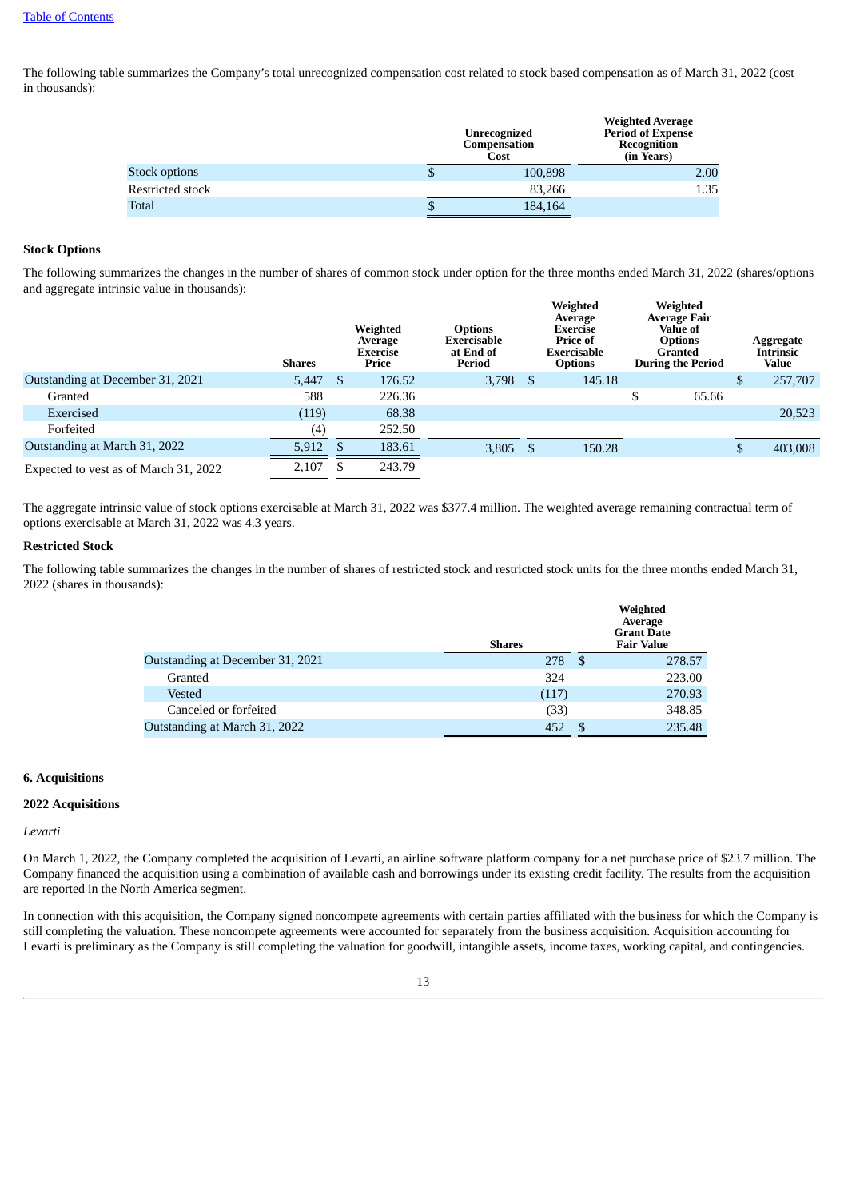The following table summarizes the Company's total unrecognized compensation cost related to stock based compensation as of March 31, 2022 (cost in thousands):

|                      |    | Unrecognized<br>Compensation<br>Cost | <b>Weighted Average</b><br><b>Period of Expense</b><br>Recognition<br>(in Years) |
|----------------------|----|--------------------------------------|----------------------------------------------------------------------------------|
| <b>Stock options</b> | J  | 100,898                              | 2.00                                                                             |
| Restricted stock     |    | 83,266                               | 1.35                                                                             |
| <b>Total</b>         | \$ | 184,164                              |                                                                                  |

#### **Stock Options**

The following summarizes the changes in the number of shares of common stock under option for the three months ended March 31, 2022 (shares/options and aggregate intrinsic value in thousands):

|                                       | Shares |              | Weighted<br>Average<br><b>Exercise</b><br>Price | <b>Options</b><br><b>Exercisable</b><br>at End of<br>Period |              | Weighted<br>Average<br>Exercise<br>Price of<br>Exercisable<br><b>Options</b> |   | Weighted<br><b>Average Fair</b><br>Value of<br><b>Options</b><br>Granted<br><b>During the Period</b> |   | Aggregate<br><b>Intrinsic</b><br>Value |
|---------------------------------------|--------|--------------|-------------------------------------------------|-------------------------------------------------------------|--------------|------------------------------------------------------------------------------|---|------------------------------------------------------------------------------------------------------|---|----------------------------------------|
| Outstanding at December 31, 2021      | 5,447  | $\mathbb{S}$ | 176.52                                          | 3,798                                                       | $\mathsf{S}$ | 145.18                                                                       |   |                                                                                                      | D | 257,707                                |
| Granted                               | 588    |              | 226.36                                          |                                                             |              |                                                                              | J | 65.66                                                                                                |   |                                        |
| Exercised                             | (119)  |              | 68.38                                           |                                                             |              |                                                                              |   |                                                                                                      |   | 20,523                                 |
| Forfeited                             | (4)    |              | 252.50                                          |                                                             |              |                                                                              |   |                                                                                                      |   |                                        |
| Outstanding at March 31, 2022         | 5,912  |              | 183.61                                          | $3,805$ \$                                                  |              | 150.28                                                                       |   |                                                                                                      |   | 403,008                                |
| Expected to vest as of March 31, 2022 | 2,107  | -S           | 243.79                                          |                                                             |              |                                                                              |   |                                                                                                      |   |                                        |

The aggregate intrinsic value of stock options exercisable at March 31, 2022 was \$377.4 million. The weighted average remaining contractual term of options exercisable at March 31, 2022 was 4.3 years.

#### **Restricted Stock**

The following table summarizes the changes in the number of shares of restricted stock and restricted stock units for the three months ended March 31, 2022 (shares in thousands):

|                                  | <b>Shares</b> |      | Weighted<br>Average<br><b>Grant Date</b><br><b>Fair Value</b> |
|----------------------------------|---------------|------|---------------------------------------------------------------|
| Outstanding at December 31, 2021 | 278           | - \$ | 278.57                                                        |
| Granted                          | 324           |      | 223.00                                                        |
| Vested                           | (117)         |      | 270.93                                                        |
| Canceled or forfeited            | (33)          |      | 348.85                                                        |
| Outstanding at March 31, 2022    | 452           |      | 235.48                                                        |

#### **6. Acquisitions**

#### **2022 Acquisitions**

#### *Levarti*

On March 1, 2022, the Company completed the acquisition of Levarti, an airline software platform company for a net purchase price of \$23.7 million. The Company financed the acquisition using a combination of available cash and borrowings under its existing credit facility. The results from the acquisition are reported in the North America segment.

In connection with this acquisition, the Company signed noncompete agreements with certain parties affiliated with the business for which the Company is still completing the valuation. These noncompete agreements were accounted for separately from the business acquisition. Acquisition accounting for Levarti is preliminary as the Company is still completing the valuation for goodwill, intangible assets, income taxes, working capital, and contingencies.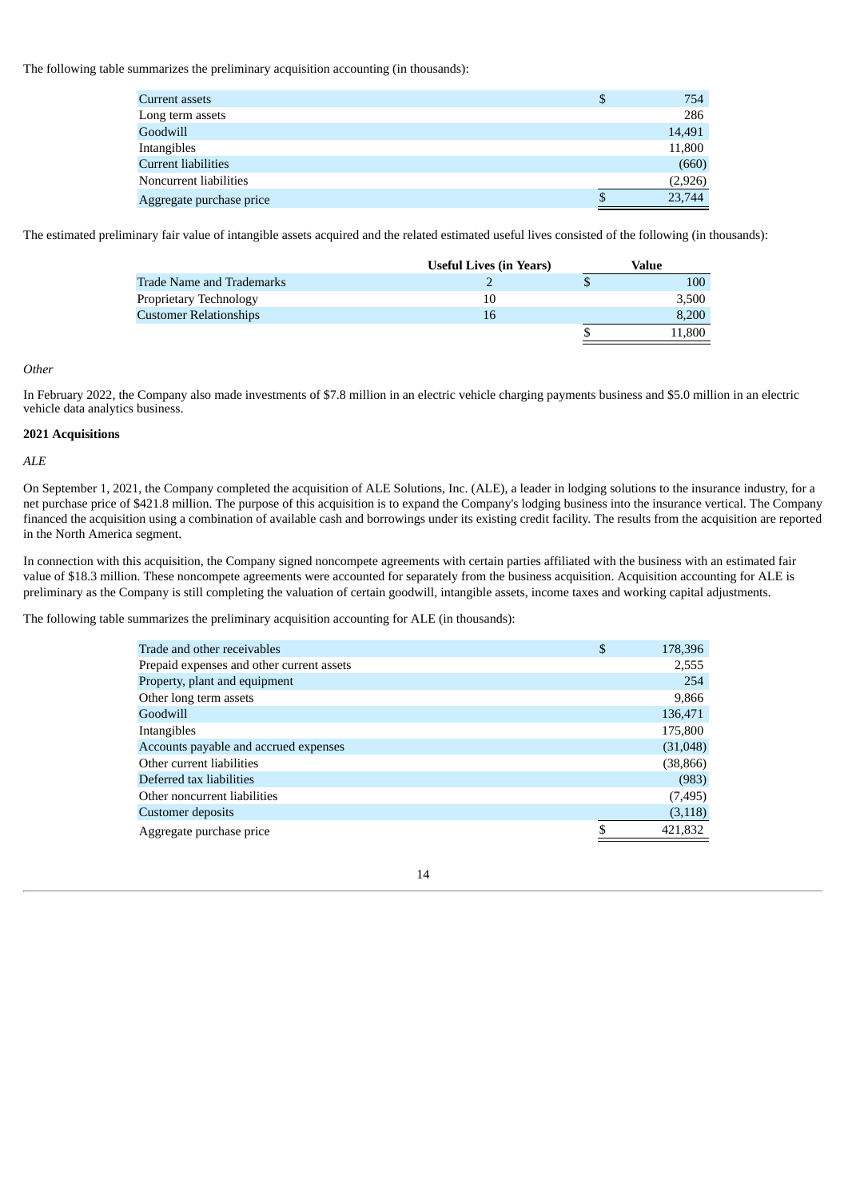The following table summarizes the preliminary acquisition accounting (in thousands):

| Current assets             | \$<br>754 |
|----------------------------|-----------|
| Long term assets           | 286       |
| Goodwill                   | 14,491    |
| Intangibles                | 11,800    |
| <b>Current liabilities</b> | (660)     |
| Noncurrent liabilities     | (2,926)   |
| Aggregate purchase price   | 23,744    |

The estimated preliminary fair value of intangible assets acquired and the related estimated useful lives consisted of the following (in thousands):

|                               | <b>Useful Lives (in Years)</b> | Value  |
|-------------------------------|--------------------------------|--------|
| Trade Name and Trademarks     |                                | 100    |
| Proprietary Technology        | 10                             | 3,500  |
| <b>Customer Relationships</b> | 16                             | 8,200  |
|                               |                                | 11.800 |

#### *Other*

In February 2022, the Company also made investments of \$7.8 million in an electric vehicle charging payments business and \$5.0 million in an electric vehicle data analytics business.

#### **2021 Acquisitions**

*ALE*

On September 1, 2021, the Company completed the acquisition of ALE Solutions, Inc. (ALE), a leader in lodging solutions to the insurance industry, for a net purchase price of \$421.8 million. The purpose of this acquisition is to expand the Company's lodging business into the insurance vertical. The Company financed the acquisition using a combination of available cash and borrowings under its existing credit facility. The results from the acquisition are reported in the North America segment.

In connection with this acquisition, the Company signed noncompete agreements with certain parties affiliated with the business with an estimated fair value of \$18.3 million. These noncompete agreements were accounted for separately from the business acquisition. Acquisition accounting for ALE is preliminary as the Company is still completing the valuation of certain goodwill, intangible assets, income taxes and working capital adjustments.

The following table summarizes the preliminary acquisition accounting for ALE (in thousands):

| Trade and other receivables               | \$  | 178,396   |
|-------------------------------------------|-----|-----------|
| Prepaid expenses and other current assets |     | 2,555     |
| Property, plant and equipment             |     | 254       |
| Other long term assets                    |     | 9,866     |
| Goodwill                                  |     | 136,471   |
| Intangibles                               |     | 175,800   |
| Accounts payable and accrued expenses     |     | (31, 048) |
| Other current liabilities                 |     | (38, 866) |
| Deferred tax liabilities                  |     | (983)     |
| Other noncurrent liabilities              |     | (7, 495)  |
| <b>Customer deposits</b>                  |     | (3, 118)  |
| Aggregate purchase price                  | \$. | 421,832   |
|                                           |     |           |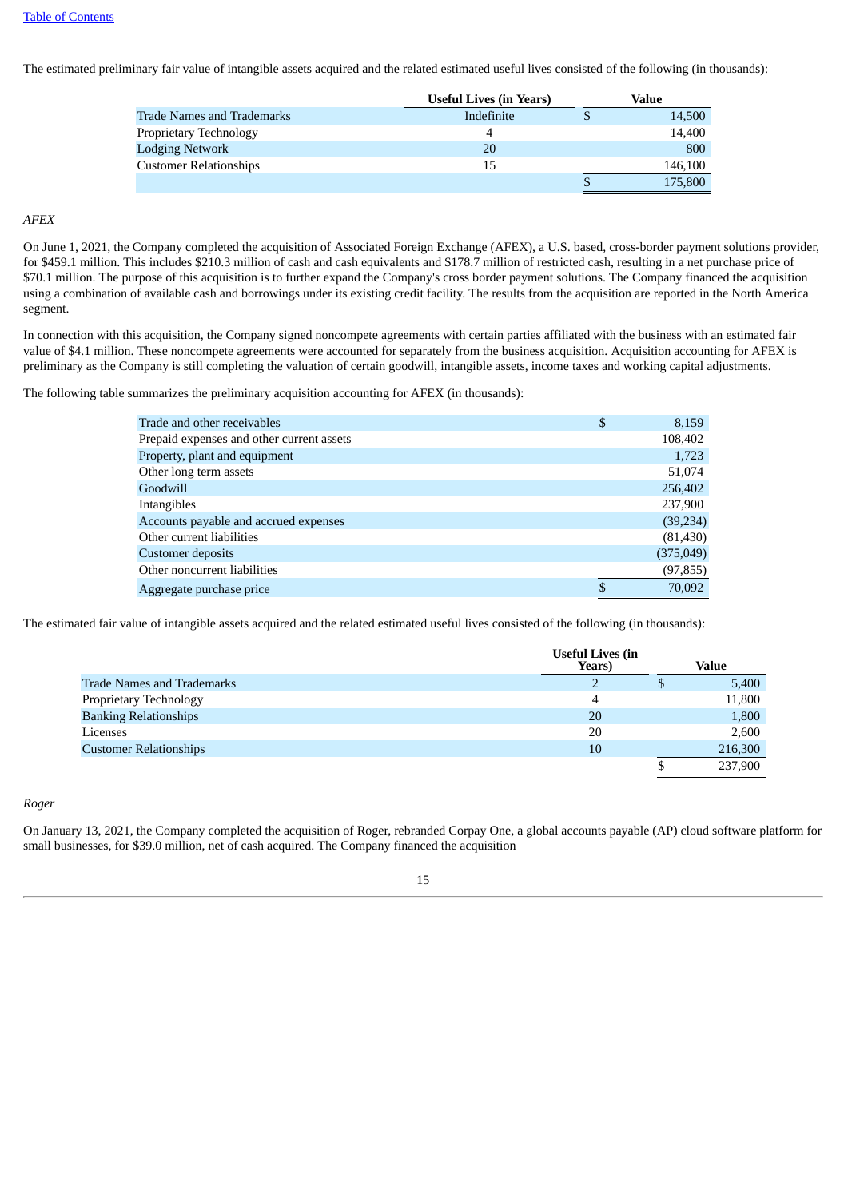The estimated preliminary fair value of intangible assets acquired and the related estimated useful lives consisted of the following (in thousands):

|                                   | <b>Useful Lives (in Years)</b> | Value   |
|-----------------------------------|--------------------------------|---------|
| <b>Trade Names and Trademarks</b> | Indefinite                     | 14,500  |
| Proprietary Technology            | 4                              | 14.400  |
| <b>Lodging Network</b>            | 20                             | 800     |
| <b>Customer Relationships</b>     | 15                             | 146,100 |
|                                   |                                | 175,800 |

#### *AFEX*

On June 1, 2021, the Company completed the acquisition of Associated Foreign Exchange (AFEX), a U.S. based, cross-border payment solutions provider, for \$459.1 million. This includes \$210.3 million of cash and cash equivalents and \$178.7 million of restricted cash, resulting in a net purchase price of \$70.1 million. The purpose of this acquisition is to further expand the Company's cross border payment solutions. The Company financed the acquisition using a combination of available cash and borrowings under its existing credit facility. The results from the acquisition are reported in the North America segment.

In connection with this acquisition, the Company signed noncompete agreements with certain parties affiliated with the business with an estimated fair value of \$4.1 million. These noncompete agreements were accounted for separately from the business acquisition. Acquisition accounting for AFEX is preliminary as the Company is still completing the valuation of certain goodwill, intangible assets, income taxes and working capital adjustments.

The following table summarizes the preliminary acquisition accounting for AFEX (in thousands):

| Trade and other receivables               | \$<br>8,159 |
|-------------------------------------------|-------------|
| Prepaid expenses and other current assets | 108,402     |
| Property, plant and equipment             | 1,723       |
| Other long term assets                    | 51,074      |
| Goodwill                                  | 256,402     |
| Intangibles                               | 237,900     |
| Accounts payable and accrued expenses     | (39, 234)   |
| Other current liabilities                 | (81, 430)   |
| <b>Customer deposits</b>                  | (375,049)   |
| Other noncurrent liabilities              | (97, 855)   |
| Aggregate purchase price                  | 70,092      |

The estimated fair value of intangible assets acquired and the related estimated useful lives consisted of the following (in thousands):

|                               | <b>Useful Lives (in</b> |         |
|-------------------------------|-------------------------|---------|
|                               | Years)                  | Value   |
| Trade Names and Trademarks    |                         | 5,400   |
| Proprietary Technology        | 4                       | 11,800  |
| <b>Banking Relationships</b>  | 20                      | 1,800   |
| Licenses                      | 20                      | 2,600   |
| <b>Customer Relationships</b> | 10                      | 216,300 |
|                               |                         | 237,900 |

#### *Roger*

On January 13, 2021, the Company completed the acquisition of Roger, rebranded Corpay One, a global accounts payable (AP) cloud software platform for small businesses, for \$39.0 million, net of cash acquired. The Company financed the acquisition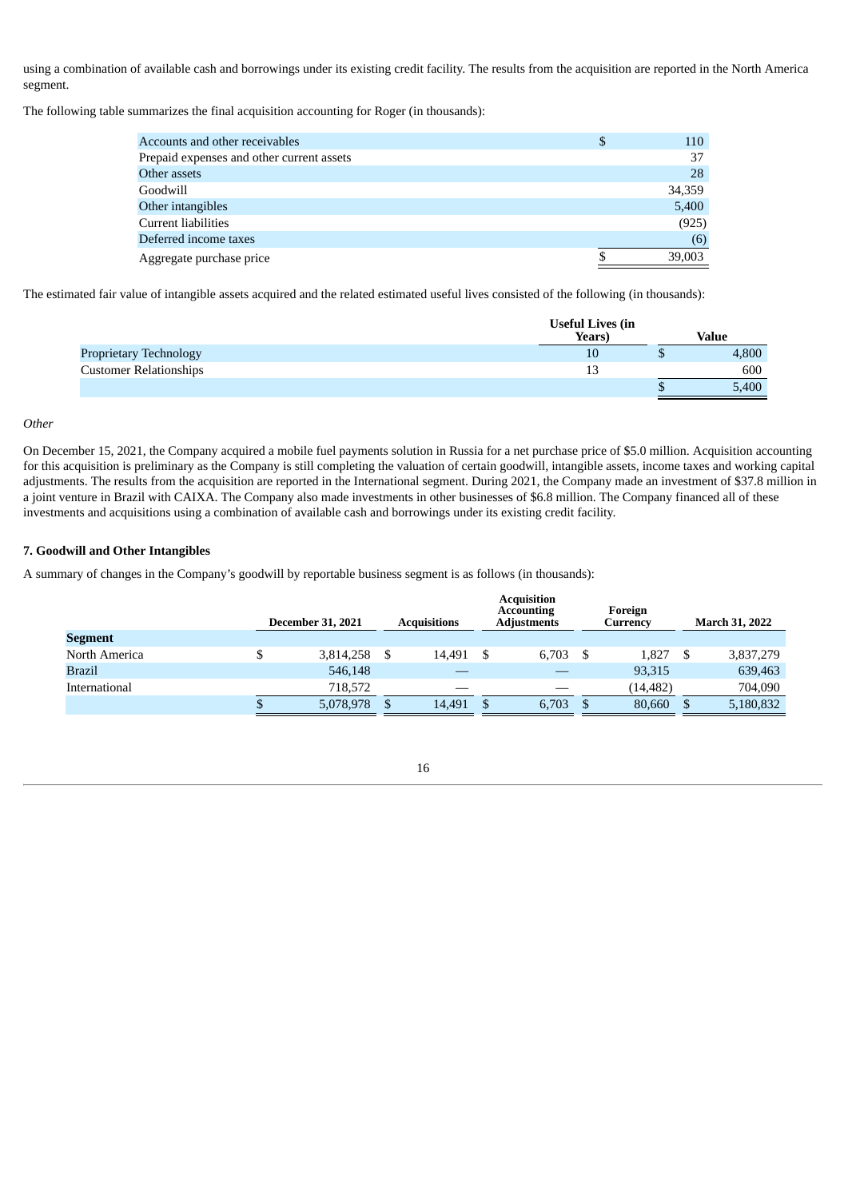using a combination of available cash and borrowings under its existing credit facility. The results from the acquisition are reported in the North America segment.

The following table summarizes the final acquisition accounting for Roger (in thousands):

| Accounts and other receivables            | \$<br>110 |
|-------------------------------------------|-----------|
| Prepaid expenses and other current assets | 37        |
| Other assets                              | 28        |
| Goodwill                                  | 34,359    |
| Other intangibles                         | 5,400     |
| Current liabilities                       | (925)     |
| Deferred income taxes                     | (6)       |
| Aggregate purchase price                  | 39,003    |

The estimated fair value of intangible assets acquired and the related estimated useful lives consisted of the following (in thousands):

|                               | <b>Useful Lives (in</b><br>Years) | Value |
|-------------------------------|-----------------------------------|-------|
| Proprietary Technology        | 10                                | 4,800 |
| <b>Customer Relationships</b> | 13                                | 600   |
|                               |                                   | 5,400 |
|                               |                                   |       |

#### *Other*

On December 15, 2021, the Company acquired a mobile fuel payments solution in Russia for a net purchase price of \$5.0 million. Acquisition accounting for this acquisition is preliminary as the Company is still completing the valuation of certain goodwill, intangible assets, income taxes and working capital adjustments. The results from the acquisition are reported in the International segment. During 2021, the Company made an investment of \$37.8 million in a joint venture in Brazil with CAIXA. The Company also made investments in other businesses of \$6.8 million. The Company financed all of these investments and acquisitions using a combination of available cash and borrowings under its existing credit facility.

### **7. Goodwill and Other Intangibles**

A summary of changes in the Company's goodwill by reportable business segment is as follows (in thousands):

|               |    | <b>December 31, 2021</b> |      | <b>Acquisitions</b> |  | <b>Acquisition</b><br><b>Accounting</b><br><b>Adjustments</b> | Foreign<br>Currency | <b>March 31, 2022</b> |           |  |
|---------------|----|--------------------------|------|---------------------|--|---------------------------------------------------------------|---------------------|-----------------------|-----------|--|
| Segment       |    |                          |      |                     |  |                                                               |                     |                       |           |  |
| North America |    | 3,814,258                | - \$ | 14.491 \$           |  | 6.703                                                         | 1,827               |                       | 3,837,279 |  |
| <b>Brazil</b> |    | 546,148                  |      |                     |  |                                                               | 93,315              |                       | 639,463   |  |
| International |    | 718,572                  |      | __                  |  |                                                               | (14, 482)           |                       | 704,090   |  |
|               | ۵D | 5,078,978                |      | 14.491              |  | 6,703                                                         | 80,660              |                       | 5,180,832 |  |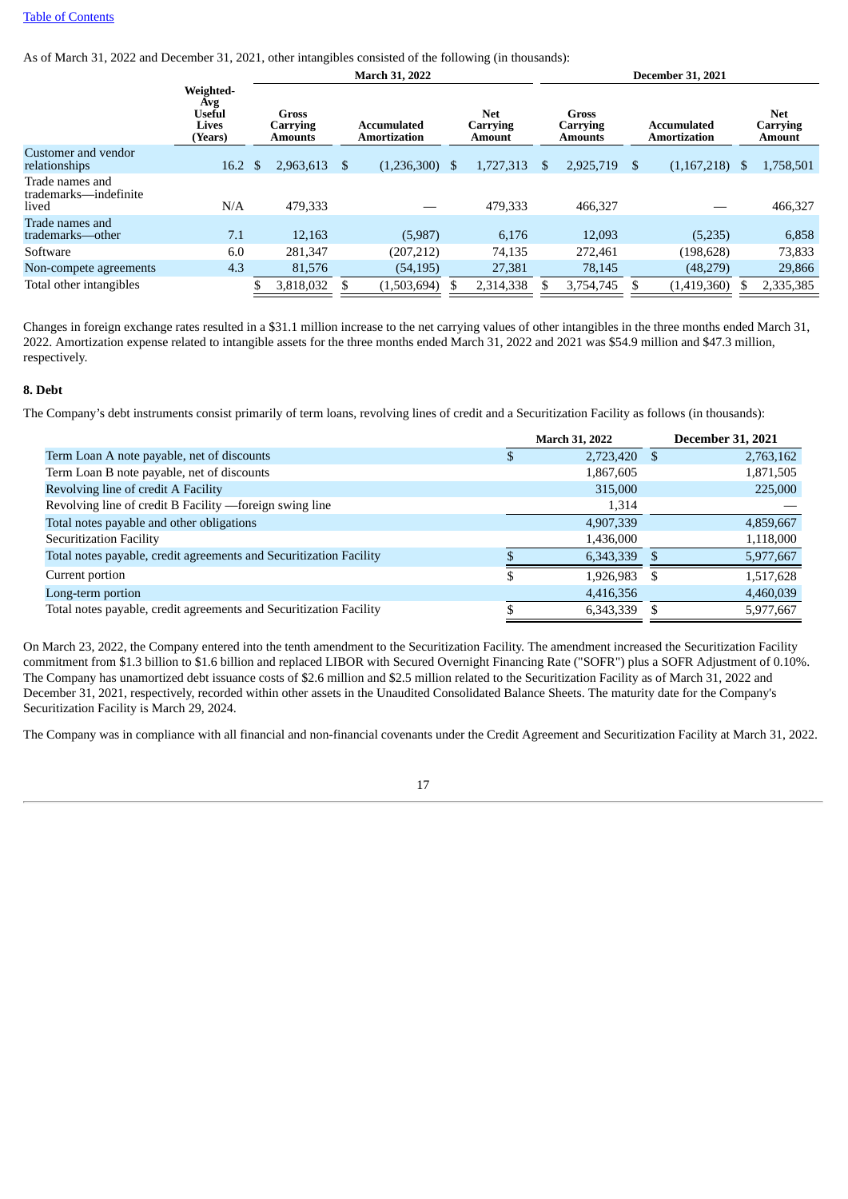#### As of March 31, 2022 and December 31, 2021, other intangibles consisted of the following (in thousands):

|                                                   |                                                              |    |                              |                                                                        | <b>March 31, 2022</b> |     |                              | <b>December 31, 2021</b> |           |                             |                                  |  |           |
|---------------------------------------------------|--------------------------------------------------------------|----|------------------------------|------------------------------------------------------------------------|-----------------------|-----|------------------------------|--------------------------|-----------|-----------------------------|----------------------------------|--|-----------|
|                                                   | Weighted-<br>Avg<br><b>Useful</b><br><b>Lives</b><br>(Years) |    | Gross<br>Carrying<br>Amounts | <b>Net</b><br>Accumulated<br>Carrying<br><b>Amortization</b><br>Amount |                       |     | Gross<br>Carrying<br>Amounts |                          |           | Accumulated<br>Amortization | <b>Net</b><br>Carrying<br>Amount |  |           |
| Customer and vendor<br>relationships              | 16.2                                                         | -S | 2,963,613                    | \$                                                                     | (1,236,300)           | -\$ | 1,727,313                    | \$.                      | 2,925,719 | \$                          | $(1,167,218)$ \$                 |  | 1,758,501 |
| Trade names and<br>trademarks-indefinite<br>lived | N/A                                                          |    | 479,333                      |                                                                        |                       |     | 479,333                      |                          | 466,327   |                             |                                  |  | 466,327   |
| Trade names and<br>trademarks-other               | 7.1                                                          |    | 12,163                       |                                                                        | (5,987)               |     | 6,176                        |                          | 12,093    |                             | (5,235)                          |  | 6,858     |
| Software                                          | 6.0                                                          |    | 281,347                      |                                                                        | (207, 212)            |     | 74,135                       |                          | 272,461   |                             | (198, 628)                       |  | 73,833    |
| Non-compete agreements                            | 4.3                                                          |    | 81,576                       |                                                                        | (54, 195)             |     | 27,381                       |                          | 78,145    |                             | (48, 279)                        |  | 29,866    |
| Total other intangibles                           |                                                              |    | 3,818,032                    |                                                                        | (1,503,694)           |     | 2,314,338                    |                          | 3,754,745 |                             | (1,419,360)                      |  | 2,335,385 |

Changes in foreign exchange rates resulted in a \$31.1 million increase to the net carrying values of other intangibles in the three months ended March 31, 2022. Amortization expense related to intangible assets for the three months ended March 31, 2022 and 2021 was \$54.9 million and \$47.3 million, respectively.

### **8. Debt**

The Company's debt instruments consist primarily of term loans, revolving lines of credit and a Securitization Facility as follows (in thousands):

|                                                                    | <b>March 31, 2022</b> |           |   | <b>December 31, 2021</b> |
|--------------------------------------------------------------------|-----------------------|-----------|---|--------------------------|
| Term Loan A note payable, net of discounts                         |                       | 2,723,420 |   | 2,763,162                |
| Term Loan B note payable, net of discounts                         |                       | 1,867,605 |   | 1,871,505                |
| Revolving line of credit A Facility                                |                       | 315,000   |   | 225,000                  |
| Revolving line of credit B Facility -foreign swing line            |                       | 1,314     |   |                          |
| Total notes payable and other obligations                          |                       | 4,907,339 |   | 4,859,667                |
| Securitization Facility                                            |                       | 1,436,000 |   | 1,118,000                |
| Total notes payable, credit agreements and Securitization Facility |                       | 6,343,339 |   | 5,977,667                |
| Current portion                                                    | S                     | 1,926,983 | S | 1,517,628                |
| Long-term portion                                                  |                       | 4,416,356 |   | 4,460,039                |
| Total notes payable, credit agreements and Securitization Facility |                       | 6,343,339 |   | 5,977,667                |

On March 23, 2022, the Company entered into the tenth amendment to the Securitization Facility. The amendment increased the Securitization Facility commitment from \$1.3 billion to \$1.6 billion and replaced LIBOR with Secured Overnight Financing Rate ("SOFR") plus a SOFR Adjustment of 0.10%. The Company has unamortized debt issuance costs of \$2.6 million and \$2.5 million related to the Securitization Facility as of March 31, 2022 and December 31, 2021, respectively, recorded within other assets in the Unaudited Consolidated Balance Sheets. The maturity date for the Company's Securitization Facility is March 29, 2024.

The Company was in compliance with all financial and non-financial covenants under the Credit Agreement and Securitization Facility at March 31, 2022.

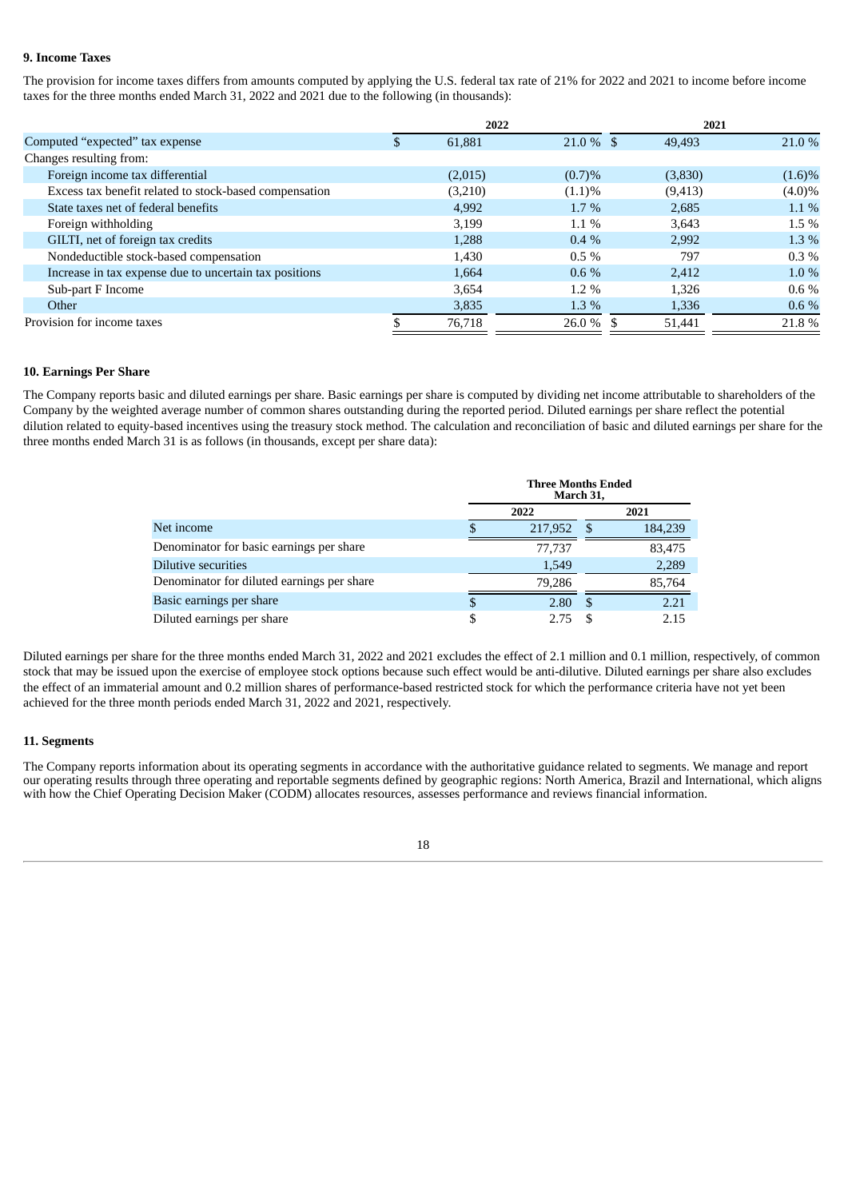### **9. Income Taxes**

The provision for income taxes differs from amounts computed by applying the U.S. federal tax rate of 21% for 2022 and 2021 to income before income taxes for the three months ended March 31, 2022 and 2021 due to the following (in thousands):

|                                                        |         | 2022        |          | 2021      |
|--------------------------------------------------------|---------|-------------|----------|-----------|
| Computed "expected" tax expense                        | 61.881  | $21.0\%$ \$ | 49.493   | 21.0 %    |
| Changes resulting from:                                |         |             |          |           |
| Foreign income tax differential                        | (2,015) | (0.7)%      | (3,830)  | $(1.6)\%$ |
| Excess tax benefit related to stock-based compensation | (3,210) | $(1.1)\%$   | (9, 413) | $(4.0)\%$ |
| State taxes net of federal benefits                    | 4.992   | $1.7\%$     | 2,685    | $1.1\%$   |
| Foreign withholding                                    | 3.199   | $1.1\%$     | 3.643    | $1.5\%$   |
| GILTI, net of foreign tax credits                      | 1.288   | $0.4\%$     | 2.992    | $1.3\%$   |
| Nondeductible stock-based compensation                 | 1.430   | $0.5\%$     | 797      | $0.3\%$   |
| Increase in tax expense due to uncertain tax positions | 1.664   | $0.6\%$     | 2.412    | $1.0\%$   |
| Sub-part F Income                                      | 3.654   | $1.2\%$     | 1.326    | $0.6\%$   |
| Other                                                  | 3,835   | $1.3\%$     | 1,336    | $0.6\%$   |
| Provision for income taxes                             | 76,718  | 26.0 %      | 51,441   | 21.8 %    |

#### **10. Earnings Per Share**

The Company reports basic and diluted earnings per share. Basic earnings per share is computed by dividing net income attributable to shareholders of the Company by the weighted average number of common shares outstanding during the reported period. Diluted earnings per share reflect the potential dilution related to equity-based incentives using the treasury stock method. The calculation and reconciliation of basic and diluted earnings per share for the three months ended March 31 is as follows (in thousands, except per share data):

|                                            | <b>Three Months Ended</b><br>March 31, |         |    |         |  |  |
|--------------------------------------------|----------------------------------------|---------|----|---------|--|--|
|                                            |                                        | 2022    |    | 2021    |  |  |
| Net income                                 |                                        | 217,952 | .S | 184,239 |  |  |
| Denominator for basic earnings per share   |                                        | 77,737  |    | 83,475  |  |  |
| Dilutive securities                        |                                        | 1,549   |    | 2,289   |  |  |
| Denominator for diluted earnings per share |                                        | 79,286  |    | 85,764  |  |  |
| Basic earnings per share                   | \$                                     | 2.80    | S  | 2.21    |  |  |
| Diluted earnings per share                 | \$                                     | 2.75    | S  | 2.15    |  |  |

Diluted earnings per share for the three months ended March 31, 2022 and 2021 excludes the effect of 2.1 million and 0.1 million, respectively, of common stock that may be issued upon the exercise of employee stock options because such effect would be anti-dilutive. Diluted earnings per share also excludes the effect of an immaterial amount and 0.2 million shares of performance-based restricted stock for which the performance criteria have not yet been achieved for the three month periods ended March 31, 2022 and 2021, respectively.

#### **11. Segments**

The Company reports information about its operating segments in accordance with the authoritative guidance related to segments. We manage and report our operating results through three operating and reportable segments defined by geographic regions: North America, Brazil and International, which aligns with how the Chief Operating Decision Maker (CODM) allocates resources, assesses performance and reviews financial information.

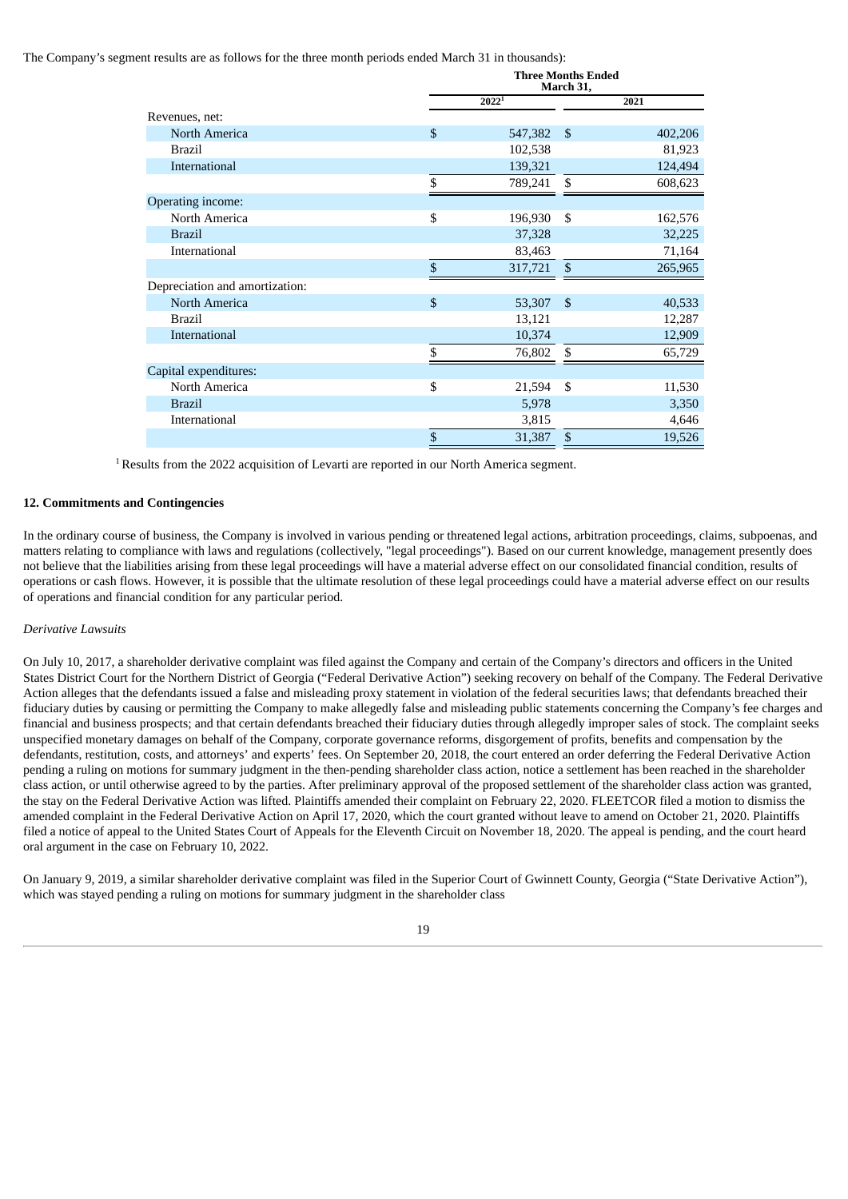The Company's segment results are as follows for the three month periods ended March 31 in thousands):

|                                |              | <b>Three Months Ended</b><br>March 31, |              |         |  |  |
|--------------------------------|--------------|----------------------------------------|--------------|---------|--|--|
|                                |              | 2022 <sup>1</sup>                      |              | 2021    |  |  |
| Revenues, net:                 |              |                                        |              |         |  |  |
| North America                  | $\mathbb{S}$ | 547,382                                | $\mathbf{s}$ | 402,206 |  |  |
| <b>Brazil</b>                  |              | 102,538                                |              | 81,923  |  |  |
| International                  |              | 139,321                                |              | 124,494 |  |  |
|                                | \$           | 789,241                                | \$           | 608,623 |  |  |
| Operating income:              |              |                                        |              |         |  |  |
| North America                  | \$           | 196,930                                | \$           | 162,576 |  |  |
| <b>Brazil</b>                  |              | 37,328                                 |              | 32,225  |  |  |
| International                  |              | 83,463                                 |              | 71,164  |  |  |
|                                | \$           | 317,721                                | \$           | 265,965 |  |  |
| Depreciation and amortization: |              |                                        |              |         |  |  |
| <b>North America</b>           | $\mathbb{S}$ | 53,307                                 | $\mathbf{s}$ | 40,533  |  |  |
| <b>Brazil</b>                  |              | 13,121                                 |              | 12,287  |  |  |
| International                  |              | 10,374                                 |              | 12,909  |  |  |
|                                | \$           | 76,802                                 | \$           | 65,729  |  |  |
| Capital expenditures:          |              |                                        |              |         |  |  |
| North America                  | \$           | 21,594                                 | \$           | 11,530  |  |  |
| <b>Brazil</b>                  |              | 5,978                                  |              | 3,350   |  |  |
| International                  |              | 3,815                                  |              | 4,646   |  |  |
|                                | \$           | 31,387                                 | $\mathbb{S}$ | 19,526  |  |  |

 $1$  Results from the 2022 acquisition of Levarti are reported in our North America segment.

#### **12. Commitments and Contingencies**

In the ordinary course of business, the Company is involved in various pending or threatened legal actions, arbitration proceedings, claims, subpoenas, and matters relating to compliance with laws and regulations (collectively, "legal proceedings"). Based on our current knowledge, management presently does not believe that the liabilities arising from these legal proceedings will have a material adverse effect on our consolidated financial condition, results of operations or cash flows. However, it is possible that the ultimate resolution of these legal proceedings could have a material adverse effect on our results of operations and financial condition for any particular period.

#### *Derivative Lawsuits*

On July 10, 2017, a shareholder derivative complaint was filed against the Company and certain of the Company's directors and officers in the United States District Court for the Northern District of Georgia ("Federal Derivative Action") seeking recovery on behalf of the Company. The Federal Derivative Action alleges that the defendants issued a false and misleading proxy statement in violation of the federal securities laws; that defendants breached their fiduciary duties by causing or permitting the Company to make allegedly false and misleading public statements concerning the Company's fee charges and financial and business prospects; and that certain defendants breached their fiduciary duties through allegedly improper sales of stock. The complaint seeks unspecified monetary damages on behalf of the Company, corporate governance reforms, disgorgement of profits, benefits and compensation by the defendants, restitution, costs, and attorneys' and experts' fees. On September 20, 2018, the court entered an order deferring the Federal Derivative Action pending a ruling on motions for summary judgment in the then-pending shareholder class action, notice a settlement has been reached in the shareholder class action, or until otherwise agreed to by the parties. After preliminary approval of the proposed settlement of the shareholder class action was granted, the stay on the Federal Derivative Action was lifted. Plaintiffs amended their complaint on February 22, 2020. FLEETCOR filed a motion to dismiss the amended complaint in the Federal Derivative Action on April 17, 2020, which the court granted without leave to amend on October 21, 2020. Plaintiffs filed a notice of appeal to the United States Court of Appeals for the Eleventh Circuit on November 18, 2020. The appeal is pending, and the court heard oral argument in the case on February 10, 2022.

On January 9, 2019, a similar shareholder derivative complaint was filed in the Superior Court of Gwinnett County, Georgia ("State Derivative Action"), which was stayed pending a ruling on motions for summary judgment in the shareholder class

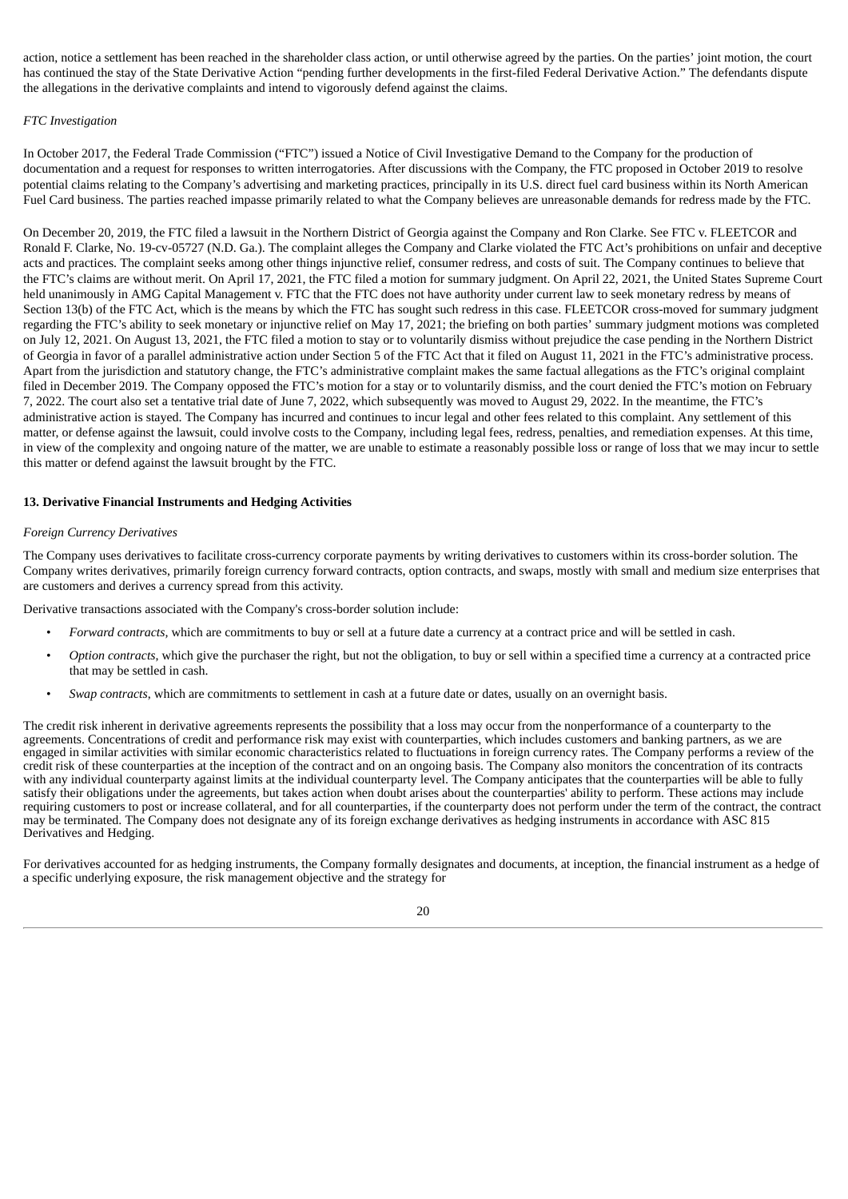action, notice a settlement has been reached in the shareholder class action, or until otherwise agreed by the parties. On the parties' joint motion, the court has continued the stay of the State Derivative Action "pending further developments in the first-filed Federal Derivative Action." The defendants dispute the allegations in the derivative complaints and intend to vigorously defend against the claims.

#### *FTC Investigation*

In October 2017, the Federal Trade Commission ("FTC") issued a Notice of Civil Investigative Demand to the Company for the production of documentation and a request for responses to written interrogatories. After discussions with the Company, the FTC proposed in October 2019 to resolve potential claims relating to the Company's advertising and marketing practices, principally in its U.S. direct fuel card business within its North American Fuel Card business. The parties reached impasse primarily related to what the Company believes are unreasonable demands for redress made by the FTC.

On December 20, 2019, the FTC filed a lawsuit in the Northern District of Georgia against the Company and Ron Clarke. See FTC v. FLEETCOR and Ronald F. Clarke, No. 19-cv-05727 (N.D. Ga.). The complaint alleges the Company and Clarke violated the FTC Act's prohibitions on unfair and deceptive acts and practices. The complaint seeks among other things injunctive relief, consumer redress, and costs of suit. The Company continues to believe that the FTC's claims are without merit. On April 17, 2021, the FTC filed a motion for summary judgment. On April 22, 2021, the United States Supreme Court held unanimously in AMG Capital Management v. FTC that the FTC does not have authority under current law to seek monetary redress by means of Section 13(b) of the FTC Act, which is the means by which the FTC has sought such redress in this case. FLEETCOR cross-moved for summary judgment regarding the FTC's ability to seek monetary or injunctive relief on May 17, 2021; the briefing on both parties' summary judgment motions was completed on July 12, 2021. On August 13, 2021, the FTC filed a motion to stay or to voluntarily dismiss without prejudice the case pending in the Northern District of Georgia in favor of a parallel administrative action under Section 5 of the FTC Act that it filed on August 11, 2021 in the FTC's administrative process. Apart from the jurisdiction and statutory change, the FTC's administrative complaint makes the same factual allegations as the FTC's original complaint filed in December 2019. The Company opposed the FTC's motion for a stay or to voluntarily dismiss, and the court denied the FTC's motion on February 7, 2022. The court also set a tentative trial date of June 7, 2022, which subsequently was moved to August 29, 2022. In the meantime, the FTC's administrative action is stayed. The Company has incurred and continues to incur legal and other fees related to this complaint. Any settlement of this matter, or defense against the lawsuit, could involve costs to the Company, including legal fees, redress, penalties, and remediation expenses. At this time, in view of the complexity and ongoing nature of the matter, we are unable to estimate a reasonably possible loss or range of loss that we may incur to settle this matter or defend against the lawsuit brought by the FTC.

#### **13. Derivative Financial Instruments and Hedging Activities**

#### *Foreign Currency Derivatives*

The Company uses derivatives to facilitate cross-currency corporate payments by writing derivatives to customers within its cross-border solution. The Company writes derivatives, primarily foreign currency forward contracts, option contracts, and swaps, mostly with small and medium size enterprises that are customers and derives a currency spread from this activity.

Derivative transactions associated with the Company's cross-border solution include:

- *Forward contracts,* which are commitments to buy or sell at a future date a currency at a contract price and will be settled in cash.
- *Option contracts*, which give the purchaser the right, but not the obligation, to buy or sell within a specified time a currency at a contracted price that may be settled in cash.
- *Swap contracts*, which are commitments to settlement in cash at a future date or dates, usually on an overnight basis.

The credit risk inherent in derivative agreements represents the possibility that a loss may occur from the nonperformance of a counterparty to the agreements. Concentrations of credit and performance risk may exist with counterparties, which includes customers and banking partners, as we are engaged in similar activities with similar economic characteristics related to fluctuations in foreign currency rates. The Company performs a review of the credit risk of these counterparties at the inception of the contract and on an ongoing basis. The Company also monitors the concentration of its contracts with any individual counterparty against limits at the individual counterparty level. The Company anticipates that the counterparties will be able to fully satisfy their obligations under the agreements, but takes action when doubt arises about the counterparties' ability to perform. These actions may include requiring customers to post or increase collateral, and for all counterparties, if the counterparty does not perform under the term of the contract, the contract may be terminated. The Company does not designate any of its foreign exchange derivatives as hedging instruments in accordance with ASC 815 Derivatives and Hedging.

For derivatives accounted for as hedging instruments, the Company formally designates and documents, at inception, the financial instrument as a hedge of a specific underlying exposure, the risk management objective and the strategy for

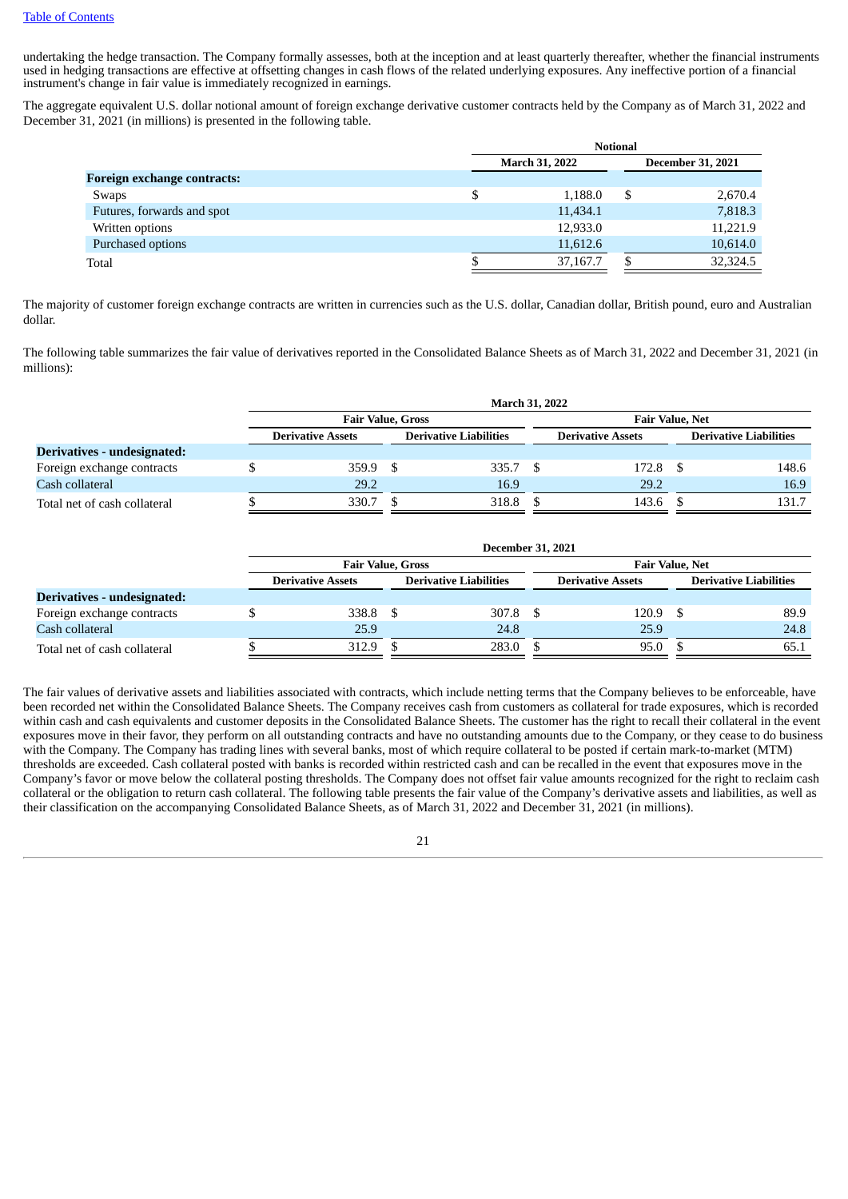undertaking the hedge transaction. The Company formally assesses, both at the inception and at least quarterly thereafter, whether the financial instruments used in hedging transactions are effective at offsetting changes in cash flows of the related underlying exposures. Any ineffective portion of a financial instrument's change in fair value is immediately recognized in earnings.

The aggregate equivalent U.S. dollar notional amount of foreign exchange derivative customer contracts held by the Company as of March 31, 2022 and December 31, 2021 (in millions) is presented in the following table.

|                                    | <b>Notional</b>       |          |    |                          |  |  |  |  |  |
|------------------------------------|-----------------------|----------|----|--------------------------|--|--|--|--|--|
|                                    | <b>March 31, 2022</b> |          |    | <b>December 31, 2021</b> |  |  |  |  |  |
| <b>Foreign exchange contracts:</b> |                       |          |    |                          |  |  |  |  |  |
| Swaps                              | S                     | 1,188.0  | \$ | 2,670.4                  |  |  |  |  |  |
| Futures, forwards and spot         |                       | 11,434.1 |    | 7,818.3                  |  |  |  |  |  |
| Written options                    |                       | 12,933.0 |    | 11,221.9                 |  |  |  |  |  |
| Purchased options                  |                       | 11,612.6 |    | 10,614.0                 |  |  |  |  |  |
| Total                              |                       | 37,167.7 |    | 32,324.5                 |  |  |  |  |  |

The majority of customer foreign exchange contracts are written in currencies such as the U.S. dollar, Canadian dollar, British pound, euro and Australian dollar.

The following table summarizes the fair value of derivatives reported in the Consolidated Balance Sheets as of March 31, 2022 and December 31, 2021 (in millions):

|                              | <b>March 31, 2022</b>    |  |                               |                        |                          |                               |       |  |  |  |
|------------------------------|--------------------------|--|-------------------------------|------------------------|--------------------------|-------------------------------|-------|--|--|--|
|                              | <b>Fair Value, Gross</b> |  |                               | <b>Fair Value, Net</b> |                          |                               |       |  |  |  |
|                              | <b>Derivative Assets</b> |  | <b>Derivative Liabilities</b> |                        | <b>Derivative Assets</b> | <b>Derivative Liabilities</b> |       |  |  |  |
| Derivatives - undesignated:  |                          |  |                               |                        |                          |                               |       |  |  |  |
| Foreign exchange contracts   | $359.9$ \$               |  | 335.7                         | -8                     | 172.8                    | -S                            | 148.6 |  |  |  |
| Cash collateral              | 29.2                     |  | 16.9                          |                        | 29.2                     |                               | 16.9  |  |  |  |
| Total net of cash collateral | 330.7                    |  | 318.8                         |                        | 143.6                    |                               | 131.7 |  |  |  |

|                              | <b>December 31, 2021</b> |  |                               |                          |                    |  |                               |  |  |  |  |
|------------------------------|--------------------------|--|-------------------------------|--------------------------|--------------------|--|-------------------------------|--|--|--|--|
|                              | <b>Fair Value, Gross</b> |  |                               | <b>Fair Value, Net</b>   |                    |  |                               |  |  |  |  |
|                              | <b>Derivative Assets</b> |  | <b>Derivative Liabilities</b> | <b>Derivative Assets</b> |                    |  | <b>Derivative Liabilities</b> |  |  |  |  |
| Derivatives - undesignated:  |                          |  |                               |                          |                    |  |                               |  |  |  |  |
| Foreign exchange contracts   | $338.8$ \$               |  | 307.8                         | - \$                     | 120.9 <sup>5</sup> |  | 89.9                          |  |  |  |  |
| Cash collateral              | 25.9                     |  | 24.8                          |                          | 25.9               |  | 24.8                          |  |  |  |  |
| Total net of cash collateral | 312.9                    |  | 283.0                         |                          | 95.0               |  | 65.1                          |  |  |  |  |

The fair values of derivative assets and liabilities associated with contracts, which include netting terms that the Company believes to be enforceable, have been recorded net within the Consolidated Balance Sheets. The Company receives cash from customers as collateral for trade exposures, which is recorded within cash and cash equivalents and customer deposits in the Consolidated Balance Sheets. The customer has the right to recall their collateral in the event exposures move in their favor, they perform on all outstanding contracts and have no outstanding amounts due to the Company, or they cease to do business with the Company. The Company has trading lines with several banks, most of which require collateral to be posted if certain mark-to-market (MTM) thresholds are exceeded. Cash collateral posted with banks is recorded within restricted cash and can be recalled in the event that exposures move in the Company's favor or move below the collateral posting thresholds. The Company does not offset fair value amounts recognized for the right to reclaim cash collateral or the obligation to return cash collateral. The following table presents the fair value of the Company's derivative assets and liabilities, as well as their classification on the accompanying Consolidated Balance Sheets, as of March 31, 2022 and December 31, 2021 (in millions).

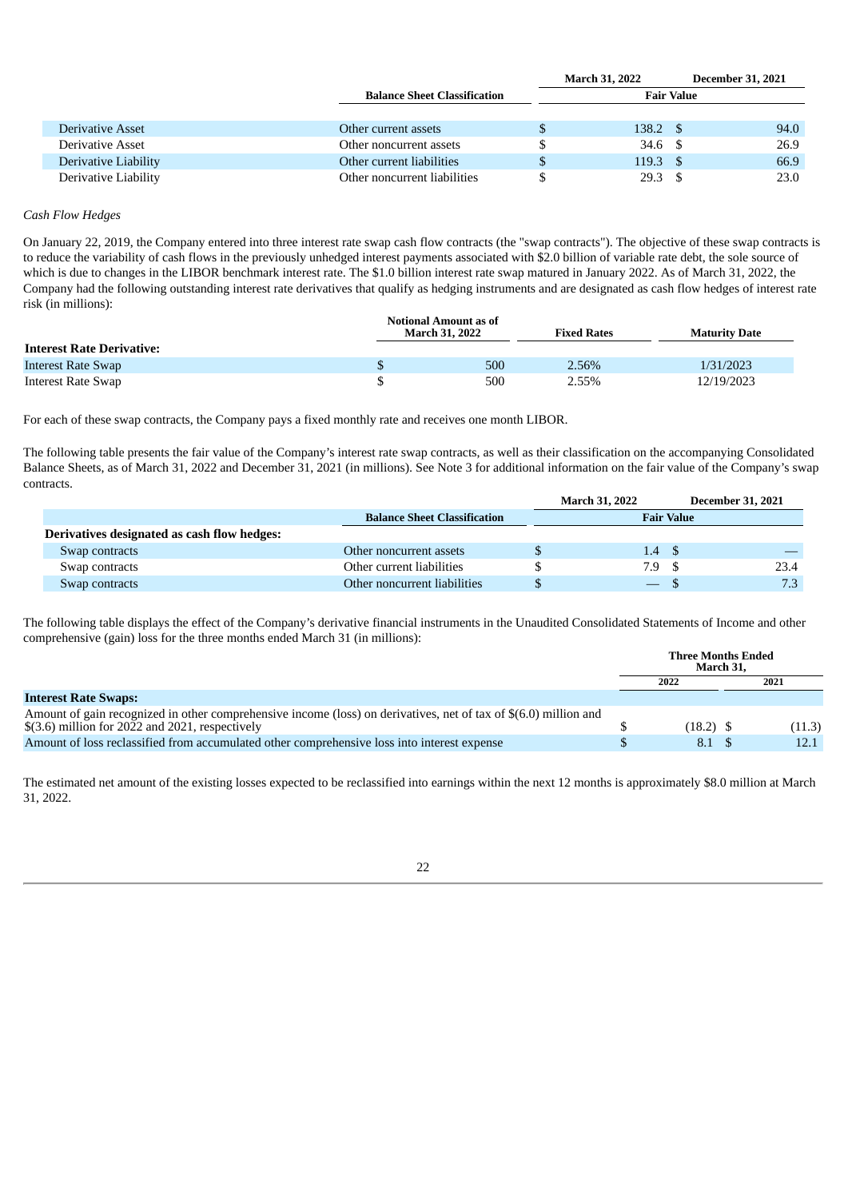|                         |                                     |                   | <b>March 31, 2022</b> |  | <b>December 31, 2021</b> |
|-------------------------|-------------------------------------|-------------------|-----------------------|--|--------------------------|
|                         | <b>Balance Sheet Classification</b> | <b>Fair Value</b> |                       |  |                          |
|                         |                                     |                   |                       |  |                          |
| <b>Derivative Asset</b> | Other current assets                |                   | 138.2 \$              |  | 94.0                     |
| <b>Derivative Asset</b> | Other noncurrent assets             |                   | 34.6 <sup>5</sup>     |  | 26.9                     |
| Derivative Liability    | Other current liabilities           |                   | $119.3$ \$            |  | 66.9                     |
| Derivative Liability    | Other noncurrent liabilities        |                   | 29.3 <sup>5</sup>     |  | 23.0                     |

#### *Cash Flow Hedges*

On January 22, 2019, the Company entered into three interest rate swap cash flow contracts (the "swap contracts"). The objective of these swap contracts is to reduce the variability of cash flows in the previously unhedged interest payments associated with \$2.0 billion of variable rate debt, the sole source of which is due to changes in the LIBOR benchmark interest rate. The \$1.0 billion interest rate swap matured in January 2022. As of March 31, 2022, the Company had the following outstanding interest rate derivatives that qualify as hedging instruments and are designated as cash flow hedges of interest rate risk (in millions):

|                                  | <b>Notional Amount as of</b><br><b>March 31, 2022</b> | <b>Fixed Rates</b> | <b>Maturity Date</b> |
|----------------------------------|-------------------------------------------------------|--------------------|----------------------|
| <b>Interest Rate Derivative:</b> |                                                       |                    |                      |
| Interest Rate Swap               | 500                                                   | 2.56%              | 1/31/2023            |
| Interest Rate Swap               | 500                                                   | 2.55%              | 12/19/2023           |

For each of these swap contracts, the Company pays a fixed monthly rate and receives one month LIBOR.

The following table presents the fair value of the Company's interest rate swap contracts, as well as their classification on the accompanying Consolidated Balance Sheets, as of March 31, 2022 and December 31, 2021 (in millions). See Note 3 for additional information on the fair value of the Company's swap contracts.

|                                             |                                     | <b>March 31, 2022</b> |                   | <b>December 31, 2021</b> |
|---------------------------------------------|-------------------------------------|-----------------------|-------------------|--------------------------|
|                                             | <b>Balance Sheet Classification</b> |                       | <b>Fair Value</b> |                          |
| Derivatives designated as cash flow hedges: |                                     |                       |                   |                          |
| Swap contracts                              | Other noncurrent assets             |                       | $1.4 \quad$ \$    |                          |
| Swap contracts                              | Other current liabilities           |                       | 7.9 \$            | 23.4                     |
| Swap contracts                              | Other noncurrent liabilities        |                       | $-$ \$            | 72                       |

The following table displays the effect of the Company's derivative financial instruments in the Unaudited Consolidated Statements of Income and other comprehensive (gain) loss for the three months ended March 31 (in millions):

|                                                                                                                                                                     | <b>Three Months Ended</b><br>March 31. |        |
|---------------------------------------------------------------------------------------------------------------------------------------------------------------------|----------------------------------------|--------|
|                                                                                                                                                                     | 2022                                   | 2021   |
| <b>Interest Rate Swaps:</b>                                                                                                                                         |                                        |        |
| Amount of gain recognized in other comprehensive income (loss) on derivatives, net of tax of \$(6.0) million and<br>$(3.6)$ million for 2022 and 2021, respectively | $(18.2)$ \$                            | (11.3) |
| Amount of loss reclassified from accumulated other comprehensive loss into interest expense                                                                         | 8.1                                    |        |

The estimated net amount of the existing losses expected to be reclassified into earnings within the next 12 months is approximately \$8.0 million at March 31, 2022.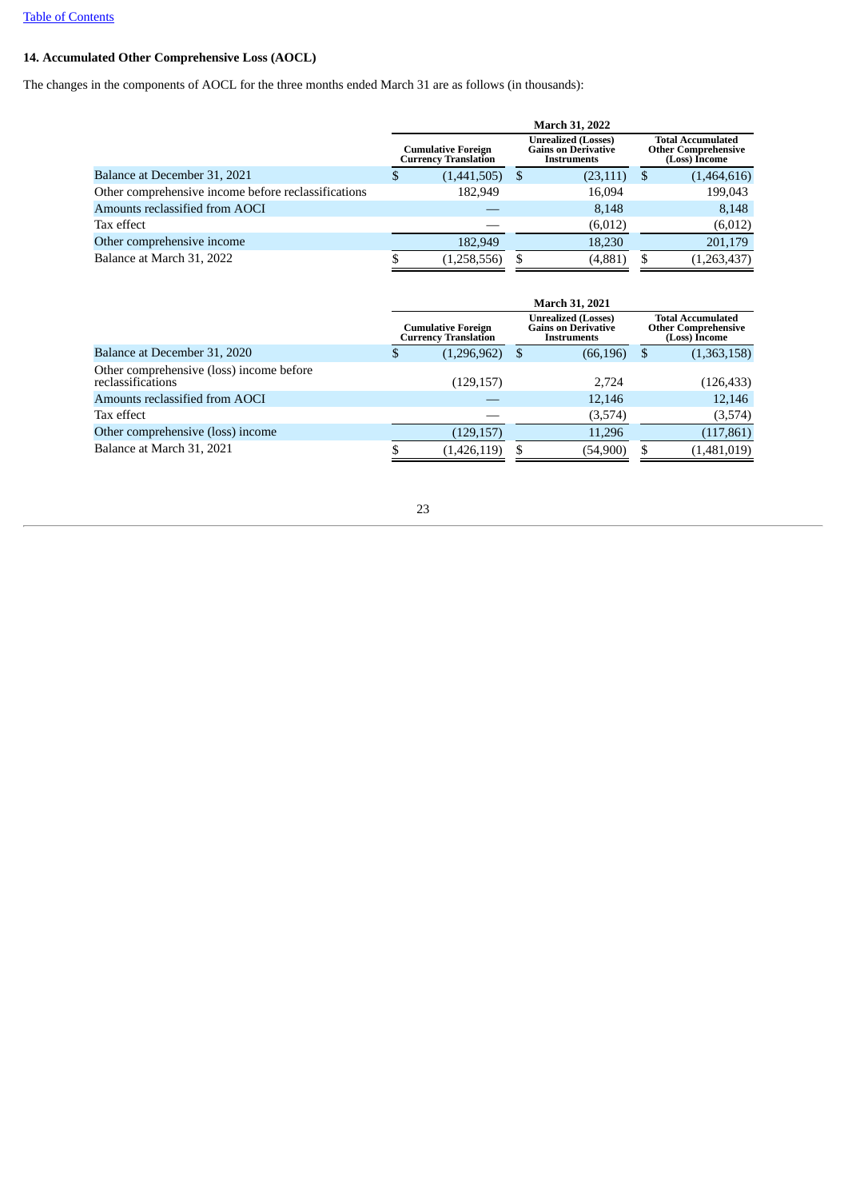## Table of [Contents](#page-0-0)

## **14. Accumulated Other Comprehensive Loss (AOCL)**

The changes in the components of AOCL for the three months ended March 31 are as follows (in thousands):

|                                                     |                                                          | March 31, 2022                                                                 |                                                                         |
|-----------------------------------------------------|----------------------------------------------------------|--------------------------------------------------------------------------------|-------------------------------------------------------------------------|
|                                                     | <b>Cumulative Foreign</b><br><b>Currency Translation</b> | <b>Unrealized (Losses)</b><br><b>Gains on Derivative</b><br><b>Instruments</b> | <b>Total Accumulated</b><br><b>Other Comprehensive</b><br>(Loss) Income |
| Balance at December 31, 2021                        | \$<br>(1,441,505)                                        | \$<br>(23, 111)                                                                | \$<br>(1,464,616)                                                       |
| Other comprehensive income before reclassifications | 182,949                                                  | 16,094                                                                         | 199,043                                                                 |
| Amounts reclassified from AOCI                      |                                                          | 8,148                                                                          | 8,148                                                                   |
| Tax effect                                          |                                                          | (6,012)                                                                        | (6,012)                                                                 |
| Other comprehensive income                          | 182.949                                                  | 18,230                                                                         | 201,179                                                                 |
| Balance at March 31, 2022                           | (1,258,556)                                              | (4, 881)                                                                       | (1,263,437)                                                             |

<span id="page-24-0"></span>

|                                                               | March 31, 2021 |                                                          |   |                                                                         |   |                                                                         |
|---------------------------------------------------------------|----------------|----------------------------------------------------------|---|-------------------------------------------------------------------------|---|-------------------------------------------------------------------------|
|                                                               |                | <b>Cumulative Foreign</b><br><b>Currency Translation</b> |   | <b>Unrealized (Losses)</b><br><b>Gains on Derivative</b><br>Instruments |   | <b>Total Accumulated</b><br><b>Other Comprehensive</b><br>(Loss) Income |
| Balance at December 31, 2020                                  | \$             | (1,296,962)                                              | S | (66, 196)                                                               | S | (1,363,158)                                                             |
| Other comprehensive (loss) income before<br>reclassifications |                | (129, 157)                                               |   | 2,724                                                                   |   | (126, 433)                                                              |
| Amounts reclassified from AOCI                                |                |                                                          |   | 12,146                                                                  |   | 12,146                                                                  |
| Tax effect                                                    |                |                                                          |   | (3,574)                                                                 |   | (3,574)                                                                 |
| Other comprehensive (loss) income                             |                | (129,157)                                                |   | 11,296                                                                  |   | (117, 861)                                                              |
| Balance at March 31, 2021                                     |                | (1,426,119)                                              |   | (54,900)                                                                |   | (1,481,019)                                                             |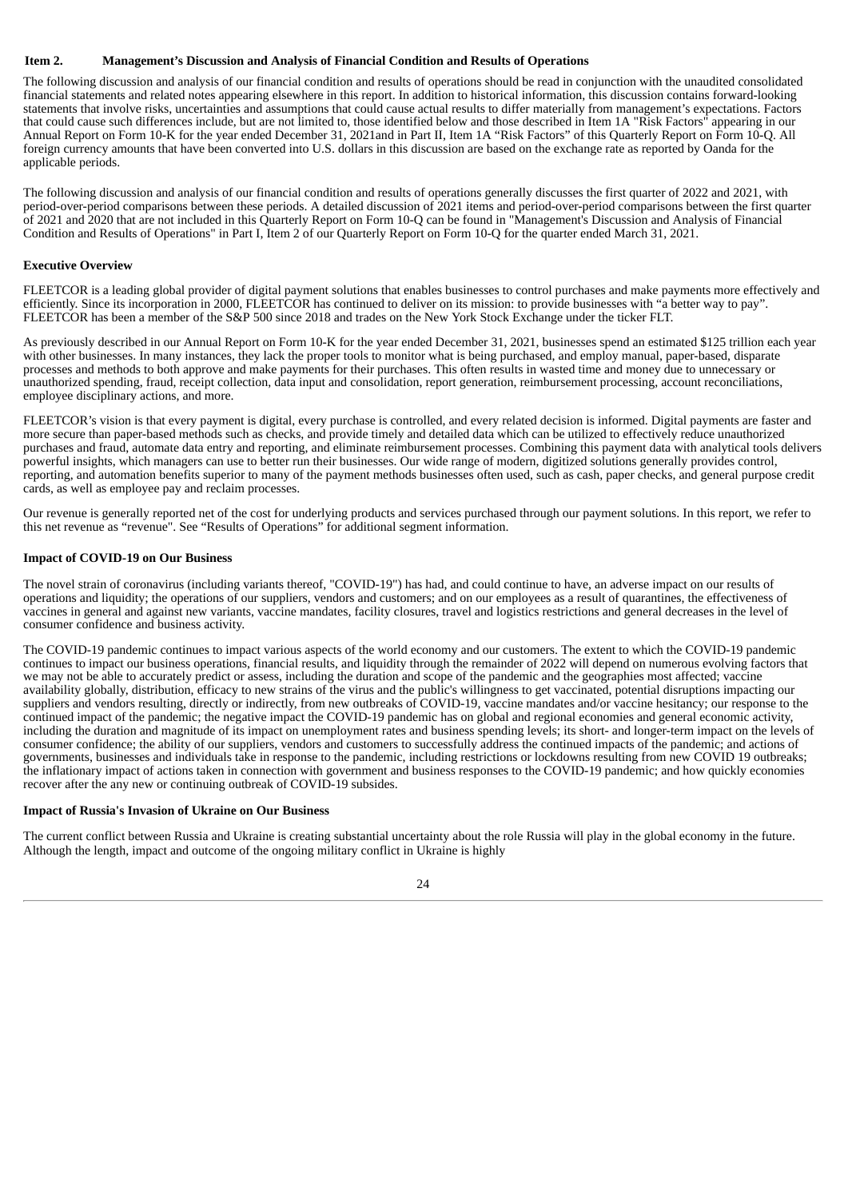#### **Item 2. Management's Discussion and Analysis of Financial Condition and Results of Operations**

The following discussion and analysis of our financial condition and results of operations should be read in conjunction with the unaudited consolidated financial statements and related notes appearing elsewhere in this report. In addition to historical information, this discussion contains forward-looking statements that involve risks, uncertainties and assumptions that could cause actual results to differ materially from management's expectations. Factors that could cause such differences include, but are not limited to, those identified below and those described in Item 1A "Risk Factors" appearing in our Annual Report on Form 10-K for the year ended December 31, 2021and in Part II, Item 1A "Risk Factors" of this Quarterly Report on Form 10-Q. All foreign currency amounts that have been converted into U.S. dollars in this discussion are based on the exchange rate as reported by Oanda for the applicable periods.

The following discussion and analysis of our financial condition and results of operations generally discusses the first quarter of 2022 and 2021, with period-over-period comparisons between these periods. A detailed discussion of 2021 items and period-over-period comparisons between the first quarter of 2021 and 2020 that are not included in this Quarterly Report on Form 10-Q can be found in "Management's Discussion and Analysis of Financial Condition and Results of Operations" in Part I, Item 2 of our Quarterly Report on Form 10-Q for the quarter ended March 31, 2021.

#### **Executive Overview**

FLEETCOR is a leading global provider of digital payment solutions that enables businesses to control purchases and make payments more effectively and efficiently. Since its incorporation in 2000, FLEETCOR has continued to deliver on its mission: to provide businesses with "a better way to pay". FLEETCOR has been a member of the S&P 500 since 2018 and trades on the New York Stock Exchange under the ticker FLT.

As previously described in our Annual Report on Form 10-K for the year ended December 31, 2021, businesses spend an estimated \$125 trillion each year with other businesses. In many instances, they lack the proper tools to monitor what is being purchased, and employ manual, paper-based, disparate processes and methods to both approve and make payments for their purchases. This often results in wasted time and money due to unnecessary or unauthorized spending, fraud, receipt collection, data input and consolidation, report generation, reimbursement processing, account reconciliations, employee disciplinary actions, and more.

FLEETCOR's vision is that every payment is digital, every purchase is controlled, and every related decision is informed. Digital payments are faster and more secure than paper-based methods such as checks, and provide timely and detailed data which can be utilized to effectively reduce unauthorized purchases and fraud, automate data entry and reporting, and eliminate reimbursement processes. Combining this payment data with analytical tools delivers powerful insights, which managers can use to better run their businesses. Our wide range of modern, digitized solutions generally provides control, reporting, and automation benefits superior to many of the payment methods businesses often used, such as cash, paper checks, and general purpose credit cards, as well as employee pay and reclaim processes.

Our revenue is generally reported net of the cost for underlying products and services purchased through our payment solutions. In this report, we refer to this net revenue as "revenue". See "Results of Operations" for additional segment information.

#### **Impact of COVID-19 on Our Business**

The novel strain of coronavirus (including variants thereof, "COVID-19") has had, and could continue to have, an adverse impact on our results of operations and liquidity; the operations of our suppliers, vendors and customers; and on our employees as a result of quarantines, the effectiveness of vaccines in general and against new variants, vaccine mandates, facility closures, travel and logistics restrictions and general decreases in the level of consumer confidence and business activity.

The COVID-19 pandemic continues to impact various aspects of the world economy and our customers. The extent to which the COVID-19 pandemic continues to impact our business operations, financial results, and liquidity through the remainder of 2022 will depend on numerous evolving factors that we may not be able to accurately predict or assess, including the duration and scope of the pandemic and the geographies most affected; vaccine availability globally, distribution, efficacy to new strains of the virus and the public's willingness to get vaccinated, potential disruptions impacting our suppliers and vendors resulting, directly or indirectly, from new outbreaks of COVID-19, vaccine mandates and/or vaccine hesitancy; our response to the continued impact of the pandemic; the negative impact the COVID-19 pandemic has on global and regional economies and general economic activity, including the duration and magnitude of its impact on unemployment rates and business spending levels; its short- and longer-term impact on the levels of consumer confidence; the ability of our suppliers, vendors and customers to successfully address the continued impacts of the pandemic; and actions of governments, businesses and individuals take in response to the pandemic, including restrictions or lockdowns resulting from new COVID 19 outbreaks; the inflationary impact of actions taken in connection with government and business responses to the COVID-19 pandemic; and how quickly economies recover after the any new or continuing outbreak of COVID-19 subsides.

#### **Impact of Russia's Invasion of Ukraine on Our Business**

The current conflict between Russia and Ukraine is creating substantial uncertainty about the role Russia will play in the global economy in the future. Although the length, impact and outcome of the ongoing military conflict in Ukraine is highly

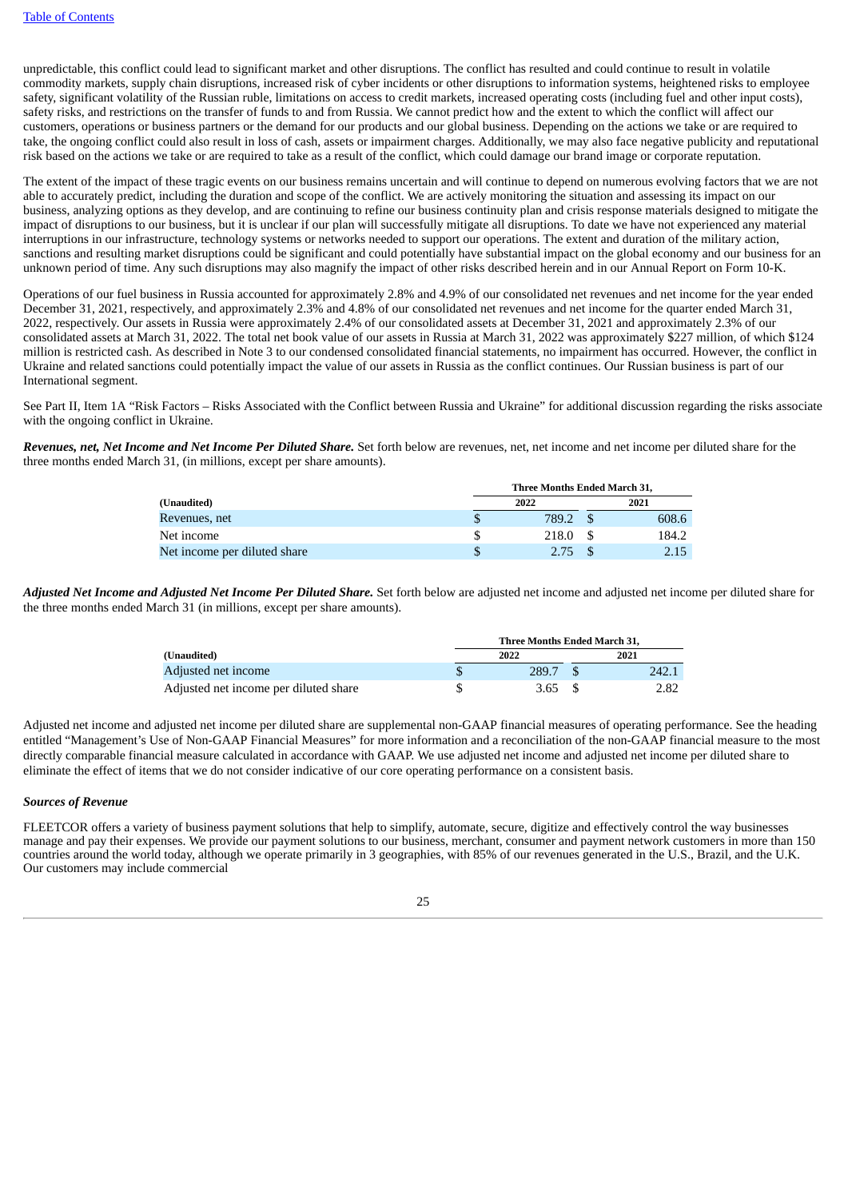unpredictable, this conflict could lead to significant market and other disruptions. The conflict has resulted and could continue to result in volatile commodity markets, supply chain disruptions, increased risk of cyber incidents or other disruptions to information systems, heightened risks to employee safety, significant volatility of the Russian ruble, limitations on access to credit markets, increased operating costs (including fuel and other input costs), safety risks, and restrictions on the transfer of funds to and from Russia. We cannot predict how and the extent to which the conflict will affect our customers, operations or business partners or the demand for our products and our global business. Depending on the actions we take or are required to take, the ongoing conflict could also result in loss of cash, assets or impairment charges. Additionally, we may also face negative publicity and reputational risk based on the actions we take or are required to take as a result of the conflict, which could damage our brand image or corporate reputation.

The extent of the impact of these tragic events on our business remains uncertain and will continue to depend on numerous evolving factors that we are not able to accurately predict, including the duration and scope of the conflict. We are actively monitoring the situation and assessing its impact on our business, analyzing options as they develop, and are continuing to refine our business continuity plan and crisis response materials designed to mitigate the impact of disruptions to our business, but it is unclear if our plan will successfully mitigate all disruptions. To date we have not experienced any material interruptions in our infrastructure, technology systems or networks needed to support our operations. The extent and duration of the military action, sanctions and resulting market disruptions could be significant and could potentially have substantial impact on the global economy and our business for an unknown period of time. Any such disruptions may also magnify the impact of other risks described herein and in our Annual Report on Form 10-K.

Operations of our fuel business in Russia accounted for approximately 2.8% and 4.9% of our consolidated net revenues and net income for the year ended December 31, 2021, respectively, and approximately 2.3% and 4.8% of our consolidated net revenues and net income for the quarter ended March 31, 2022, respectively. Our assets in Russia were approximately 2.4% of our consolidated assets at December 31, 2021 and approximately 2.3% of our consolidated assets at March 31, 2022. The total net book value of our assets in Russia at March 31, 2022 was approximately \$227 million, of which \$124 million is restricted cash. As described in Note 3 to our condensed consolidated financial statements, no impairment has occurred. However, the conflict in Ukraine and related sanctions could potentially impact the value of our assets in Russia as the conflict continues. Our Russian business is part of our International segment.

See Part II, Item 1A "Risk Factors – Risks Associated with the Conflict between Russia and Ukraine" for additional discussion regarding the risks associate with the ongoing conflict in Ukraine.

*Revenues, net, Net Income and Net Income Per Diluted Share.* Set forth below are revenues, net, net income and net income per diluted share for the three months ended March 31, (in millions, except per share amounts).

|                              | Three Months Ended March 31, |       |
|------------------------------|------------------------------|-------|
| (Unaudited)                  | 2022                         | 2021  |
| Revenues, net                | 789.2                        | 608.6 |
| Net income                   | 218.0                        | 184.2 |
| Net income per diluted share | 2.75                         | 2.15  |

*Adjusted Net Income and Adjusted Net Income Per Diluted Share.* Set forth below are adjusted net income and adjusted net income per diluted share for the three months ended March 31 (in millions, except per share amounts).

|                                       | <b>Three Months Ended March 31.</b> |       |
|---------------------------------------|-------------------------------------|-------|
| (Unaudited)                           | 2022                                | 2021  |
| Adjusted net income                   | 289.7                               | 242.1 |
| Adjusted net income per diluted share | $3.65$ \$                           | 2.82  |

Adjusted net income and adjusted net income per diluted share are supplemental non-GAAP financial measures of operating performance. See the heading entitled "Management's Use of Non-GAAP Financial Measures" for more information and a reconciliation of the non-GAAP financial measure to the most directly comparable financial measure calculated in accordance with GAAP. We use adjusted net income and adjusted net income per diluted share to eliminate the effect of items that we do not consider indicative of our core operating performance on a consistent basis.

#### *Sources of Revenue*

FLEETCOR offers a variety of business payment solutions that help to simplify, automate, secure, digitize and effectively control the way businesses manage and pay their expenses. We provide our payment solutions to our business, merchant, consumer and payment network customers in more than 150 countries around the world today, although we operate primarily in 3 geographies, with 85% of our revenues generated in the U.S., Brazil, and the U.K. Our customers may include commercial

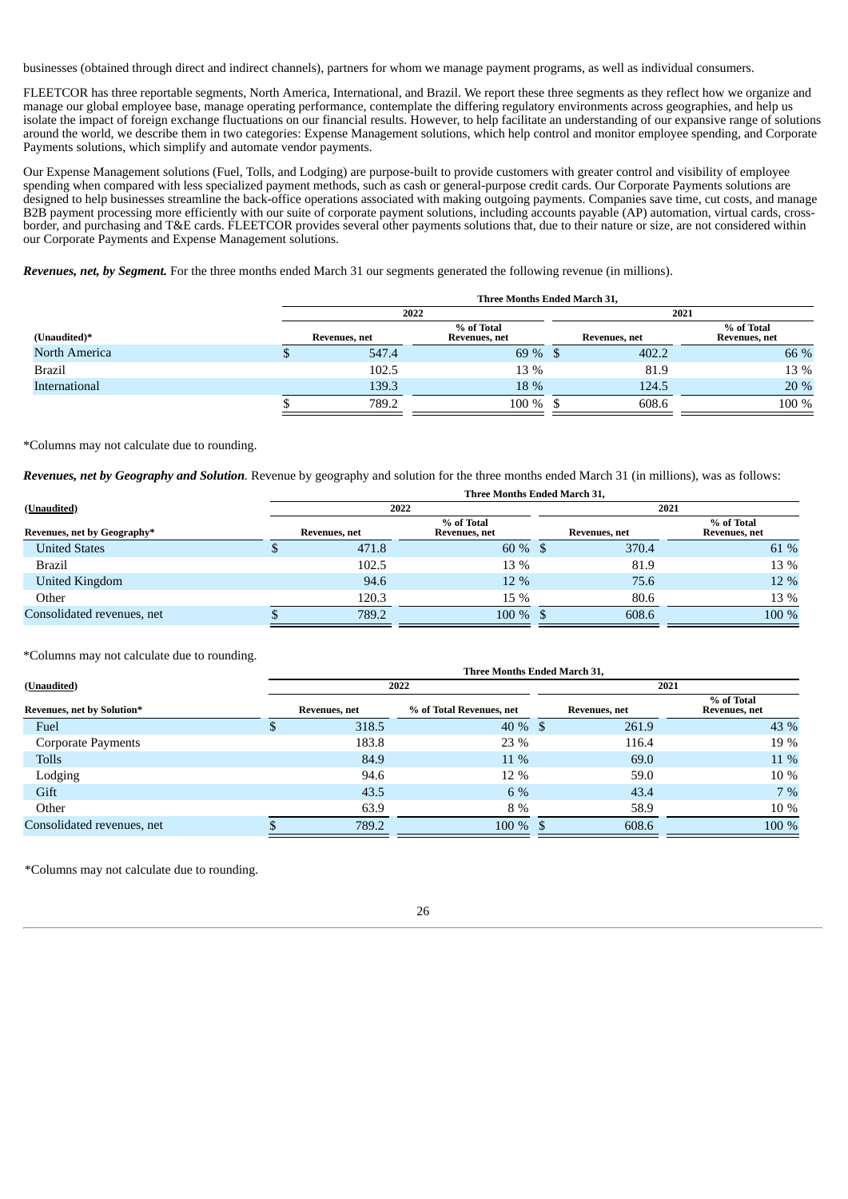businesses (obtained through direct and indirect channels), partners for whom we manage payment programs, as well as individual consumers.

FLEETCOR has three reportable segments, North America, International, and Brazil. We report these three segments as they reflect how we organize and manage our global employee base, manage operating performance, contemplate the differing regulatory environments across geographies, and help us isolate the impact of foreign exchange fluctuations on our financial results. However, to help facilitate an understanding of our expansive range of solutions around the world, we describe them in two categories: Expense Management solutions, which help control and monitor employee spending, and Corporate Payments solutions, which simplify and automate vendor payments.

Our Expense Management solutions (Fuel, Tolls, and Lodging) are purpose-built to provide customers with greater control and visibility of employee spending when compared with less specialized payment methods, such as cash or general-purpose credit cards. Our Corporate Payments solutions are designed to help businesses streamline the back-office operations associated with making outgoing payments. Companies save time, cut costs, and manage B2B payment processing more efficiently with our suite of corporate payment solutions, including accounts payable (AP) automation, virtual cards, crossborder, and purchasing and T&E cards. FLEETCOR provides several other payments solutions that, due to their nature or size, are not considered within our Corporate Payments and Expense Management solutions.

*Revenues, net, by Segment.* For the three months ended March 31 our segments generated the following revenue (in millions).

|               | Three Months Ended March 31, |                             |  |               |                             |  |  |  |  |  |
|---------------|------------------------------|-----------------------------|--|---------------|-----------------------------|--|--|--|--|--|
|               |                              | 2022                        |  | 2021          |                             |  |  |  |  |  |
| (Unaudited)*  | Revenues, net                | % of Total<br>Revenues, net |  | Revenues, net | % of Total<br>Revenues, net |  |  |  |  |  |
| North America | 547.4                        | $69\%$ \$                   |  | 402.2         | 66 %                        |  |  |  |  |  |
| <b>Brazil</b> | 102.5                        | 13 %                        |  | 81.9          | 13 %                        |  |  |  |  |  |
| International | 139.3                        | 18 %                        |  | 124.5         | 20 %                        |  |  |  |  |  |
|               | 789.2                        | 100 %                       |  | 608.6         | 100 %                       |  |  |  |  |  |

\*Columns may not calculate due to rounding.

*Revenues, net by Geography and Solution.* Revenue by geography and solution for the three months ended March 31 (in millions), was as follows: **Three Months Ended March 31,**

| (Unaudited)                 |               | 2022                        | 2021          |                             |  |  |  |  |
|-----------------------------|---------------|-----------------------------|---------------|-----------------------------|--|--|--|--|
| Revenues, net by Geography* | Revenues, net | % of Total<br>Revenues, net | Revenues, net | % of Total<br>Revenues, net |  |  |  |  |
| <b>United States</b>        | 471.8         | $60\%$ \$                   | 370.4         | 61 %                        |  |  |  |  |
| <b>Brazil</b>               | 102.5         | 13 %                        | 81.9          | 13 %                        |  |  |  |  |
| United Kingdom              | 94.6          | 12 %                        | 75.6          | 12 %                        |  |  |  |  |
| Other                       | 120.3         | 15 %                        | 80.6          | 13 %                        |  |  |  |  |
| Consolidated revenues, net  | 789.2         | $100\%$ \$                  | 608.6         | 100 %                       |  |  |  |  |

\*Columns may not calculate due to rounding.

|                            | $\tilde{}$<br>Three Months Ended March 31, |               |                          |  |               |                             |  |  |  |
|----------------------------|--------------------------------------------|---------------|--------------------------|--|---------------|-----------------------------|--|--|--|
| (Unaudited)                |                                            |               | 2022                     |  | 2021          |                             |  |  |  |
| Revenues, net by Solution* |                                            | Revenues, net | % of Total Revenues, net |  | Revenues, net | % of Total<br>Revenues, net |  |  |  |
| Fuel                       |                                            | 318.5         | $40\%$ \$                |  | 261.9         | 43 %                        |  |  |  |
| Corporate Payments         |                                            | 183.8         | 23 %                     |  | 116.4         | 19 %                        |  |  |  |
| <b>Tolls</b>               |                                            | 84.9          | 11 %                     |  | 69.0          | 11 %                        |  |  |  |
| Lodging                    |                                            | 94.6          | 12 %                     |  | 59.0          | 10 %                        |  |  |  |
| Gift                       |                                            | 43.5          | $6\%$                    |  | 43.4          | $7\%$                       |  |  |  |
| Other                      |                                            | 63.9          | 8 %                      |  | 58.9          | 10 %                        |  |  |  |
| Consolidated revenues, net |                                            | 789.2         | 100 % \$                 |  | 608.6         | 100 %                       |  |  |  |

\*Columns may not calculate due to rounding.

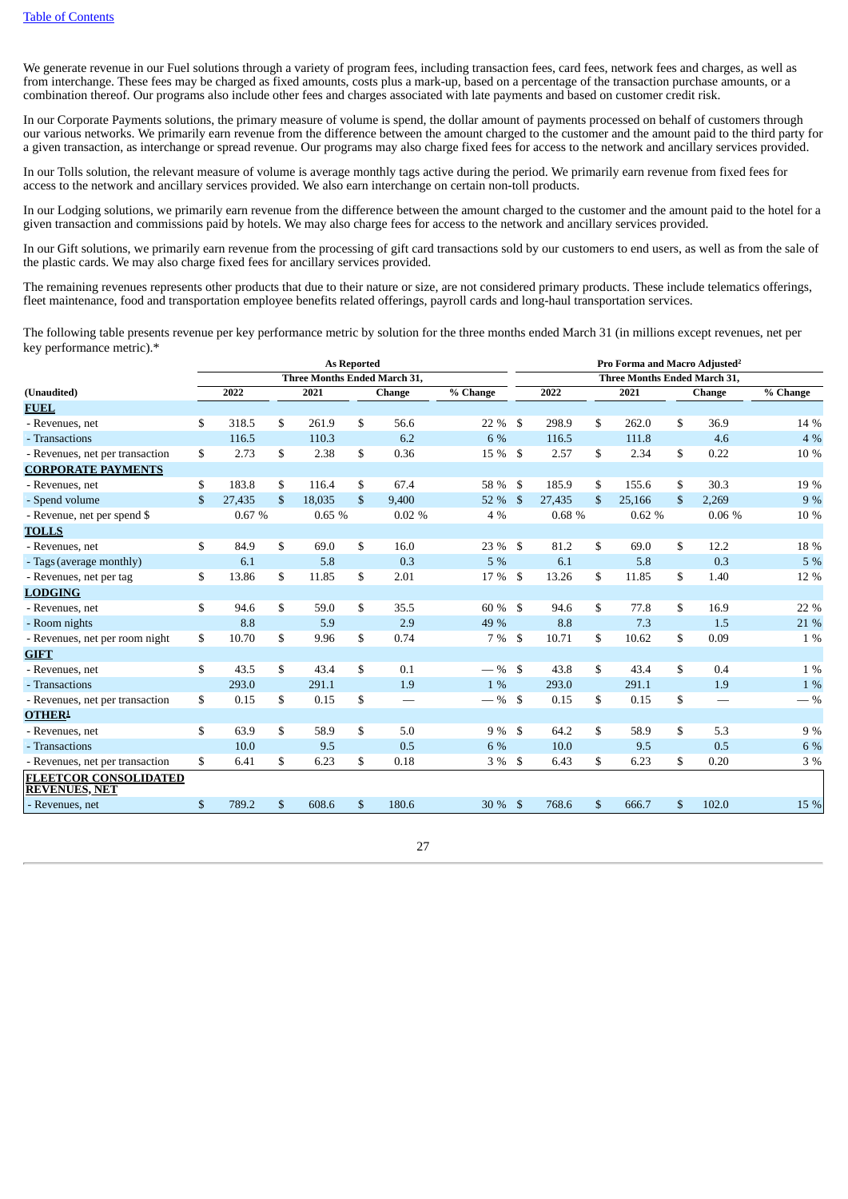We generate revenue in our Fuel solutions through a variety of program fees, including transaction fees, card fees, network fees and charges, as well as from interchange. These fees may be charged as fixed amounts, costs plus a mark-up, based on a percentage of the transaction purchase amounts, or a combination thereof. Our programs also include other fees and charges associated with late payments and based on customer credit risk.

In our Corporate Payments solutions, the primary measure of volume is spend, the dollar amount of payments processed on behalf of customers through our various networks. We primarily earn revenue from the difference between the amount charged to the customer and the amount paid to the third party for a given transaction, as interchange or spread revenue. Our programs may also charge fixed fees for access to the network and ancillary services provided.

In our Tolls solution, the relevant measure of volume is average monthly tags active during the period. We primarily earn revenue from fixed fees for access to the network and ancillary services provided. We also earn interchange on certain non-toll products.

In our Lodging solutions, we primarily earn revenue from the difference between the amount charged to the customer and the amount paid to the hotel for a given transaction and commissions paid by hotels. We may also charge fees for access to the network and ancillary services provided.

In our Gift solutions, we primarily earn revenue from the processing of gift card transactions sold by our customers to end users, as well as from the sale of the plastic cards. We may also charge fixed fees for ancillary services provided.

The remaining revenues represents other products that due to their nature or size, are not considered primary products. These include telematics offerings, fleet maintenance, food and transportation employee benefits related offerings, payroll cards and long-haul transportation services.

The following table presents revenue per key performance metric by solution for the three months ended March 31 (in millions except revenues, net per key performance metric).\*

|                                                      | <b>As Reported</b> |                              |              |        |    |                                 |            | Pro Forma and Macro Adjusted <sup>2</sup> |        |    |                                     |    |                                 |            |  |  |
|------------------------------------------------------|--------------------|------------------------------|--------------|--------|----|---------------------------------|------------|-------------------------------------------|--------|----|-------------------------------------|----|---------------------------------|------------|--|--|
|                                                      |                    | Three Months Ended March 31, |              |        |    |                                 |            |                                           |        |    | <b>Three Months Ended March 31.</b> |    |                                 |            |  |  |
| (Unaudited)                                          |                    | 2022                         |              | 2021   |    | Change                          | % Change   |                                           | 2022   |    | 2021                                |    | <b>Change</b>                   | $%$ Change |  |  |
| <b>FUEL</b>                                          |                    |                              |              |        |    |                                 |            |                                           |        |    |                                     |    |                                 |            |  |  |
| - Revenues, net                                      | \$                 | 318.5                        | \$           | 261.9  | \$ | 56.6                            | 22 %       | -\$                                       | 298.9  | \$ | 262.0                               | \$ | 36.9                            | 14 %       |  |  |
| - Transactions                                       |                    | 116.5                        |              | 110.3  |    | 6.2                             | 6 %        |                                           | 116.5  |    | 111.8                               |    | 4.6                             | 4 %        |  |  |
| - Revenues, net per transaction                      | \$                 | 2.73                         | \$           | 2.38   | \$ | 0.36                            | 15 % \$    |                                           | 2.57   | \$ | 2.34                                | \$ | 0.22                            | 10 %       |  |  |
| <b>CORPORATE PAYMENTS</b>                            |                    |                              |              |        |    |                                 |            |                                           |        |    |                                     |    |                                 |            |  |  |
| - Revenues, net                                      | \$                 | 183.8                        | \$           | 116.4  | \$ | 67.4                            | 58 % \$    |                                           | 185.9  | \$ | 155.6                               | \$ | 30.3                            | 19 %       |  |  |
| - Spend volume                                       | $\mathfrak{S}$     | 27,435                       | $\mathbb{S}$ | 18,035 | \$ | 9,400                           | 52 %       | -\$                                       | 27,435 | \$ | 25,166                              | \$ | 2,269                           | 9 %        |  |  |
| - Revenue, net per spend \$                          |                    | 0.67 %                       |              | 0.65%  |    | 0.02%                           | 4 %        |                                           | 0.68 % |    | 0.62%                               |    | 0.06 %                          | 10 %       |  |  |
| <b>TOLLS</b>                                         |                    |                              |              |        |    |                                 |            |                                           |        |    |                                     |    |                                 |            |  |  |
| - Revenues, net                                      | \$                 | 84.9                         | \$           | 69.0   | \$ | 16.0                            | 23 % \$    |                                           | 81.2   | \$ | 69.0                                | \$ | 12.2                            | 18 %       |  |  |
| - Tags (average monthly)                             |                    | 6.1                          |              | 5.8    |    | 0.3                             | 5 %        |                                           | 6.1    |    | 5.8                                 |    | 0.3                             | 5 %        |  |  |
| - Revenues, net per tag                              | \$                 | 13.86                        | \$           | 11.85  | \$ | 2.01                            | 17 % \$    |                                           | 13.26  | \$ | 11.85                               | \$ | 1.40                            | 12 %       |  |  |
| <b>LODGING</b>                                       |                    |                              |              |        |    |                                 |            |                                           |        |    |                                     |    |                                 |            |  |  |
| - Revenues, net                                      | \$                 | 94.6                         | \$           | 59.0   | \$ | 35.5                            | 60 % \$    |                                           | 94.6   | \$ | 77.8                                | \$ | 16.9                            | 22 %       |  |  |
| - Room nights                                        |                    | 8.8                          |              | 5.9    |    | 2.9                             | 49 %       |                                           | 8.8    |    | 7.3                                 |    | 1.5                             | 21 %       |  |  |
| - Revenues, net per room night                       | \$                 | 10.70                        | \$           | 9.96   | \$ | 0.74                            | 7 % \$     |                                           | 10.71  | \$ | 10.62                               | \$ | 0.09                            | 1 %        |  |  |
| <b>GIFT</b>                                          |                    |                              |              |        |    |                                 |            |                                           |        |    |                                     |    |                                 |            |  |  |
| - Revenues, net                                      | \$                 | 43.5                         | \$           | 43.4   | \$ | 0.1                             | $-$ % \$   |                                           | 43.8   | \$ | 43.4                                | \$ | 0.4                             | 1 %        |  |  |
| - Transactions                                       |                    | 293.0                        |              | 291.1  |    | 1.9                             | 1 %        |                                           | 293.0  |    | 291.1                               |    | 1.9                             | 1 %        |  |  |
| - Revenues, net per transaction                      | \$                 | 0.15                         | \$           | 0.15   | \$ | $\hspace{0.1mm}-\hspace{0.1mm}$ | $-$ % \$   |                                           | 0.15   | \$ | 0.15                                | \$ | $\hspace{0.1mm}-\hspace{0.1mm}$ | $-$ %      |  |  |
| OTHER <sup>1</sup>                                   |                    |                              |              |        |    |                                 |            |                                           |        |    |                                     |    |                                 |            |  |  |
| - Revenues, net                                      | \$                 | 63.9                         | \$           | 58.9   | \$ | 5.0                             | $9\%$ \$   |                                           | 64.2   | \$ | 58.9                                | \$ | 5.3                             | 9 %        |  |  |
| - Transactions                                       |                    | 10.0                         |              | 9.5    |    | 0.5                             | 6 %        |                                           | 10.0   |    | 9.5                                 |    | 0.5                             | 6 %        |  |  |
| - Revenues, net per transaction                      | \$                 | 6.41                         | \$           | 6.23   | \$ | 0.18                            | $3\%$ \$   |                                           | 6.43   | \$ | 6.23                                | \$ | 0.20                            | 3 %        |  |  |
| <b>FLEETCOR CONSOLIDATED</b><br><b>REVENUES, NET</b> |                    |                              |              |        |    |                                 |            |                                           |        |    |                                     |    |                                 |            |  |  |
| - Revenues, net                                      | \$                 | 789.2                        | \$           | 608.6  | \$ | 180.6                           | $30 \%$ \$ |                                           | 768.6  | \$ | 666.7                               | \$ | 102.0                           | 15 %       |  |  |

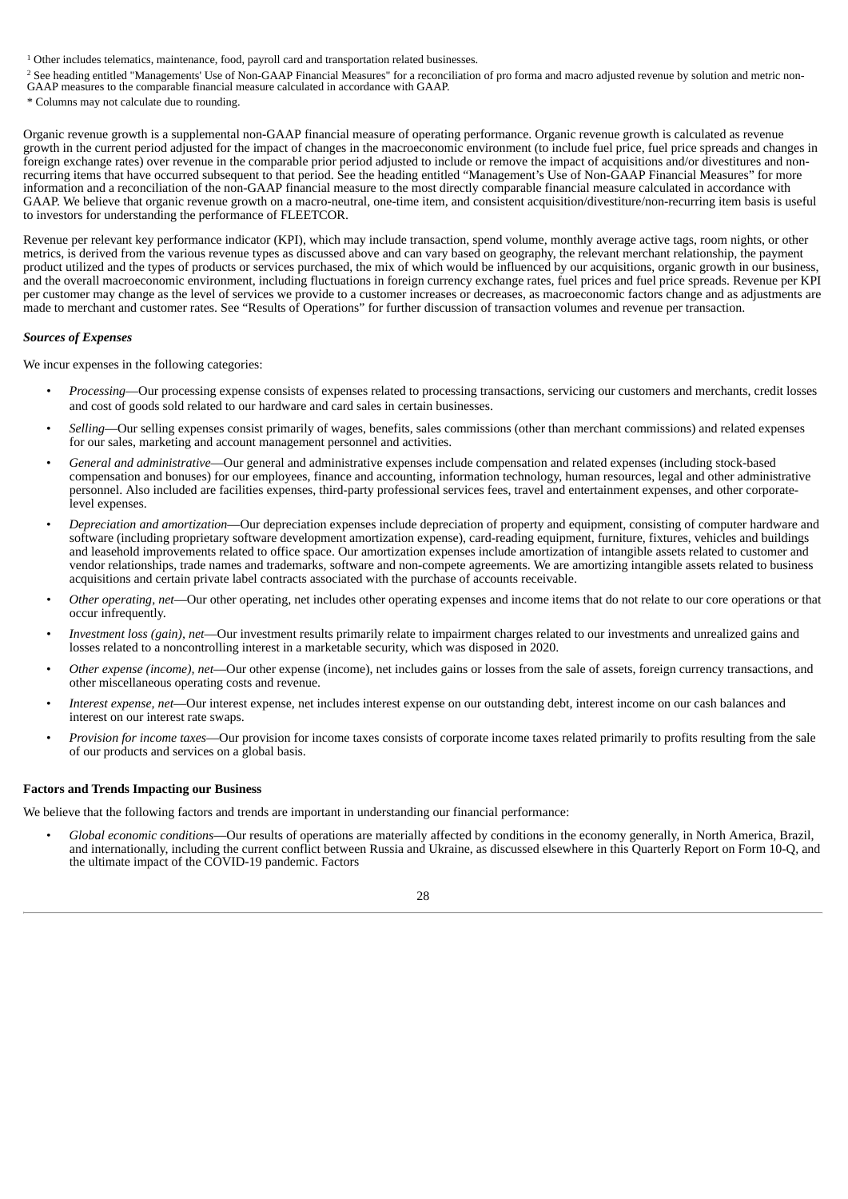$1$  Other includes telematics, maintenance, food, payroll card and transportation related businesses.

 $^2$  See heading entitled "Managements' Use of Non-GAAP Financial Measures" for a reconciliation of pro forma and macro adjusted revenue by solution and metric non-GAAP measures to the comparable financial measure calculated in accordance with GAAP.

\* Columns may not calculate due to rounding.

Organic revenue growth is a supplemental non-GAAP financial measure of operating performance. Organic revenue growth is calculated as revenue growth in the current period adjusted for the impact of changes in the macroeconomic environment (to include fuel price, fuel price spreads and changes in foreign exchange rates) over revenue in the comparable prior period adjusted to include or remove the impact of acquisitions and/or divestitures and nonrecurring items that have occurred subsequent to that period. See the heading entitled "Management's Use of Non-GAAP Financial Measures" for more information and a reconciliation of the non-GAAP financial measure to the most directly comparable financial measure calculated in accordance with GAAP. We believe that organic revenue growth on a macro-neutral, one-time item, and consistent acquisition/divestiture/non-recurring item basis is useful to investors for understanding the performance of FLEETCOR.

Revenue per relevant key performance indicator (KPI), which may include transaction, spend volume, monthly average active tags, room nights, or other metrics, is derived from the various revenue types as discussed above and can vary based on geography, the relevant merchant relationship, the payment product utilized and the types of products or services purchased, the mix of which would be influenced by our acquisitions, organic growth in our business, and the overall macroeconomic environment, including fluctuations in foreign currency exchange rates, fuel prices and fuel price spreads. Revenue per KPI per customer may change as the level of services we provide to a customer increases or decreases, as macroeconomic factors change and as adjustments are made to merchant and customer rates. See "Results of Operations" for further discussion of transaction volumes and revenue per transaction.

#### *Sources of Expenses*

We incur expenses in the following categories:

- *• Processing*—Our processing expense consists of expenses related to processing transactions, servicing our customers and merchants, credit losses and cost of goods sold related to our hardware and card sales in certain businesses.
- *Selling*—Our selling expenses consist primarily of wages, benefits, sales commissions (other than merchant commissions) and related expenses for our sales, marketing and account management personnel and activities.
- *General and administrative*—Our general and administrative expenses include compensation and related expenses (including stock-based compensation and bonuses) for our employees, finance and accounting, information technology, human resources, legal and other administrative personnel. Also included are facilities expenses, third-party professional services fees, travel and entertainment expenses, and other corporatelevel expenses.
- *Depreciation and amortization*—Our depreciation expenses include depreciation of property and equipment, consisting of computer hardware and software (including proprietary software development amortization expense), card-reading equipment, furniture, fixtures, vehicles and buildings and leasehold improvements related to office space. Our amortization expenses include amortization of intangible assets related to customer and vendor relationships, trade names and trademarks, software and non-compete agreements. We are amortizing intangible assets related to business acquisitions and certain private label contracts associated with the purchase of accounts receivable.
- *• Other operating, net*—Our other operating, net includes other operating expenses and income items that do not relate to our core operations or that occur infrequently.
- *• Investment loss (gain), net*—Our investment results primarily relate to impairment charges related to our investments and unrealized gains and losses related to a noncontrolling interest in a marketable security, which was disposed in 2020.
- *Other expense (income), net*—Our other expense (income), net includes gains or losses from the sale of assets, foreign currency transactions, and other miscellaneous operating costs and revenue.
- *Interest expense, net*—Our interest expense, net includes interest expense on our outstanding debt, interest income on our cash balances and interest on our interest rate swaps.
- *Provision for income taxes*—Our provision for income taxes consists of corporate income taxes related primarily to profits resulting from the sale of our products and services on a global basis.

#### **Factors and Trends Impacting our Business**

We believe that the following factors and trends are important in understanding our financial performance:

• *Global economic conditions*—Our results of operations are materially affected by conditions in the economy generally, in North America, Brazil, and internationally, including the current conflict between Russia and Ukraine, as discussed elsewhere in this Quarterly Report on Form 10-Q, and the ultimate impact of the COVID-19 pandemic. Factors

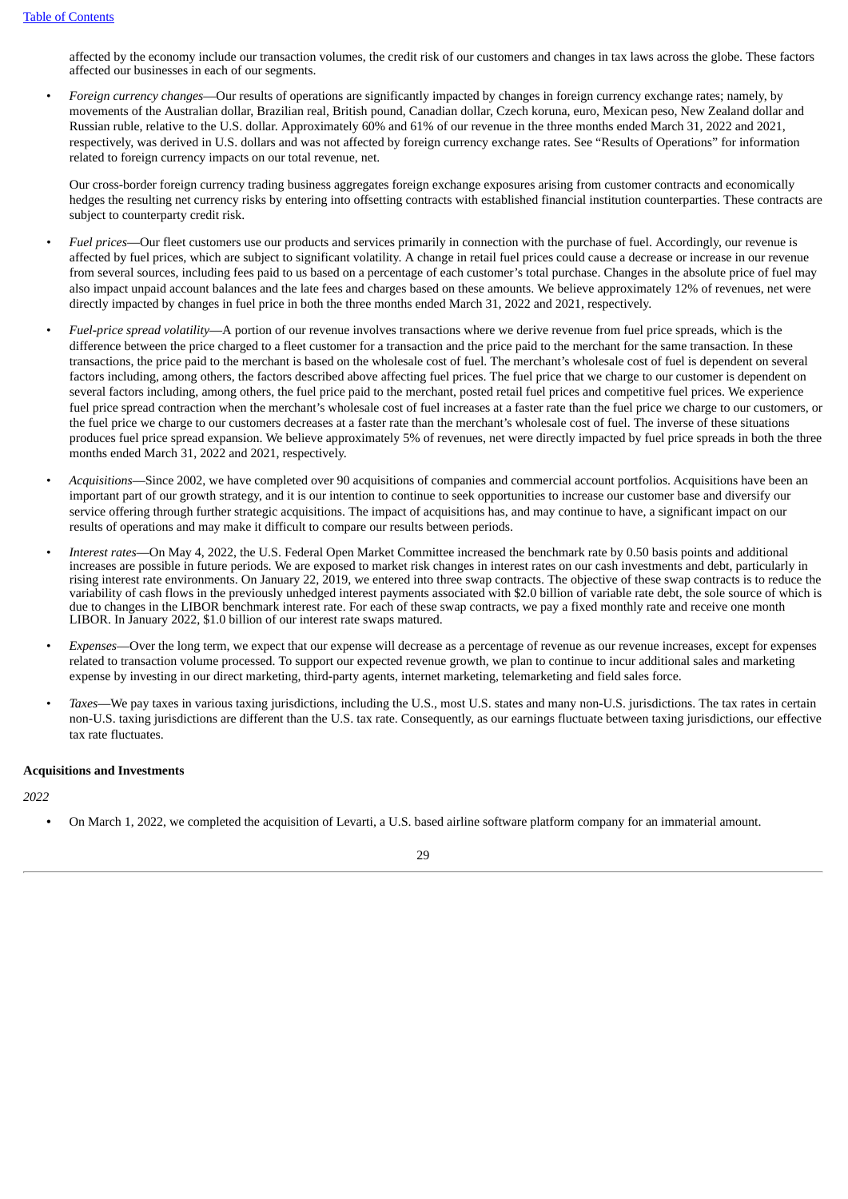affected by the economy include our transaction volumes, the credit risk of our customers and changes in tax laws across the globe. These factors affected our businesses in each of our segments.

• *Foreign currency changes*—Our results of operations are significantly impacted by changes in foreign currency exchange rates; namely, by movements of the Australian dollar, Brazilian real, British pound, Canadian dollar, Czech koruna, euro, Mexican peso, New Zealand dollar and Russian ruble, relative to the U.S. dollar. Approximately 60% and 61% of our revenue in the three months ended March 31, 2022 and 2021, respectively, was derived in U.S. dollars and was not affected by foreign currency exchange rates. See "Results of Operations" for information related to foreign currency impacts on our total revenue, net.

Our cross-border foreign currency trading business aggregates foreign exchange exposures arising from customer contracts and economically hedges the resulting net currency risks by entering into offsetting contracts with established financial institution counterparties. These contracts are subject to counterparty credit risk.

- *• Fuel prices*—Our fleet customers use our products and services primarily in connection with the purchase of fuel. Accordingly, our revenue is affected by fuel prices, which are subject to significant volatility. A change in retail fuel prices could cause a decrease or increase in our revenue from several sources, including fees paid to us based on a percentage of each customer's total purchase. Changes in the absolute price of fuel may also impact unpaid account balances and the late fees and charges based on these amounts. We believe approximately 12% of revenues, net were directly impacted by changes in fuel price in both the three months ended March 31, 2022 and 2021, respectively.
- *Fuel-price spread volatility*—A portion of our revenue involves transactions where we derive revenue from fuel price spreads, which is the difference between the price charged to a fleet customer for a transaction and the price paid to the merchant for the same transaction. In these transactions, the price paid to the merchant is based on the wholesale cost of fuel. The merchant's wholesale cost of fuel is dependent on several factors including, among others, the factors described above affecting fuel prices. The fuel price that we charge to our customer is dependent on several factors including, among others, the fuel price paid to the merchant, posted retail fuel prices and competitive fuel prices. We experience fuel price spread contraction when the merchant's wholesale cost of fuel increases at a faster rate than the fuel price we charge to our customers, or the fuel price we charge to our customers decreases at a faster rate than the merchant's wholesale cost of fuel. The inverse of these situations produces fuel price spread expansion. We believe approximately 5% of revenues, net were directly impacted by fuel price spreads in both the three months ended March 31, 2022 and 2021, respectively.
- *Acquisitions*—Since 2002, we have completed over 90 acquisitions of companies and commercial account portfolios. Acquisitions have been an important part of our growth strategy, and it is our intention to continue to seek opportunities to increase our customer base and diversify our service offering through further strategic acquisitions. The impact of acquisitions has, and may continue to have, a significant impact on our results of operations and may make it difficult to compare our results between periods.
- *Interest rates*—On May 4, 2022, the U.S. Federal Open Market Committee increased the benchmark rate by 0.50 basis points and additional increases are possible in future periods. We are exposed to market risk changes in interest rates on our cash investments and debt, particularly in rising interest rate environments. On January 22, 2019, we entered into three swap contracts. The objective of these swap contracts is to reduce the variability of cash flows in the previously unhedged interest payments associated with \$2.0 billion of variable rate debt, the sole source of which is due to changes in the LIBOR benchmark interest rate. For each of these swap contracts, we pay a fixed monthly rate and receive one month LIBOR. In January 2022, \$1.0 billion of our interest rate swaps matured.
- *Expenses*—Over the long term, we expect that our expense will decrease as a percentage of revenue as our revenue increases, except for expenses related to transaction volume processed. To support our expected revenue growth, we plan to continue to incur additional sales and marketing expense by investing in our direct marketing, third-party agents, internet marketing, telemarketing and field sales force.
- *Taxes*—We pay taxes in various taxing jurisdictions, including the U.S., most U.S. states and many non-U.S. jurisdictions. The tax rates in certain non-U.S. taxing jurisdictions are different than the U.S. tax rate. Consequently, as our earnings fluctuate between taxing jurisdictions, our effective tax rate fluctuates.

#### **Acquisitions and Investments**

*2022*

*•* On March 1, 2022, we completed the acquisition of Levarti, a U.S. based airline software platform company for an immaterial amount.

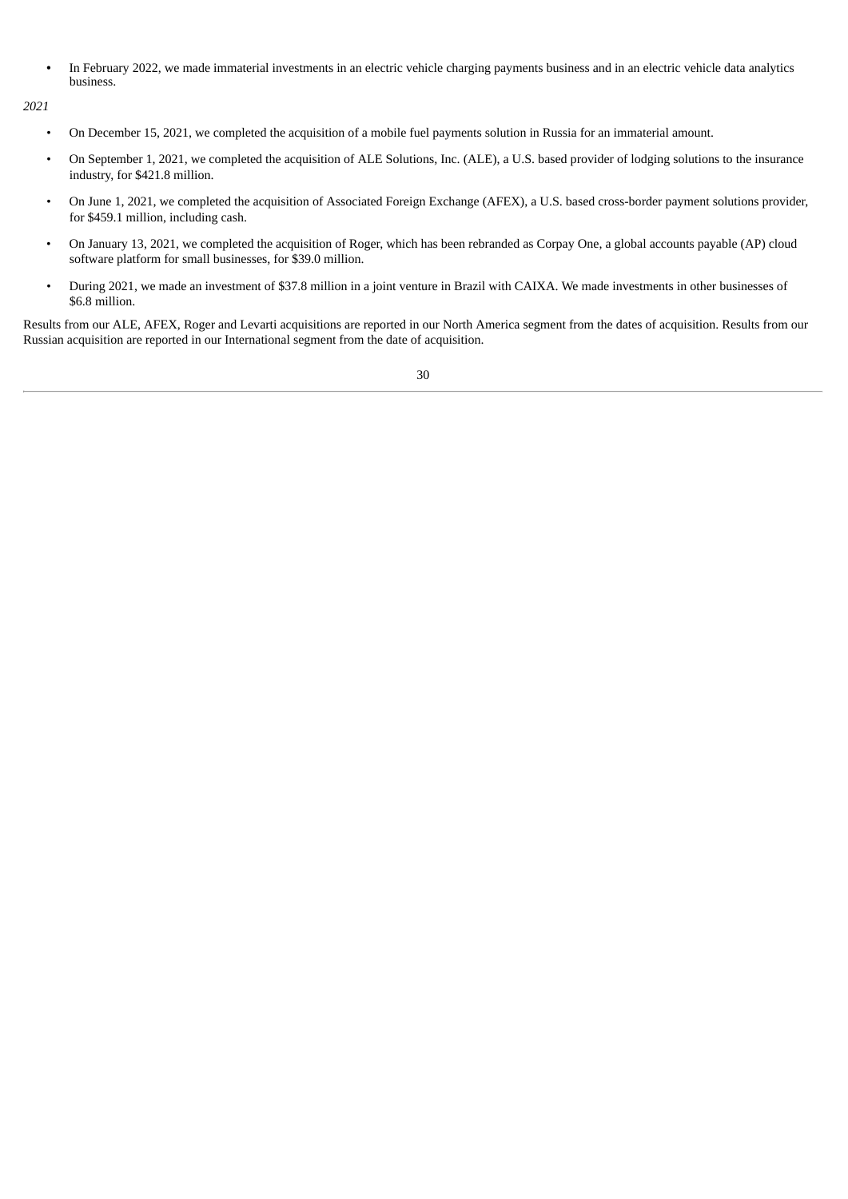*•* In February 2022, we made immaterial investments in an electric vehicle charging payments business and in an electric vehicle data analytics business.

*2021*

- *•* On December 15, 2021, we completed the acquisition of a mobile fuel payments solution in Russia for an immaterial amount.
- *•* On September 1, 2021, we completed the acquisition of ALE Solutions, Inc. (ALE), a U.S. based provider of lodging solutions to the insurance industry, for \$421.8 million.
- *•* On June 1, 2021, we completed the acquisition of Associated Foreign Exchange (AFEX), a U.S. based cross-border payment solutions provider, for \$459.1 million, including cash.
- On January 13, 2021, we completed the acquisition of Roger, which has been rebranded as Corpay One, a global accounts payable (AP) cloud software platform for small businesses, for \$39.0 million.
- *•* During 2021, we made an investment of \$37.8 million in a joint venture in Brazil with CAIXA. We made investments in other businesses of \$6.8 million.

Results from our ALE, AFEX, Roger and Levarti acquisitions are reported in our North America segment from the dates of acquisition. Results from our Russian acquisition are reported in our International segment from the date of acquisition.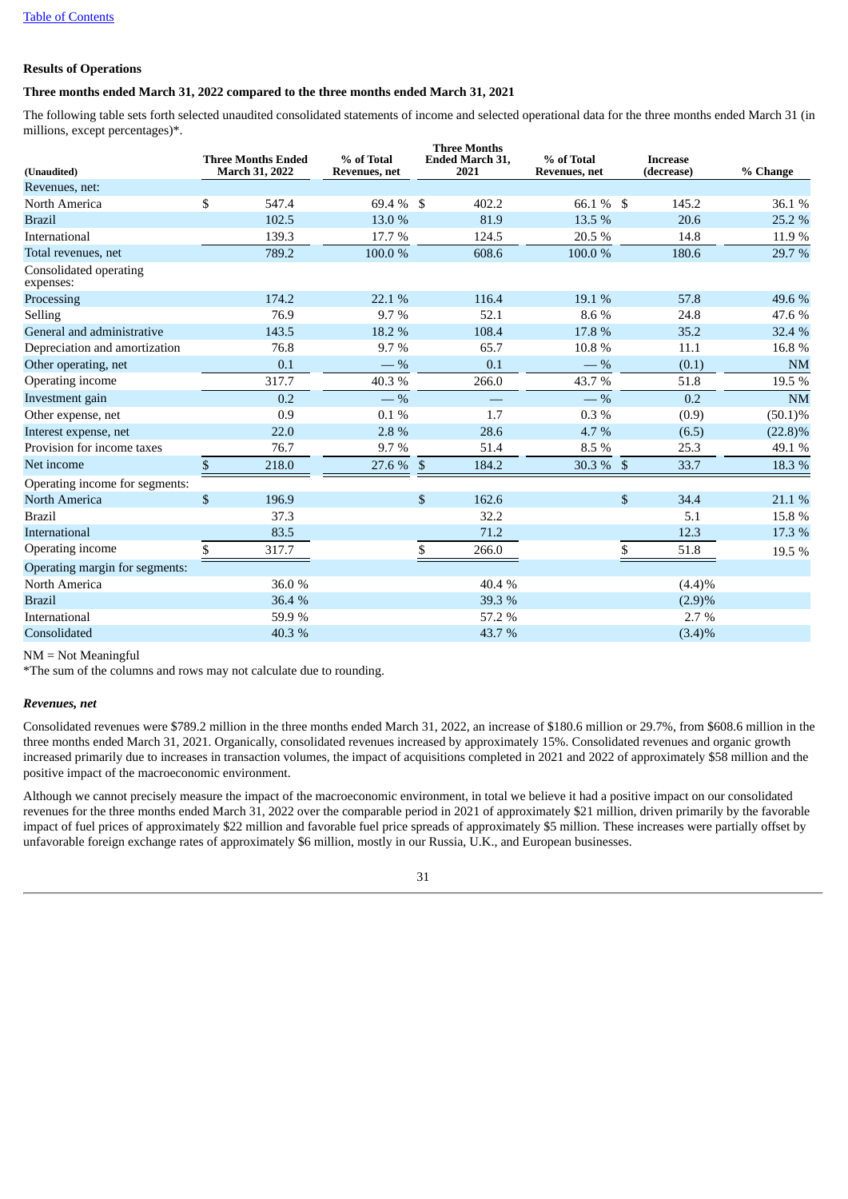## **Results of Operations**

### **Three months ended March 31, 2022 compared to the three months ended March 31, 2021**

The following table sets forth selected unaudited consolidated statements of income and selected operational data for the three months ended March 31 (in millions, except percentages)\*.

|                                     |                                             |                             | <b>Three Months</b>            |                             |                |                               |            |
|-------------------------------------|---------------------------------------------|-----------------------------|--------------------------------|-----------------------------|----------------|-------------------------------|------------|
| (Unaudited)                         | <b>Three Months Ended</b><br>March 31, 2022 | % of Total<br>Revenues, net | <b>Ended March 31,</b><br>2021 | % of Total<br>Revenues, net |                | <b>Increase</b><br>(decrease) | % Change   |
| Revenues, net:                      |                                             |                             |                                |                             |                |                               |            |
| North America                       | \$<br>547.4                                 | 69.4 % \$                   | 402.2                          | 66.1 % \$                   |                | 145.2                         | 36.1 %     |
| <b>Brazil</b>                       | 102.5                                       | 13.0 %                      | 81.9                           | 13.5 %                      |                | 20.6                          | 25.2 %     |
| International                       | 139.3                                       | 17.7 %                      | 124.5                          | 20.5 %                      |                | 14.8                          | 11.9 %     |
| Total revenues, net                 | 789.2                                       | 100.0%                      | 608.6                          | 100.0%                      |                | 180.6                         | 29.7 %     |
| Consolidated operating<br>expenses: |                                             |                             |                                |                             |                |                               |            |
| Processing                          | 174.2                                       | 22.1 %                      | 116.4                          | 19.1 %                      |                | 57.8                          | 49.6 %     |
| Selling                             | 76.9                                        | 9.7%                        | 52.1                           | 8.6%                        |                | 24.8                          | 47.6 %     |
| General and administrative          | 143.5                                       | 18.2 %                      | 108.4                          | 17.8 %                      |                | 35.2                          | 32.4 %     |
| Depreciation and amortization       | 76.8                                        | 9.7%                        | 65.7                           | 10.8%                       |                | 11.1                          | 16.8 %     |
| Other operating, net                | 0.1                                         | $-$ %                       | 0.1                            | $-$ %                       |                | (0.1)                         | <b>NM</b>  |
| Operating income                    | 317.7                                       | 40.3 %                      | 266.0                          | 43.7%                       |                | 51.8                          | 19.5 %     |
| Investment gain                     | 0.2                                         | $-$ %                       |                                | $-$ %                       |                | 0.2                           | <b>NM</b>  |
| Other expense, net                  | 0.9                                         | 0.1%                        | 1.7                            | 0.3 %                       |                | (0.9)                         | $(50.1)\%$ |
| Interest expense, net               | 22.0                                        | 2.8 %                       | 28.6                           | 4.7 %                       |                | (6.5)                         | $(22.8)\%$ |
| Provision for income taxes          | 76.7                                        | 9.7%                        | 51.4                           | 8.5%                        |                | 25.3                          | 49.1 %     |
| Net income                          | \$<br>218.0                                 | $27.6\%$ \$                 | 184.2                          | $30.3 \%$ \$                |                | 33.7                          | 18.3 %     |
| Operating income for segments:      |                                             |                             |                                |                             |                |                               |            |
| North America                       | \$<br>196.9                                 |                             | \$<br>162.6                    |                             | $\mathfrak{S}$ | 34.4                          | 21.1 %     |
| <b>Brazil</b>                       | 37.3                                        |                             | 32.2                           |                             |                | 5.1                           | 15.8 %     |
| International                       | 83.5                                        |                             | 71.2                           |                             |                | 12.3                          | 17.3 %     |
| Operating income                    | \$<br>317.7                                 |                             | \$<br>266.0                    |                             | \$             | 51.8                          | 19.5 %     |
| Operating margin for segments:      |                                             |                             |                                |                             |                |                               |            |
| North America                       | 36.0 %                                      |                             | 40.4 %                         |                             |                | (4.4)%                        |            |
| <b>Brazil</b>                       | 36.4 %                                      |                             | 39.3 %                         |                             |                | (2.9)%                        |            |
| International                       | 59.9%                                       |                             | 57.2 %                         |                             |                | 2.7 %                         |            |
| Consolidated                        | 40.3%                                       |                             | 43.7 %                         |                             |                | $(3.4)\%$                     |            |

NM = Not Meaningful

\*The sum of the columns and rows may not calculate due to rounding.

#### *Revenues, net*

Consolidated revenues were \$789.2 million in the three months ended March 31, 2022, an increase of \$180.6 million or 29.7%, from \$608.6 million in the three months ended March 31, 2021. Organically, consolidated revenues increased by approximately 15%. Consolidated revenues and organic growth increased primarily due to increases in transaction volumes, the impact of acquisitions completed in 2021 and 2022 of approximately \$58 million and the positive impact of the macroeconomic environment.

Although we cannot precisely measure the impact of the macroeconomic environment, in total we believe it had a positive impact on our consolidated revenues for the three months ended March 31, 2022 over the comparable period in 2021 of approximately \$21 million, driven primarily by the favorable impact of fuel prices of approximately \$22 million and favorable fuel price spreads of approximately \$5 million. These increases were partially offset by unfavorable foreign exchange rates of approximately \$6 million, mostly in our Russia, U.K., and European businesses.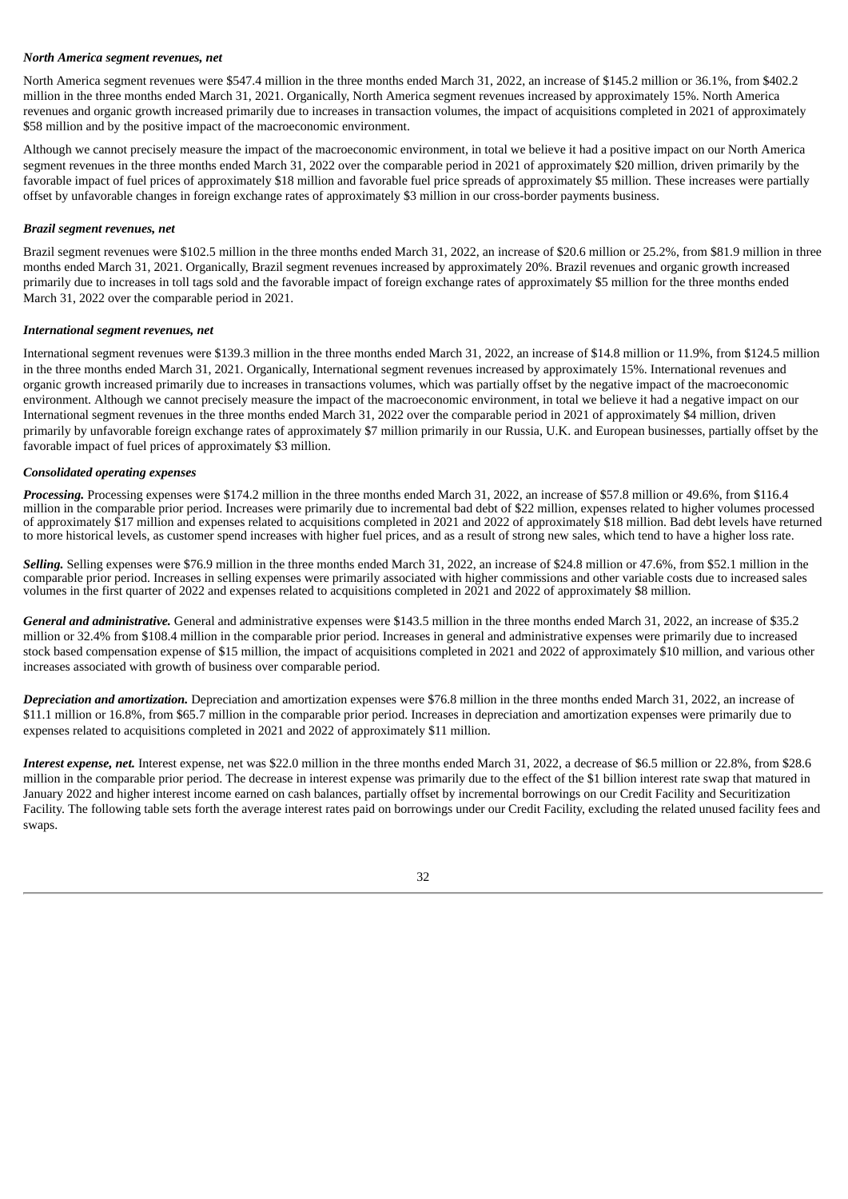#### *North America segment revenues, net*

North America segment revenues were \$547.4 million in the three months ended March 31, 2022, an increase of \$145.2 million or 36.1%, from \$402.2 million in the three months ended March 31, 2021. Organically, North America segment revenues increased by approximately 15%. North America revenues and organic growth increased primarily due to increases in transaction volumes, the impact of acquisitions completed in 2021 of approximately \$58 million and by the positive impact of the macroeconomic environment.

Although we cannot precisely measure the impact of the macroeconomic environment, in total we believe it had a positive impact on our North America segment revenues in the three months ended March 31, 2022 over the comparable period in 2021 of approximately \$20 million, driven primarily by the favorable impact of fuel prices of approximately \$18 million and favorable fuel price spreads of approximately \$5 million. These increases were partially offset by unfavorable changes in foreign exchange rates of approximately \$3 million in our cross-border payments business.

#### *Brazil segment revenues, net*

Brazil segment revenues were \$102.5 million in the three months ended March 31, 2022, an increase of \$20.6 million or 25.2%, from \$81.9 million in three months ended March 31, 2021. Organically, Brazil segment revenues increased by approximately 20%. Brazil revenues and organic growth increased primarily due to increases in toll tags sold and the favorable impact of foreign exchange rates of approximately \$5 million for the three months ended March 31, 2022 over the comparable period in 2021.

#### *International segment revenues, net*

International segment revenues were \$139.3 million in the three months ended March 31, 2022, an increase of \$14.8 million or 11.9%, from \$124.5 million in the three months ended March 31, 2021. Organically, International segment revenues increased by approximately 15%. International revenues and organic growth increased primarily due to increases in transactions volumes, which was partially offset by the negative impact of the macroeconomic environment. Although we cannot precisely measure the impact of the macroeconomic environment, in total we believe it had a negative impact on our International segment revenues in the three months ended March 31, 2022 over the comparable period in 2021 of approximately \$4 million, driven primarily by unfavorable foreign exchange rates of approximately \$7 million primarily in our Russia, U.K. and European businesses, partially offset by the favorable impact of fuel prices of approximately \$3 million.

#### *Consolidated operating expenses*

*Processing.* Processing expenses were \$174.2 million in the three months ended March 31, 2022, an increase of \$57.8 million or 49.6%, from \$116.4 million in the comparable prior period. Increases were primarily due to incremental bad debt of \$22 million, expenses related to higher volumes processed of approximately \$17 million and expenses related to acquisitions completed in 2021 and 2022 of approximately \$18 million. Bad debt levels have returned to more historical levels, as customer spend increases with higher fuel prices, and as a result of strong new sales, which tend to have a higher loss rate.

*Selling.* Selling expenses were \$76.9 million in the three months ended March 31, 2022, an increase of \$24.8 million or 47.6%, from \$52.1 million in the comparable prior period. Increases in selling expenses were primarily associated with higher commissions and other variable costs due to increased sales volumes in the first quarter of 2022 and expenses related to acquisitions completed in 2021 and 2022 of approximately \$8 million.

*General and administrative.* General and administrative expenses were \$143.5 million in the three months ended March 31, 2022, an increase of \$35.2 million or 32.4% from \$108.4 million in the comparable prior period. Increases in general and administrative expenses were primarily due to increased stock based compensation expense of \$15 million, the impact of acquisitions completed in 2021 and 2022 of approximately \$10 million, and various other increases associated with growth of business over comparable period.

*Depreciation and amortization.* Depreciation and amortization expenses were \$76.8 million in the three months ended March 31, 2022, an increase of \$11.1 million or 16.8%, from \$65.7 million in the comparable prior period. Increases in depreciation and amortization expenses were primarily due to expenses related to acquisitions completed in 2021 and 2022 of approximately \$11 million.

*Interest expense, net.* Interest expense, net was \$22.0 million in the three months ended March 31, 2022, a decrease of \$6.5 million or 22.8%, from \$28.6 million in the comparable prior period. The decrease in interest expense was primarily due to the effect of the \$1 billion interest rate swap that matured in January 2022 and higher interest income earned on cash balances, partially offset by incremental borrowings on our Credit Facility and Securitization Facility. The following table sets forth the average interest rates paid on borrowings under our Credit Facility, excluding the related unused facility fees and swaps.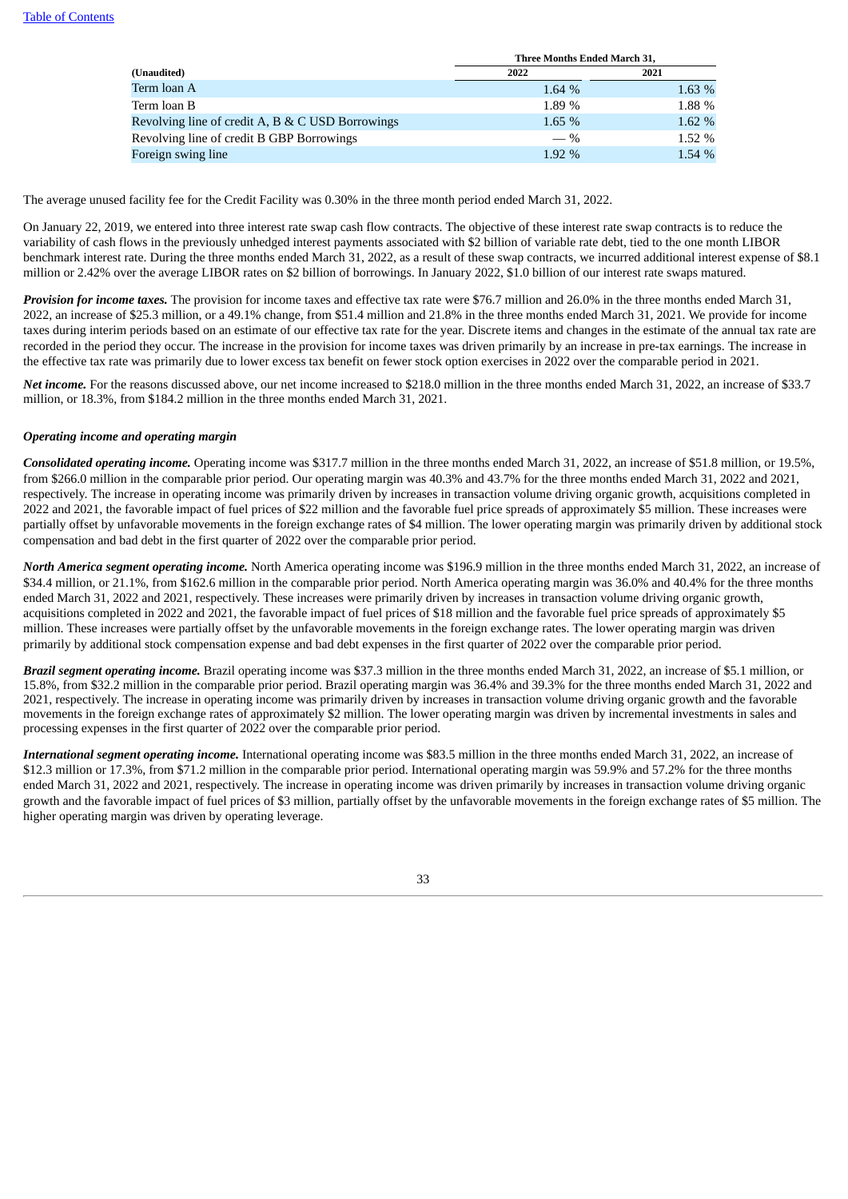|                                                  | Three Months Ended March 31, |        |  |  |  |  |  |
|--------------------------------------------------|------------------------------|--------|--|--|--|--|--|
| (Unaudited)                                      | 2022                         | 2021   |  |  |  |  |  |
| Term loan A                                      | 1.64%                        | 1.63 % |  |  |  |  |  |
| Term loan B                                      | 1.89%                        | 1.88 % |  |  |  |  |  |
| Revolving line of credit A, B & C USD Borrowings | 1.65%                        | 1.62 % |  |  |  |  |  |
| Revolving line of credit B GBP Borrowings        | $-$ %                        | 1.52 % |  |  |  |  |  |
| Foreign swing line                               | 1.92 %                       | 1.54 % |  |  |  |  |  |

The average unused facility fee for the Credit Facility was 0.30% in the three month period ended March 31, 2022.

On January 22, 2019, we entered into three interest rate swap cash flow contracts. The objective of these interest rate swap contracts is to reduce the variability of cash flows in the previously unhedged interest payments associated with \$2 billion of variable rate debt, tied to the one month LIBOR benchmark interest rate. During the three months ended March 31, 2022, as a result of these swap contracts, we incurred additional interest expense of \$8.1 million or 2.42% over the average LIBOR rates on \$2 billion of borrowings. In January 2022, \$1.0 billion of our interest rate swaps matured.

*Provision for income taxes.* The provision for income taxes and effective tax rate were \$76.7 million and 26.0% in the three months ended March 31, 2022, an increase of \$25.3 million, or a 49.1% change, from \$51.4 million and 21.8% in the three months ended March 31, 2021. We provide for income taxes during interim periods based on an estimate of our effective tax rate for the year. Discrete items and changes in the estimate of the annual tax rate are recorded in the period they occur. The increase in the provision for income taxes was driven primarily by an increase in pre-tax earnings. The increase in the effective tax rate was primarily due to lower excess tax benefit on fewer stock option exercises in 2022 over the comparable period in 2021.

*Net income.* For the reasons discussed above, our net income increased to \$218.0 million in the three months ended March 31, 2022, an increase of \$33.7 million, or 18.3%, from \$184.2 million in the three months ended March 31, 2021.

#### *Operating income and operating margin*

*Consolidated operating income.* Operating income was \$317.7 million in the three months ended March 31, 2022, an increase of \$51.8 million, or 19.5%, from \$266.0 million in the comparable prior period. Our operating margin was 40.3% and 43.7% for the three months ended March 31, 2022 and 2021, respectively. The increase in operating income was primarily driven by increases in transaction volume driving organic growth, acquisitions completed in 2022 and 2021, the favorable impact of fuel prices of \$22 million and the favorable fuel price spreads of approximately \$5 million. These increases were partially offset by unfavorable movements in the foreign exchange rates of \$4 million. The lower operating margin was primarily driven by additional stock compensation and bad debt in the first quarter of 2022 over the comparable prior period.

*North America segment operating income.* North America operating income was \$196.9 million in the three months ended March 31, 2022, an increase of \$34.4 million, or 21.1%, from \$162.6 million in the comparable prior period. North America operating margin was 36.0% and 40.4% for the three months ended March 31, 2022 and 2021, respectively. These increases were primarily driven by increases in transaction volume driving organic growth, acquisitions completed in 2022 and 2021, the favorable impact of fuel prices of \$18 million and the favorable fuel price spreads of approximately \$5 million. These increases were partially offset by the unfavorable movements in the foreign exchange rates. The lower operating margin was driven primarily by additional stock compensation expense and bad debt expenses in the first quarter of 2022 over the comparable prior period.

*Brazil segment operating income.* Brazil operating income was \$37.3 million in the three months ended March 31, 2022, an increase of \$5.1 million, or 15.8%, from \$32.2 million in the comparable prior period. Brazil operating margin was 36.4% and 39.3% for the three months ended March 31, 2022 and 2021, respectively. The increase in operating income was primarily driven by increases in transaction volume driving organic growth and the favorable movements in the foreign exchange rates of approximately \$2 million. The lower operating margin was driven by incremental investments in sales and processing expenses in the first quarter of 2022 over the comparable prior period.

*International segment operating income.* International operating income was \$83.5 million in the three months ended March 31, 2022, an increase of \$12.3 million or 17.3%, from \$71.2 million in the comparable prior period. International operating margin was 59.9% and 57.2% for the three months ended March 31, 2022 and 2021, respectively. The increase in operating income was driven primarily by increases in transaction volume driving organic growth and the favorable impact of fuel prices of \$3 million, partially offset by the unfavorable movements in the foreign exchange rates of \$5 million. The higher operating margin was driven by operating leverage.

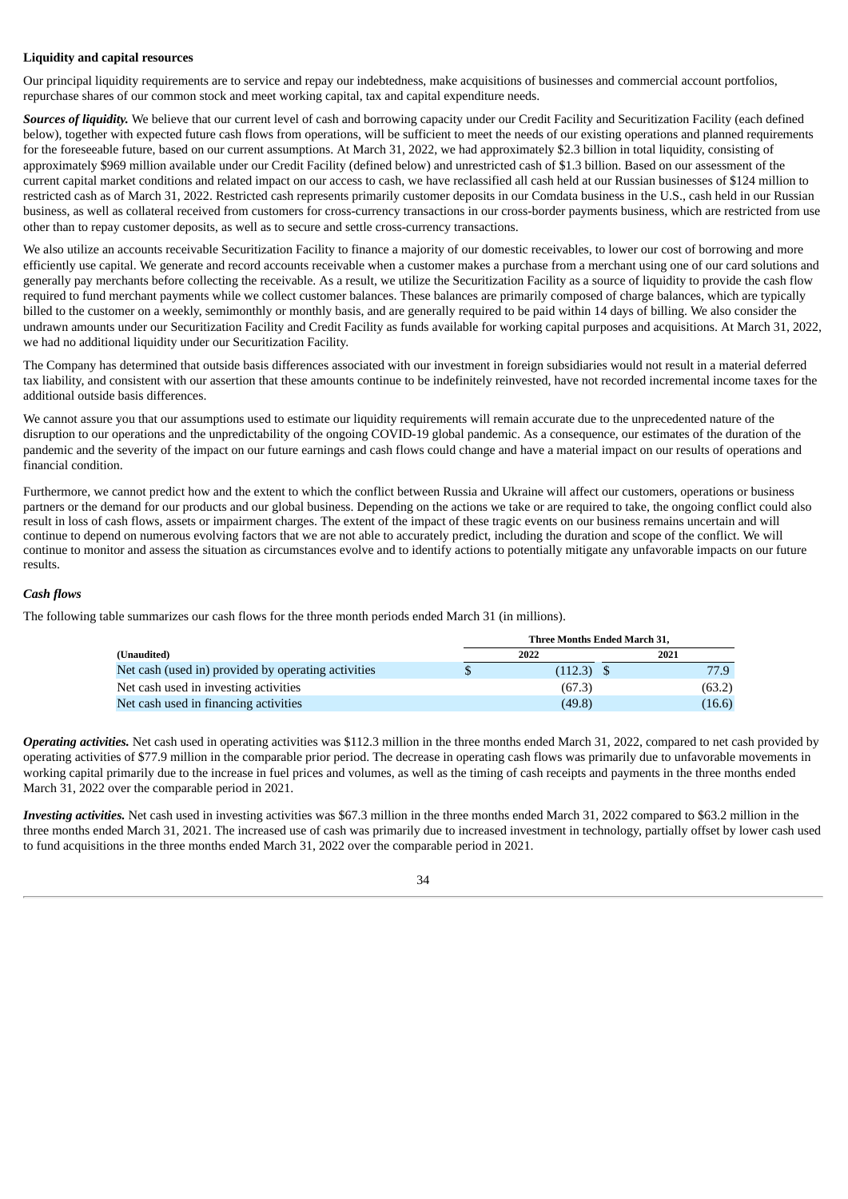### **Liquidity and capital resources**

Our principal liquidity requirements are to service and repay our indebtedness, make acquisitions of businesses and commercial account portfolios, repurchase shares of our common stock and meet working capital, tax and capital expenditure needs.

*Sources of liquidity.* We believe that our current level of cash and borrowing capacity under our Credit Facility and Securitization Facility (each defined below), together with expected future cash flows from operations, will be sufficient to meet the needs of our existing operations and planned requirements for the foreseeable future, based on our current assumptions. At March 31, 2022, we had approximately \$2.3 billion in total liquidity, consisting of approximately \$969 million available under our Credit Facility (defined below) and unrestricted cash of \$1.3 billion. Based on our assessment of the current capital market conditions and related impact on our access to cash, we have reclassified all cash held at our Russian businesses of \$124 million to restricted cash as of March 31, 2022. Restricted cash represents primarily customer deposits in our Comdata business in the U.S., cash held in our Russian business, as well as collateral received from customers for cross-currency transactions in our cross-border payments business, which are restricted from use other than to repay customer deposits, as well as to secure and settle cross-currency transactions.

We also utilize an accounts receivable Securitization Facility to finance a majority of our domestic receivables, to lower our cost of borrowing and more efficiently use capital. We generate and record accounts receivable when a customer makes a purchase from a merchant using one of our card solutions and generally pay merchants before collecting the receivable. As a result, we utilize the Securitization Facility as a source of liquidity to provide the cash flow required to fund merchant payments while we collect customer balances. These balances are primarily composed of charge balances, which are typically billed to the customer on a weekly, semimonthly or monthly basis, and are generally required to be paid within 14 days of billing. We also consider the undrawn amounts under our Securitization Facility and Credit Facility as funds available for working capital purposes and acquisitions. At March 31, 2022, we had no additional liquidity under our Securitization Facility.

The Company has determined that outside basis differences associated with our investment in foreign subsidiaries would not result in a material deferred tax liability, and consistent with our assertion that these amounts continue to be indefinitely reinvested, have not recorded incremental income taxes for the additional outside basis differences.

We cannot assure you that our assumptions used to estimate our liquidity requirements will remain accurate due to the unprecedented nature of the disruption to our operations and the unpredictability of the ongoing COVID-19 global pandemic. As a consequence, our estimates of the duration of the pandemic and the severity of the impact on our future earnings and cash flows could change and have a material impact on our results of operations and financial condition.

Furthermore, we cannot predict how and the extent to which the conflict between Russia and Ukraine will affect our customers, operations or business partners or the demand for our products and our global business. Depending on the actions we take or are required to take, the ongoing conflict could also result in loss of cash flows, assets or impairment charges. The extent of the impact of these tragic events on our business remains uncertain and will continue to depend on numerous evolving factors that we are not able to accurately predict, including the duration and scope of the conflict. We will continue to monitor and assess the situation as circumstances evolve and to identify actions to potentially mitigate any unfavorable impacts on our future results.

### *Cash flows*

The following table summarizes our cash flows for the three month periods ended March 31 (in millions).

|                                                     | Three Months Ended March 31, |        |  |  |  |  |
|-----------------------------------------------------|------------------------------|--------|--|--|--|--|
| (Unaudited)                                         | 2022                         | 2021   |  |  |  |  |
| Net cash (used in) provided by operating activities | \$<br>(112.3)                | 77.9   |  |  |  |  |
| Net cash used in investing activities               | (67.3)                       | (63.2) |  |  |  |  |
| Net cash used in financing activities               | (49.8)                       | (16.6) |  |  |  |  |

*Operating activities.* Net cash used in operating activities was \$112.3 million in the three months ended March 31, 2022, compared to net cash provided by operating activities of \$77.9 million in the comparable prior period. The decrease in operating cash flows was primarily due to unfavorable movements in working capital primarily due to the increase in fuel prices and volumes, as well as the timing of cash receipts and payments in the three months ended March 31, 2022 over the comparable period in 2021.

*Investing activities.* Net cash used in investing activities was \$67.3 million in the three months ended March 31, 2022 compared to \$63.2 million in the three months ended March 31, 2021. The increased use of cash was primarily due to increased investment in technology, partially offset by lower cash used to fund acquisitions in the three months ended March 31, 2022 over the comparable period in 2021.

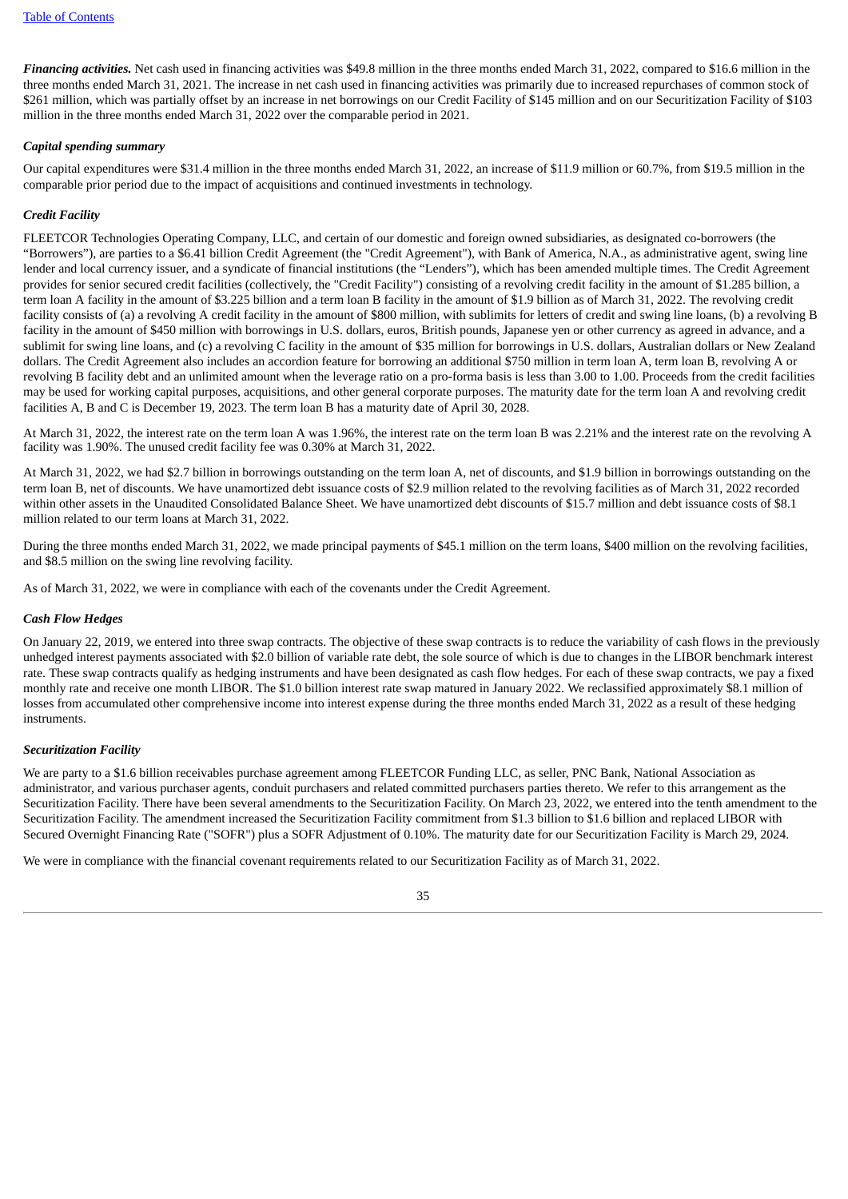*Financing activities.* Net cash used in financing activities was \$49.8 million in the three months ended March 31, 2022, compared to \$16.6 million in the three months ended March 31, 2021. The increase in net cash used in financing activities was primarily due to increased repurchases of common stock of \$261 million, which was partially offset by an increase in net borrowings on our Credit Facility of \$145 million and on our Securitization Facility of \$103 million in the three months ended March 31, 2022 over the comparable period in 2021.

#### *Capital spending summary*

Our capital expenditures were \$31.4 million in the three months ended March 31, 2022, an increase of \$11.9 million or 60.7%, from \$19.5 million in the comparable prior period due to the impact of acquisitions and continued investments in technology.

#### *Credit Facility*

FLEETCOR Technologies Operating Company, LLC, and certain of our domestic and foreign owned subsidiaries, as designated co-borrowers (the "Borrowers"), are parties to a \$6.41 billion Credit Agreement (the "Credit Agreement"), with Bank of America, N.A., as administrative agent, swing line lender and local currency issuer, and a syndicate of financial institutions (the "Lenders"), which has been amended multiple times. The Credit Agreement provides for senior secured credit facilities (collectively, the "Credit Facility") consisting of a revolving credit facility in the amount of \$1.285 billion, a term loan A facility in the amount of \$3.225 billion and a term loan B facility in the amount of \$1.9 billion as of March 31, 2022. The revolving credit facility consists of (a) a revolving A credit facility in the amount of \$800 million, with sublimits for letters of credit and swing line loans, (b) a revolving B facility in the amount of \$450 million with borrowings in U.S. dollars, euros, British pounds, Japanese yen or other currency as agreed in advance, and a sublimit for swing line loans, and (c) a revolving C facility in the amount of \$35 million for borrowings in U.S. dollars, Australian dollars or New Zealand dollars. The Credit Agreement also includes an accordion feature for borrowing an additional \$750 million in term loan A, term loan B, revolving A or revolving B facility debt and an unlimited amount when the leverage ratio on a pro-forma basis is less than 3.00 to 1.00. Proceeds from the credit facilities may be used for working capital purposes, acquisitions, and other general corporate purposes. The maturity date for the term loan A and revolving credit facilities A, B and C is December 19, 2023. The term loan B has a maturity date of April 30, 2028.

At March 31, 2022, the interest rate on the term loan A was 1.96%, the interest rate on the term loan B was 2.21% and the interest rate on the revolving A facility was 1.90%. The unused credit facility fee was 0.30% at March 31, 2022.

At March 31, 2022, we had \$2.7 billion in borrowings outstanding on the term loan A, net of discounts, and \$1.9 billion in borrowings outstanding on the term loan B, net of discounts. We have unamortized debt issuance costs of \$2.9 million related to the revolving facilities as of March 31, 2022 recorded within other assets in the Unaudited Consolidated Balance Sheet. We have unamortized debt discounts of \$15.7 million and debt issuance costs of \$8.1 million related to our term loans at March 31, 2022.

During the three months ended March 31, 2022, we made principal payments of \$45.1 million on the term loans, \$400 million on the revolving facilities, and \$8.5 million on the swing line revolving facility.

As of March 31, 2022, we were in compliance with each of the covenants under the Credit Agreement.

#### *Cash Flow Hedges*

On January 22, 2019, we entered into three swap contracts. The objective of these swap contracts is to reduce the variability of cash flows in the previously unhedged interest payments associated with \$2.0 billion of variable rate debt, the sole source of which is due to changes in the LIBOR benchmark interest rate. These swap contracts qualify as hedging instruments and have been designated as cash flow hedges. For each of these swap contracts, we pay a fixed monthly rate and receive one month LIBOR. The \$1.0 billion interest rate swap matured in January 2022. We reclassified approximately \$8.1 million of losses from accumulated other comprehensive income into interest expense during the three months ended March 31, 2022 as a result of these hedging instruments.

#### *Securitization Facility*

We are party to a \$1.6 billion receivables purchase agreement among FLEETCOR Funding LLC, as seller, PNC Bank, National Association as administrator, and various purchaser agents, conduit purchasers and related committed purchasers parties thereto. We refer to this arrangement as the Securitization Facility. There have been several amendments to the Securitization Facility. On March 23, 2022, we entered into the tenth amendment to the Securitization Facility. The amendment increased the Securitization Facility commitment from \$1.3 billion to \$1.6 billion and replaced LIBOR with Secured Overnight Financing Rate ("SOFR") plus a SOFR Adjustment of 0.10%. The maturity date for our Securitization Facility is March 29, 2024.

We were in compliance with the financial covenant requirements related to our Securitization Facility as of March 31, 2022.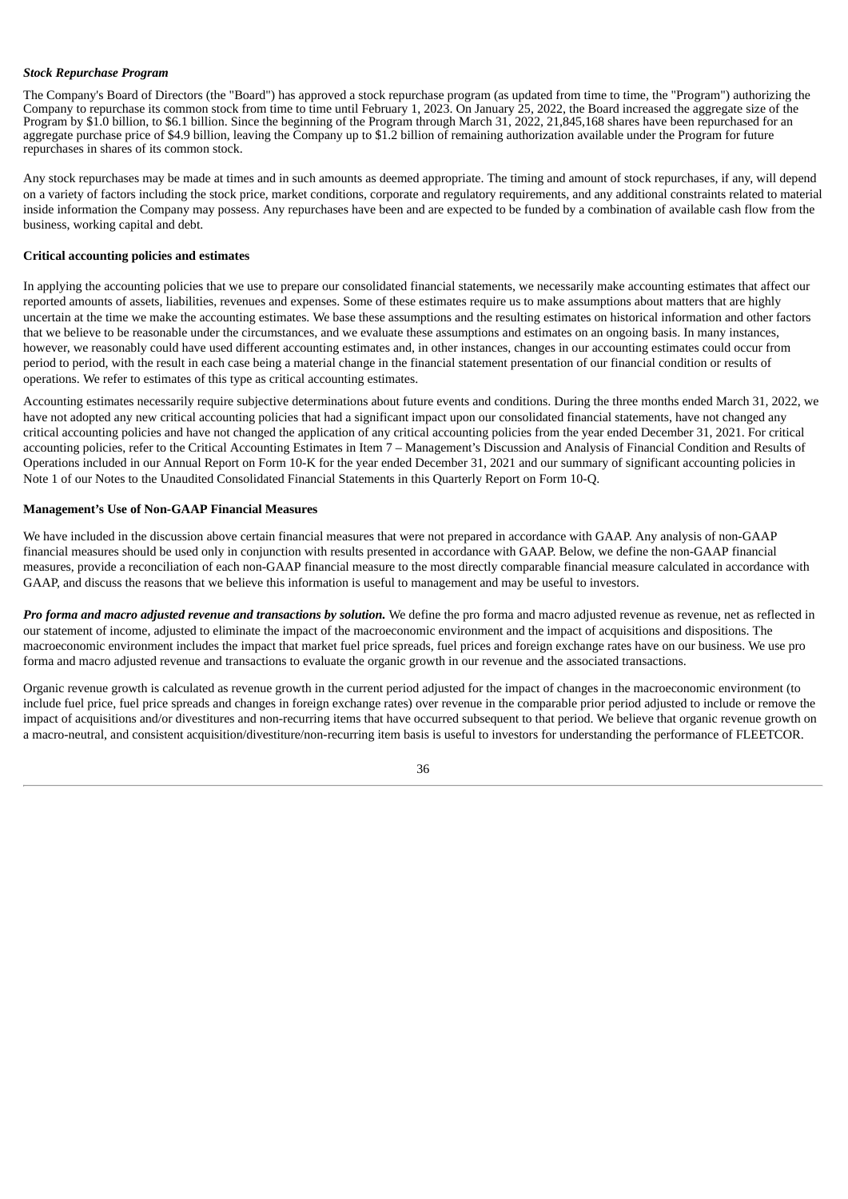#### *Stock Repurchase Program*

The Company's Board of Directors (the "Board") has approved a stock repurchase program (as updated from time to time, the "Program") authorizing the Company to repurchase its common stock from time to time until February 1, 2023. On January 25, 2022, the Board increased the aggregate size of the Program by \$1.0 billion, to \$6.1 billion. Since the beginning of the Program through March 31, 2022, 21,845,168 shares have been repurchased for an aggregate purchase price of \$4.9 billion, leaving the Company up to \$1.2 billion of remaining authorization available under the Program for future repurchases in shares of its common stock.

Any stock repurchases may be made at times and in such amounts as deemed appropriate. The timing and amount of stock repurchases, if any, will depend on a variety of factors including the stock price, market conditions, corporate and regulatory requirements, and any additional constraints related to material inside information the Company may possess. Any repurchases have been and are expected to be funded by a combination of available cash flow from the business, working capital and debt.

#### **Critical accounting policies and estimates**

In applying the accounting policies that we use to prepare our consolidated financial statements, we necessarily make accounting estimates that affect our reported amounts of assets, liabilities, revenues and expenses. Some of these estimates require us to make assumptions about matters that are highly uncertain at the time we make the accounting estimates. We base these assumptions and the resulting estimates on historical information and other factors that we believe to be reasonable under the circumstances, and we evaluate these assumptions and estimates on an ongoing basis. In many instances, however, we reasonably could have used different accounting estimates and, in other instances, changes in our accounting estimates could occur from period to period, with the result in each case being a material change in the financial statement presentation of our financial condition or results of operations. We refer to estimates of this type as critical accounting estimates.

Accounting estimates necessarily require subjective determinations about future events and conditions. During the three months ended March 31, 2022, we have not adopted any new critical accounting policies that had a significant impact upon our consolidated financial statements, have not changed any critical accounting policies and have not changed the application of any critical accounting policies from the year ended December 31, 2021. For critical accounting policies, refer to the Critical Accounting Estimates in Item 7 – Management's Discussion and Analysis of Financial Condition and Results of Operations included in our Annual Report on Form 10-K for the year ended December 31, 2021 and our summary of significant accounting policies in Note 1 of our Notes to the Unaudited Consolidated Financial Statements in this Quarterly Report on Form 10-Q.

#### **Management's Use of Non-GAAP Financial Measures**

We have included in the discussion above certain financial measures that were not prepared in accordance with GAAP. Any analysis of non-GAAP financial measures should be used only in conjunction with results presented in accordance with GAAP. Below, we define the non-GAAP financial measures, provide a reconciliation of each non-GAAP financial measure to the most directly comparable financial measure calculated in accordance with GAAP, and discuss the reasons that we believe this information is useful to management and may be useful to investors.

*Pro forma and macro adjusted revenue and transactions by solution.* We define the pro forma and macro adjusted revenue as revenue, net as reflected in our statement of income, adjusted to eliminate the impact of the macroeconomic environment and the impact of acquisitions and dispositions. The macroeconomic environment includes the impact that market fuel price spreads, fuel prices and foreign exchange rates have on our business. We use pro forma and macro adjusted revenue and transactions to evaluate the organic growth in our revenue and the associated transactions.

Organic revenue growth is calculated as revenue growth in the current period adjusted for the impact of changes in the macroeconomic environment (to include fuel price, fuel price spreads and changes in foreign exchange rates) over revenue in the comparable prior period adjusted to include or remove the impact of acquisitions and/or divestitures and non-recurring items that have occurred subsequent to that period. We believe that organic revenue growth on a macro-neutral, and consistent acquisition/divestiture/non-recurring item basis is useful to investors for understanding the performance of FLEETCOR.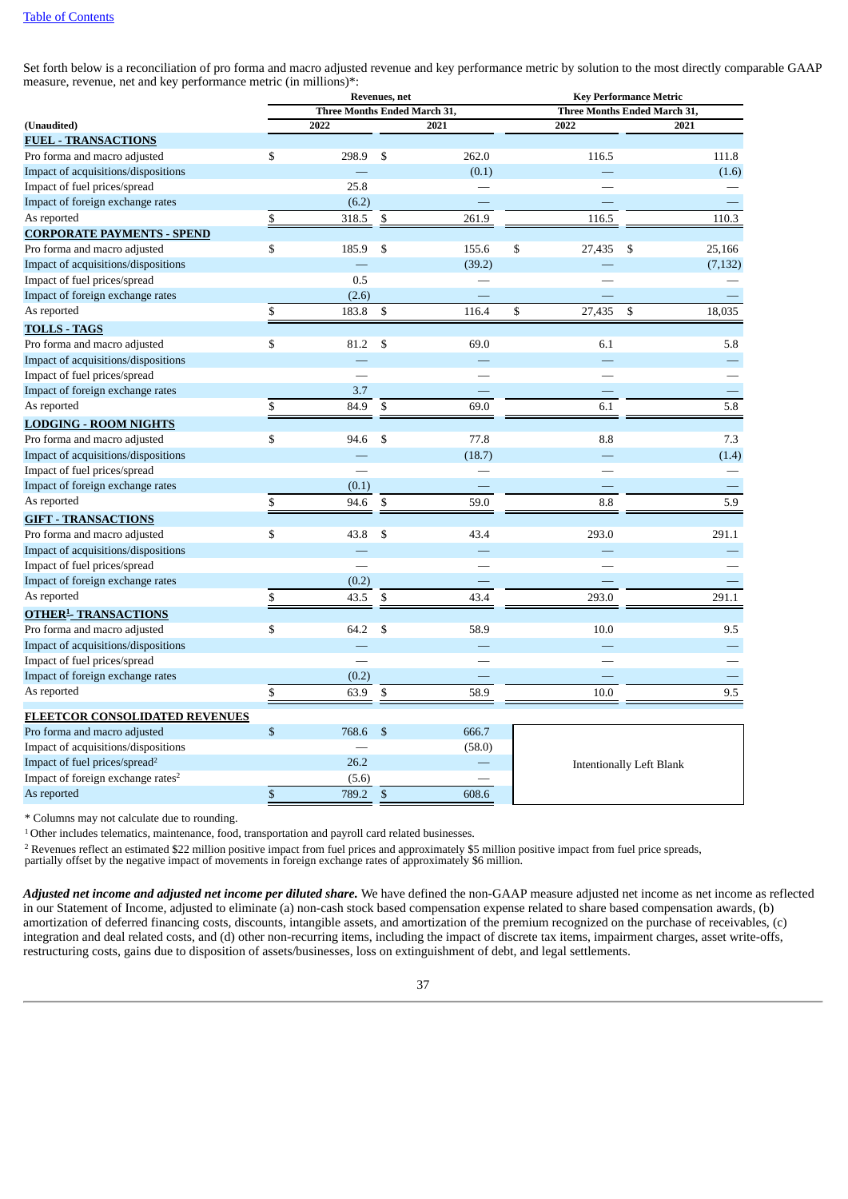Set forth below is a reconciliation of pro forma and macro adjusted revenue and key performance metric by solution to the most directly comparable GAAP measure, revenue, net and key performance metric (in millions)\*:

|                                               |               | <b>Revenues</b> , net |                |                                     |    | <b>Key Performance Metric</b><br><b>Three Months Ended March 31,</b> |                                 |       |  |
|-----------------------------------------------|---------------|-----------------------|----------------|-------------------------------------|----|----------------------------------------------------------------------|---------------------------------|-------|--|
|                                               |               |                       |                | <b>Three Months Ended March 31,</b> |    |                                                                      |                                 |       |  |
| (Unaudited)                                   |               | 2022                  |                | 2021                                |    | 2022                                                                 | 2021                            |       |  |
| <b>FUEL - TRANSACTIONS</b>                    |               |                       |                |                                     |    |                                                                      |                                 |       |  |
| Pro forma and macro adjusted                  | \$            | 298.9                 | $\mathbf S$    | 262.0                               |    | 116.5                                                                | 111.8                           |       |  |
| Impact of acquisitions/dispositions           |               |                       |                | (0.1)                               |    |                                                                      |                                 | (1.6) |  |
| Impact of fuel prices/spread                  |               | 25.8                  |                |                                     |    |                                                                      |                                 |       |  |
| Impact of foreign exchange rates              |               | (6.2)                 |                |                                     |    |                                                                      |                                 |       |  |
| As reported                                   | $\frac{1}{2}$ | 318.5                 | \$             | 261.9                               |    | 116.5                                                                | 110.3                           |       |  |
| <b>CORPORATE PAYMENTS - SPEND</b>             |               |                       |                |                                     |    |                                                                      |                                 |       |  |
| Pro forma and macro adjusted                  | \$            | 185.9                 | \$             | 155.6                               | \$ | 27,435                                                               | \$<br>25,166                    |       |  |
| Impact of acquisitions/dispositions           |               |                       |                | (39.2)                              |    |                                                                      | (7, 132)                        |       |  |
| Impact of fuel prices/spread                  |               | 0.5                   |                |                                     |    |                                                                      |                                 |       |  |
| Impact of foreign exchange rates              |               | (2.6)                 |                |                                     |    |                                                                      |                                 |       |  |
| As reported                                   | \$            | 183.8                 | \$             | 116.4                               | \$ | 27,435                                                               | \$<br>18,035                    |       |  |
| <b>TOLLS - TAGS</b>                           |               |                       |                |                                     |    |                                                                      |                                 |       |  |
| Pro forma and macro adjusted                  | \$            | 81.2                  | \$             | 69.0                                |    | 6.1                                                                  |                                 | 5.8   |  |
| Impact of acquisitions/dispositions           |               |                       |                |                                     |    |                                                                      |                                 |       |  |
| Impact of fuel prices/spread                  |               |                       |                |                                     |    |                                                                      |                                 |       |  |
| Impact of foreign exchange rates              |               | 3.7                   |                |                                     |    |                                                                      |                                 |       |  |
| As reported                                   | \$            | 84.9                  | \$             | 69.0                                |    | 6.1                                                                  |                                 | 5.8   |  |
| <b>LODGING - ROOM NIGHTS</b>                  |               |                       |                |                                     |    |                                                                      |                                 |       |  |
| Pro forma and macro adjusted                  | \$            | 94.6                  | \$             | 77.8                                |    | 8.8                                                                  |                                 | 7.3   |  |
| Impact of acquisitions/dispositions           |               |                       |                | (18.7)                              |    |                                                                      |                                 | (1.4) |  |
| Impact of fuel prices/spread                  |               |                       |                |                                     |    |                                                                      |                                 |       |  |
| Impact of foreign exchange rates              |               | (0.1)                 |                |                                     |    | -                                                                    |                                 |       |  |
| As reported                                   | \$            | 94.6                  | \$             | 59.0                                |    | 8.8                                                                  |                                 | 5.9   |  |
| <b>GIFT - TRANSACTIONS</b>                    |               |                       |                |                                     |    |                                                                      |                                 |       |  |
| Pro forma and macro adjusted                  | \$            | 43.8                  | \$             | 43.4                                |    | 293.0                                                                | 291.1                           |       |  |
| Impact of acquisitions/dispositions           |               |                       |                |                                     |    |                                                                      |                                 |       |  |
| Impact of fuel prices/spread                  |               |                       |                |                                     |    |                                                                      |                                 |       |  |
| Impact of foreign exchange rates              |               | (0.2)                 |                |                                     |    |                                                                      |                                 |       |  |
| As reported                                   | \$            | 43.5                  | \$             | 43.4                                |    | 293.0                                                                | 291.1                           |       |  |
| <b>OTHER<sup>1</sup></b> TRANSACTIONS         |               |                       |                |                                     |    |                                                                      |                                 |       |  |
| Pro forma and macro adjusted                  | \$            | 64.2                  | \$             | 58.9                                |    | 10.0                                                                 |                                 | 9.5   |  |
| Impact of acquisitions/dispositions           |               |                       |                |                                     |    |                                                                      |                                 |       |  |
| Impact of fuel prices/spread                  |               |                       |                |                                     |    |                                                                      |                                 |       |  |
| Impact of foreign exchange rates              |               | (0.2)                 |                |                                     |    |                                                                      |                                 |       |  |
| As reported                                   | \$            | 63.9                  | \$             | 58.9                                |    | 10.0                                                                 |                                 | 9.5   |  |
|                                               |               |                       |                |                                     |    |                                                                      |                                 |       |  |
| <b>FLEETCOR CONSOLIDATED REVENUES</b>         |               |                       |                |                                     |    |                                                                      |                                 |       |  |
| Pro forma and macro adjusted                  | \$            | 768.6                 | \$             | 666.7                               |    |                                                                      |                                 |       |  |
| Impact of acquisitions/dispositions           |               |                       |                | (58.0)                              |    |                                                                      |                                 |       |  |
| Impact of fuel prices/spread <sup>2</sup>     |               | 26.2                  |                |                                     |    |                                                                      | <b>Intentionally Left Blank</b> |       |  |
| Impact of foreign exchange rates <sup>2</sup> |               | (5.6)                 |                |                                     |    |                                                                      |                                 |       |  |
| As reported                                   | \$            | 789.2                 | $\mathfrak{s}$ | 608.6                               |    |                                                                      |                                 |       |  |

\* Columns may not calculate due to rounding.

 $1$  Other includes telematics, maintenance, food, transportation and payroll card related businesses.

<sup>2</sup> Revenues reflect an estimated \$22 million positive impact from fuel prices and approximately \$5 million positive impact from fuel price spreads,

partially offset by the negative impact of movements in foreign exchange rates of approximately \$6 million.

*Adjusted net income and adjusted net income per diluted share.* We have defined the non-GAAP measure adjusted net income as net income as reflected in our Statement of Income, adjusted to eliminate (a) non-cash stock based compensation expense related to share based compensation awards, (b) amortization of deferred financing costs, discounts, intangible assets, and amortization of the premium recognized on the purchase of receivables, (c) integration and deal related costs, and (d) other non-recurring items, including the impact of discrete tax items, impairment charges, asset write-offs, restructuring costs, gains due to disposition of assets/businesses, loss on extinguishment of debt, and legal settlements.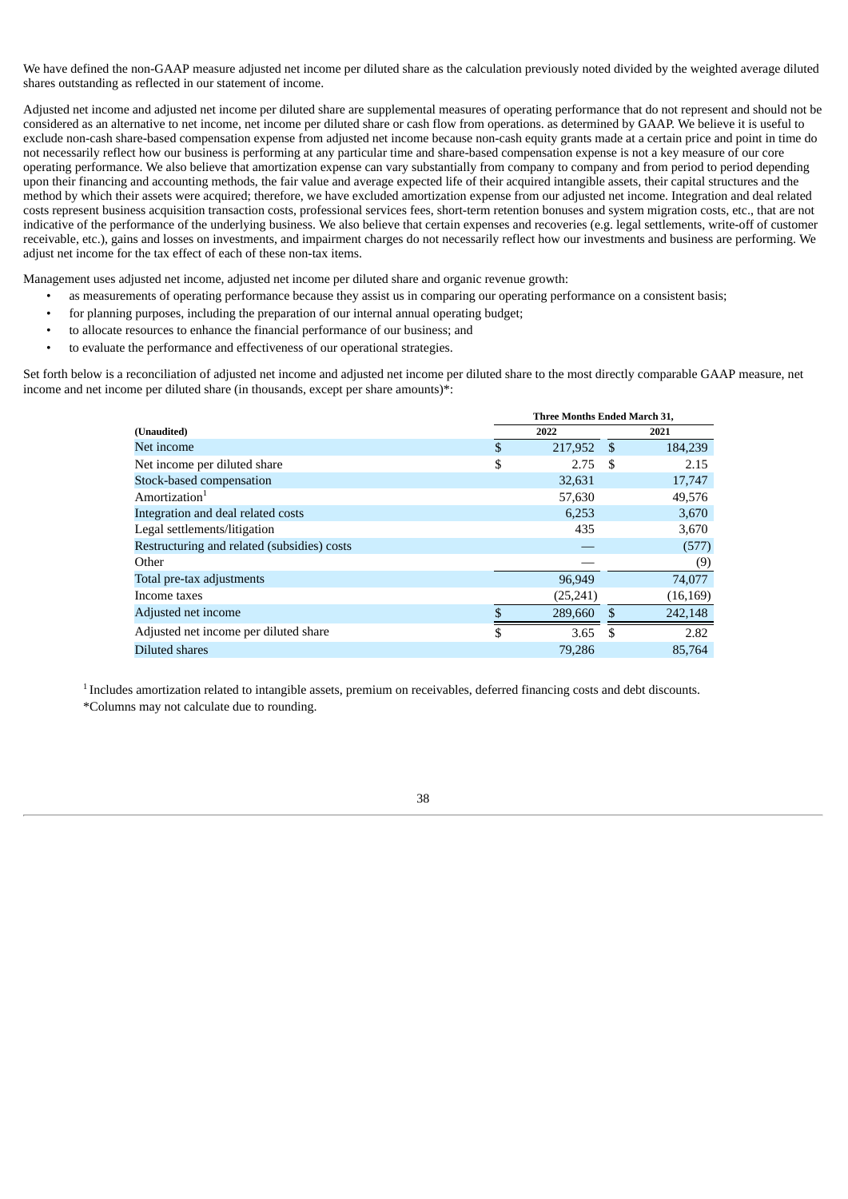We have defined the non-GAAP measure adjusted net income per diluted share as the calculation previously noted divided by the weighted average diluted shares outstanding as reflected in our statement of income.

Adjusted net income and adjusted net income per diluted share are supplemental measures of operating performance that do not represent and should not be considered as an alternative to net income, net income per diluted share or cash flow from operations. as determined by GAAP. We believe it is useful to exclude non-cash share-based compensation expense from adjusted net income because non-cash equity grants made at a certain price and point in time do not necessarily reflect how our business is performing at any particular time and share-based compensation expense is not a key measure of our core operating performance. We also believe that amortization expense can vary substantially from company to company and from period to period depending upon their financing and accounting methods, the fair value and average expected life of their acquired intangible assets, their capital structures and the method by which their assets were acquired; therefore, we have excluded amortization expense from our adjusted net income. Integration and deal related costs represent business acquisition transaction costs, professional services fees, short-term retention bonuses and system migration costs, etc., that are not indicative of the performance of the underlying business. We also believe that certain expenses and recoveries (e.g. legal settlements, write-off of customer receivable, etc.), gains and losses on investments, and impairment charges do not necessarily reflect how our investments and business are performing. We adjust net income for the tax effect of each of these non-tax items.

Management uses adjusted net income, adjusted net income per diluted share and organic revenue growth:

- as measurements of operating performance because they assist us in comparing our operating performance on a consistent basis;
- for planning purposes, including the preparation of our internal annual operating budget;
- to allocate resources to enhance the financial performance of our business; and
- to evaluate the performance and effectiveness of our operational strategies.

Set forth below is a reconciliation of adjusted net income and adjusted net income per diluted share to the most directly comparable GAAP measure, net income and net income per diluted share (in thousands, except per share amounts)\*:

|                                             | <b>Three Months Ended March 31,</b> |     |           |  |  |  |  |  |
|---------------------------------------------|-------------------------------------|-----|-----------|--|--|--|--|--|
| (Unaudited)                                 | 2022                                |     | 2021      |  |  |  |  |  |
| Net income                                  | \$<br>217,952                       | \$  | 184,239   |  |  |  |  |  |
| Net income per diluted share                | \$<br>2.75                          | -\$ | 2.15      |  |  |  |  |  |
| Stock-based compensation                    | 32,631                              |     | 17,747    |  |  |  |  |  |
| Amortization <sup>1</sup>                   | 57,630                              |     | 49,576    |  |  |  |  |  |
| Integration and deal related costs          | 6,253                               |     | 3,670     |  |  |  |  |  |
| Legal settlements/litigation                | 435                                 |     | 3,670     |  |  |  |  |  |
| Restructuring and related (subsidies) costs |                                     |     | (577)     |  |  |  |  |  |
| Other                                       |                                     |     | (9)       |  |  |  |  |  |
| Total pre-tax adjustments                   | 96,949                              |     | 74,077    |  |  |  |  |  |
| Income taxes                                | (25, 241)                           |     | (16, 169) |  |  |  |  |  |
| Adjusted net income                         | \$<br>289,660                       | \$  | 242,148   |  |  |  |  |  |
| Adjusted net income per diluted share       | \$<br>3.65                          | \$  | 2.82      |  |  |  |  |  |
| Diluted shares                              | 79.286                              |     | 85,764    |  |  |  |  |  |

<sup>1</sup> Includes amortization related to intangible assets, premium on receivables, deferred financing costs and debt discounts. \*Columns may not calculate due to rounding.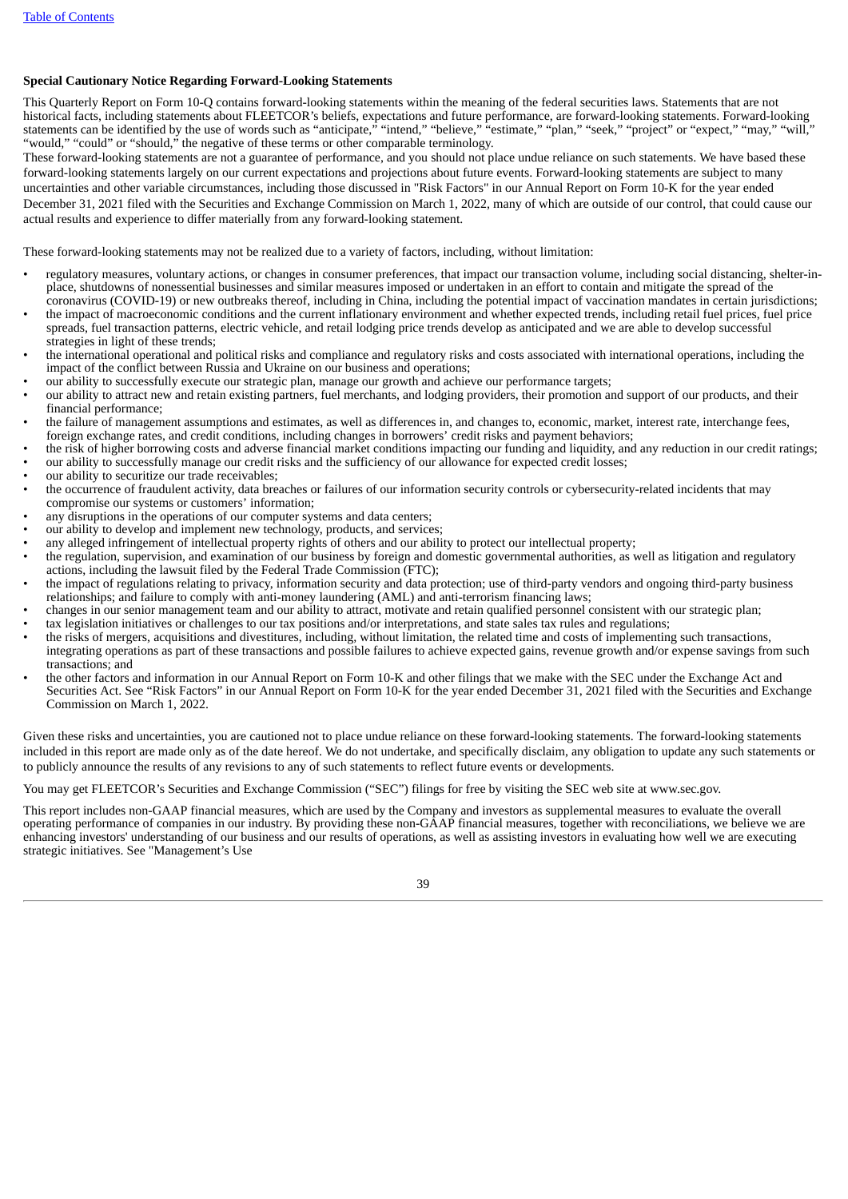## **Special Cautionary Notice Regarding Forward-Looking Statements**

This Quarterly Report on Form 10-Q contains forward-looking statements within the meaning of the federal securities laws. Statements that are not historical facts, including statements about FLEETCOR's beliefs, expectations and future performance, are forward-looking statements. Forward-looking statements can be identified by the use of words such as "anticipate," "intend," "believe," "estimate," "plan," "seek," "project" or "expect," "may," "will," "would," "could" or "should," the negative of these terms or other comparable terminology.

These forward-looking statements are not a guarantee of performance, and you should not place undue reliance on such statements. We have based these forward-looking statements largely on our current expectations and projections about future events. Forward-looking statements are subject to many uncertainties and other variable circumstances, including those discussed in "Risk Factors" in our Annual Report on Form 10-K for the year ended December 31, 2021 filed with the Securities and Exchange Commission on March 1, 2022, many of which are outside of our control, that could cause our actual results and experience to differ materially from any forward-looking statement.

These forward-looking statements may not be realized due to a variety of factors, including, without limitation:

- regulatory measures, voluntary actions, or changes in consumer preferences, that impact our transaction volume, including social distancing, shelter-inplace, shutdowns of nonessential businesses and similar measures imposed or undertaken in an effort to contain and mitigate the spread of the coronavirus (COVID-19) or new outbreaks thereof, including in China, including the potential impact of vaccination mandates in certain jurisdictions;
- the impact of macroeconomic conditions and the current inflationary environment and whether expected trends, including retail fuel prices, fuel price spreads, fuel transaction patterns, electric vehicle, and retail lodging price trends develop as anticipated and we are able to develop successful strategies in light of these trends;
- the international operational and political risks and compliance and regulatory risks and costs associated with international operations, including the impact of the conflict between Russia and Ukraine on our business and operations;
- our ability to successfully execute our strategic plan, manage our growth and achieve our performance targets;
- our ability to attract new and retain existing partners, fuel merchants, and lodging providers, their promotion and support of our products, and their financial performance;
- the failure of management assumptions and estimates, as well as differences in, and changes to, economic, market, interest rate, interchange fees, foreign exchange rates, and credit conditions, including changes in borrowers' credit risks and payment behaviors;
- the risk of higher borrowing costs and adverse financial market conditions impacting our funding and liquidity, and any reduction in our credit ratings; • our ability to successfully manage our credit risks and the sufficiency of our allowance for expected credit losses;
- our ability to securitize our trade receivables;
- the occurrence of fraudulent activity, data breaches or failures of our information security controls or cybersecurity-related incidents that may compromise our systems or customers' information;
- any disruptions in the operations of our computer systems and data centers;
- our ability to develop and implement new technology, products, and services;
- any alleged infringement of intellectual property rights of others and our ability to protect our intellectual property;
- the regulation, supervision, and examination of our business by foreign and domestic governmental authorities, as well as litigation and regulatory actions, including the lawsuit filed by the Federal Trade Commission (FTC);
- the impact of regulations relating to privacy, information security and data protection; use of third-party vendors and ongoing third-party business relationships; and failure to comply with anti-money laundering (AML) and anti-terrorism financing laws;
- changes in our senior management team and our ability to attract, motivate and retain qualified personnel consistent with our strategic plan;
- tax legislation initiatives or challenges to our tax positions and/or interpretations, and state sales tax rules and regulations;
- the risks of mergers, acquisitions and divestitures, including, without limitation, the related time and costs of implementing such transactions, integrating operations as part of these transactions and possible failures to achieve expected gains, revenue growth and/or expense savings from such transactions; and
- the other factors and information in our Annual Report on Form 10-K and other filings that we make with the SEC under the Exchange Act and Securities Act. See "Risk Factors" in our Annual Report on Form 10-K for the year ended December 31, 2021 filed with the Securities and Exchange Commission on March 1, 2022.

Given these risks and uncertainties, you are cautioned not to place undue reliance on these forward-looking statements. The forward-looking statements included in this report are made only as of the date hereof. We do not undertake, and specifically disclaim, any obligation to update any such statements or to publicly announce the results of any revisions to any of such statements to reflect future events or developments.

You may get FLEETCOR's Securities and Exchange Commission ("SEC") filings for free by visiting the SEC web site at www.sec.gov.

This report includes non-GAAP financial measures, which are used by the Company and investors as supplemental measures to evaluate the overall operating performance of companies in our industry. By providing these non-GAAP financial measures, together with reconciliations, we believe we are enhancing investors' understanding of our business and our results of operations, as well as assisting investors in evaluating how well we are executing strategic initiatives. See "Management's Use

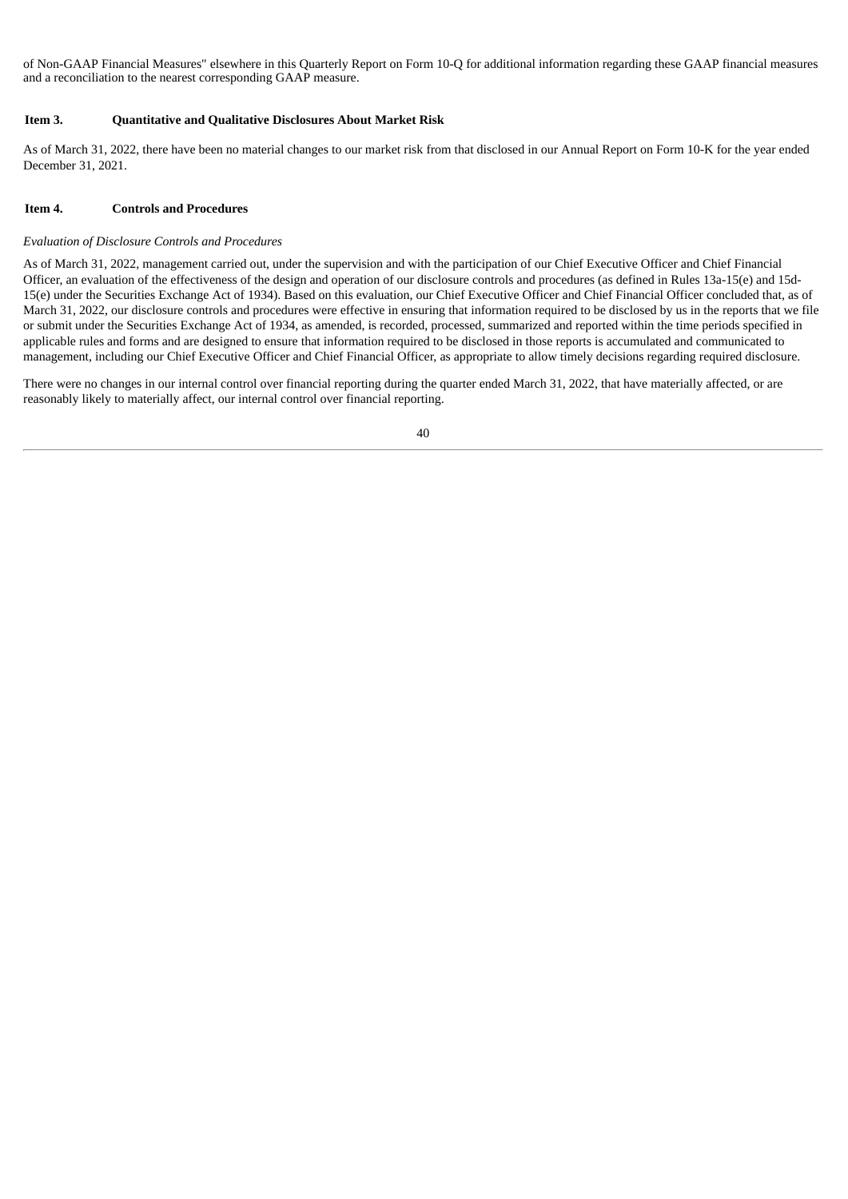of Non-GAAP Financial Measures" elsewhere in this Quarterly Report on Form 10-Q for additional information regarding these GAAP financial measures and a reconciliation to the nearest corresponding GAAP measure.

#### <span id="page-41-0"></span>**Item 3. Quantitative and Qualitative Disclosures About Market Risk**

As of March 31, 2022, there have been no material changes to our market risk from that disclosed in our Annual Report on Form 10-K for the year ended December 31, 2021.

#### <span id="page-41-1"></span>**Item 4. Controls and Procedures**

#### *Evaluation of Disclosure Controls and Procedures*

As of March 31, 2022, management carried out, under the supervision and with the participation of our Chief Executive Officer and Chief Financial Officer, an evaluation of the effectiveness of the design and operation of our disclosure controls and procedures (as defined in Rules 13a-15(e) and 15d-15(e) under the Securities Exchange Act of 1934). Based on this evaluation, our Chief Executive Officer and Chief Financial Officer concluded that, as of March 31, 2022, our disclosure controls and procedures were effective in ensuring that information required to be disclosed by us in the reports that we file or submit under the Securities Exchange Act of 1934, as amended, is recorded, processed, summarized and reported within the time periods specified in applicable rules and forms and are designed to ensure that information required to be disclosed in those reports is accumulated and communicated to management, including our Chief Executive Officer and Chief Financial Officer, as appropriate to allow timely decisions regarding required disclosure.

There were no changes in our internal control over financial reporting during the quarter ended March 31, 2022, that have materially affected, or are reasonably likely to materially affect, our internal control over financial reporting.

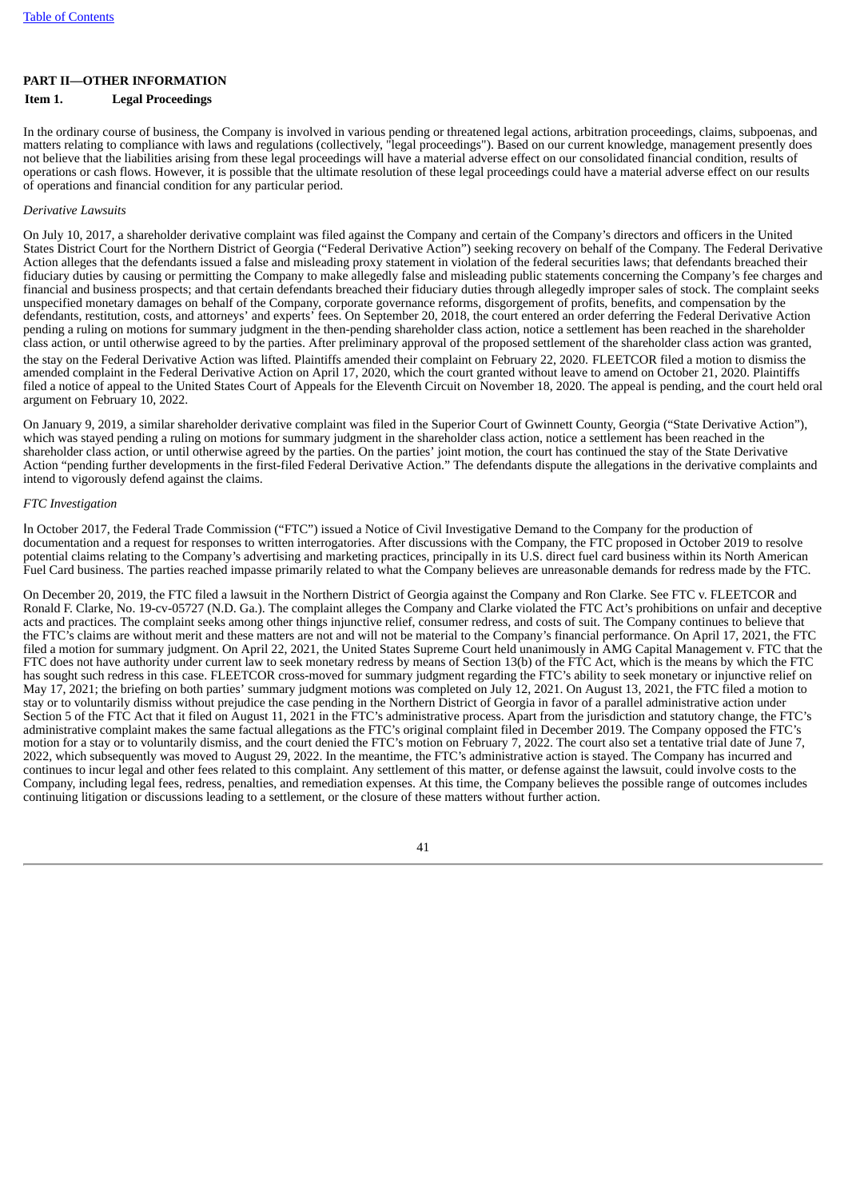## **PART II—OTHER INFORMATION**

## <span id="page-42-0"></span>**Item 1. Legal Proceedings**

In the ordinary course of business, the Company is involved in various pending or threatened legal actions, arbitration proceedings, claims, subpoenas, and matters relating to compliance with laws and regulations (collectively, "legal proceedings"). Based on our current knowledge, management presently does not believe that the liabilities arising from these legal proceedings will have a material adverse effect on our consolidated financial condition, results of operations or cash flows. However, it is possible that the ultimate resolution of these legal proceedings could have a material adverse effect on our results of operations and financial condition for any particular period.

## *Derivative Lawsuits*

On July 10, 2017, a shareholder derivative complaint was filed against the Company and certain of the Company's directors and officers in the United States District Court for the Northern District of Georgia ("Federal Derivative Action") seeking recovery on behalf of the Company. The Federal Derivative Action alleges that the defendants issued a false and misleading proxy statement in violation of the federal securities laws; that defendants breached their fiduciary duties by causing or permitting the Company to make allegedly false and misleading public statements concerning the Company's fee charges and financial and business prospects; and that certain defendants breached their fiduciary duties through allegedly improper sales of stock. The complaint seeks unspecified monetary damages on behalf of the Company, corporate governance reforms, disgorgement of profits, benefits, and compensation by the defendants, restitution, costs, and attorneys' and experts' fees. On September 20, 2018, the court entered an order deferring the Federal Derivative Action pending a ruling on motions for summary judgment in the then-pending shareholder class action, notice a settlement has been reached in the shareholder class action, or until otherwise agreed to by the parties. After preliminary approval of the proposed settlement of the shareholder class action was granted, the stay on the Federal Derivative Action was lifted. Plaintiffs amended their complaint on February 22, 2020. FLEETCOR filed a motion to dismiss the amended complaint in the Federal Derivative Action on April 17, 2020, which the court granted without leave to amend on October 21, 2020. Plaintiffs filed a notice of appeal to the United States Court of Appeals for the Eleventh Circuit on November 18, 2020. The appeal is pending, and the court held oral argument on February 10, 2022.

On January 9, 2019, a similar shareholder derivative complaint was filed in the Superior Court of Gwinnett County, Georgia ("State Derivative Action"), which was stayed pending a ruling on motions for summary judgment in the shareholder class action, notice a settlement has been reached in the shareholder class action, or until otherwise agreed by the parties. On the parties' joint motion, the court has continued the stay of the State Derivative Action "pending further developments in the first-filed Federal Derivative Action." The defendants dispute the allegations in the derivative complaints and intend to vigorously defend against the claims.

#### *FTC Investigation*

In October 2017, the Federal Trade Commission ("FTC") issued a Notice of Civil Investigative Demand to the Company for the production of documentation and a request for responses to written interrogatories. After discussions with the Company, the FTC proposed in October 2019 to resolve potential claims relating to the Company's advertising and marketing practices, principally in its U.S. direct fuel card business within its North American Fuel Card business. The parties reached impasse primarily related to what the Company believes are unreasonable demands for redress made by the FTC.

<span id="page-42-1"></span>On December 20, 2019, the FTC filed a lawsuit in the Northern District of Georgia against the Company and Ron Clarke. See FTC v. FLEETCOR and Ronald F. Clarke, No. 19-cv-05727 (N.D. Ga.). The complaint alleges the Company and Clarke violated the FTC Act's prohibitions on unfair and deceptive acts and practices. The complaint seeks among other things injunctive relief, consumer redress, and costs of suit. The Company continues to believe that the FTC's claims are without merit and these matters are not and will not be material to the Company's financial performance. On April 17, 2021, the FTC filed a motion for summary judgment. On April 22, 2021, the United States Supreme Court held unanimously in AMG Capital Management v. FTC that the FTC does not have authority under current law to seek monetary redress by means of Section 13(b) of the FTC Act, which is the means by which the FTC has sought such redress in this case. FLEETCOR cross-moved for summary judgment regarding the FTC's ability to seek monetary or injunctive relief on May 17, 2021; the briefing on both parties' summary judgment motions was completed on July 12, 2021. On August 13, 2021, the FTC filed a motion to stay or to voluntarily dismiss without prejudice the case pending in the Northern District of Georgia in favor of a parallel administrative action under Section 5 of the FTC Act that it filed on August 11, 2021 in the FTC's administrative process. Apart from the jurisdiction and statutory change, the FTC's administrative complaint makes the same factual allegations as the FTC's original complaint filed in December 2019. The Company opposed the FTC's motion for a stay or to voluntarily dismiss, and the court denied the FTC's motion on February 7, 2022. The court also set a tentative trial date of June 7, 2022, which subsequently was moved to August 29, 2022. In the meantime, the FTC's administrative action is stayed. The Company has incurred and continues to incur legal and other fees related to this complaint. Any settlement of this matter, or defense against the lawsuit, could involve costs to the Company, including legal fees, redress, penalties, and remediation expenses. At this time, the Company believes the possible range of outcomes includes continuing litigation or discussions leading to a settlement, or the closure of these matters without further action.

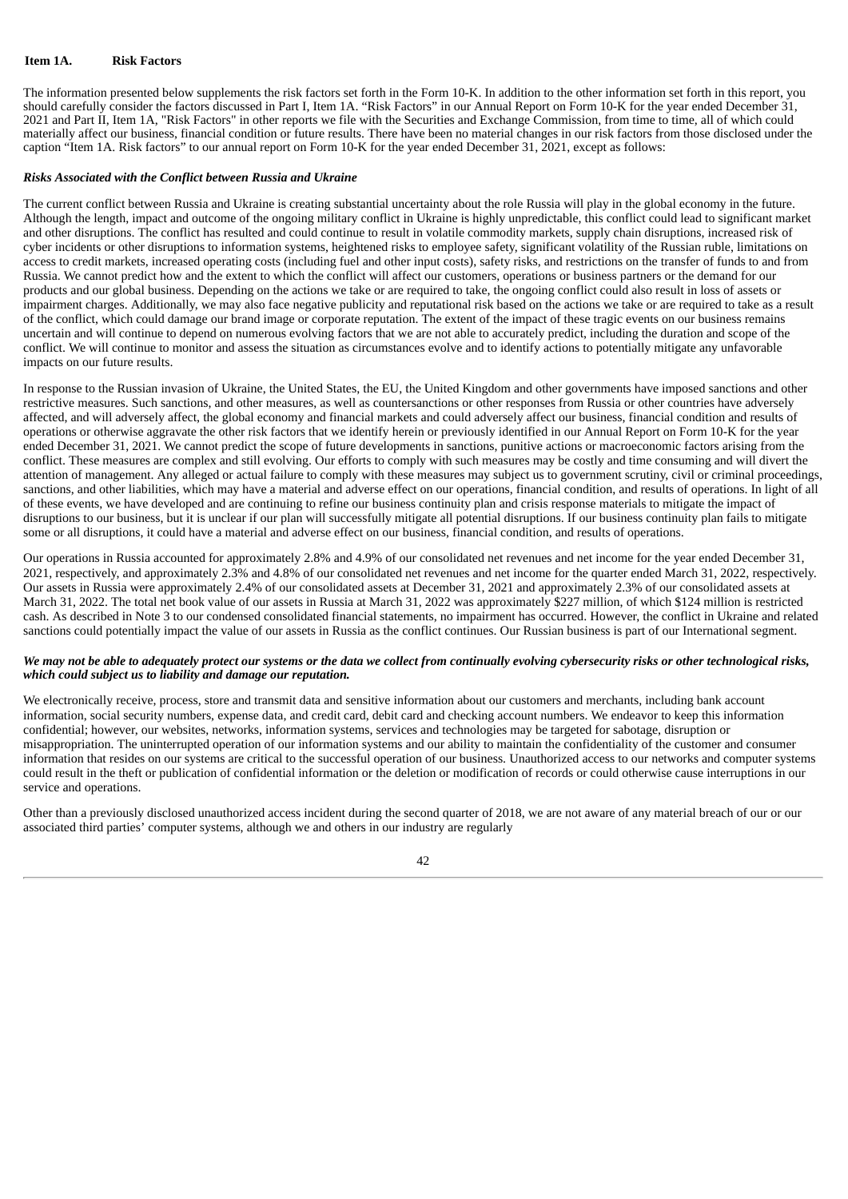#### **Item 1A. Risk Factors**

The information presented below supplements the risk factors set forth in the Form 10-K. In addition to the other information set forth in this report, you should carefully consider the factors discussed in Part I, Item 1A. "Risk Factors" in our Annual Report on Form 10-K for the year ended December 31, 2021 and Part II, Item 1A, "Risk Factors" in other reports we file with the Securities and Exchange Commission, from time to time, all of which could materially affect our business, financial condition or future results. There have been no material changes in our risk factors from those disclosed under the caption "Item 1A. Risk factors" to our annual report on Form 10-K for the year ended December 31, 2021, except as follows:

#### *Risks Associated with the Conflict between Russia and Ukraine*

The current conflict between Russia and Ukraine is creating substantial uncertainty about the role Russia will play in the global economy in the future. Although the length, impact and outcome of the ongoing military conflict in Ukraine is highly unpredictable, this conflict could lead to significant market and other disruptions. The conflict has resulted and could continue to result in volatile commodity markets, supply chain disruptions, increased risk of cyber incidents or other disruptions to information systems, heightened risks to employee safety, significant volatility of the Russian ruble, limitations on access to credit markets, increased operating costs (including fuel and other input costs), safety risks, and restrictions on the transfer of funds to and from Russia. We cannot predict how and the extent to which the conflict will affect our customers, operations or business partners or the demand for our products and our global business. Depending on the actions we take or are required to take, the ongoing conflict could also result in loss of assets or impairment charges. Additionally, we may also face negative publicity and reputational risk based on the actions we take or are required to take as a result of the conflict, which could damage our brand image or corporate reputation. The extent of the impact of these tragic events on our business remains uncertain and will continue to depend on numerous evolving factors that we are not able to accurately predict, including the duration and scope of the conflict. We will continue to monitor and assess the situation as circumstances evolve and to identify actions to potentially mitigate any unfavorable impacts on our future results.

In response to the Russian invasion of Ukraine, the United States, the EU, the United Kingdom and other governments have imposed sanctions and other restrictive measures. Such sanctions, and other measures, as well as countersanctions or other responses from Russia or other countries have adversely affected, and will adversely affect, the global economy and financial markets and could adversely affect our business, financial condition and results of operations or otherwise aggravate the other risk factors that we identify herein or previously identified in our Annual Report on Form 10-K for the year ended December 31, 2021. We cannot predict the scope of future developments in sanctions, punitive actions or macroeconomic factors arising from the conflict. These measures are complex and still evolving. Our efforts to comply with such measures may be costly and time consuming and will divert the attention of management. Any alleged or actual failure to comply with these measures may subject us to government scrutiny, civil or criminal proceedings, sanctions, and other liabilities, which may have a material and adverse effect on our operations, financial condition, and results of operations. In light of all of these events, we have developed and are continuing to refine our business continuity plan and crisis response materials to mitigate the impact of disruptions to our business, but it is unclear if our plan will successfully mitigate all potential disruptions. If our business continuity plan fails to mitigate some or all disruptions, it could have a material and adverse effect on our business, financial condition, and results of operations.

Our operations in Russia accounted for approximately 2.8% and 4.9% of our consolidated net revenues and net income for the year ended December 31, 2021, respectively, and approximately 2.3% and 4.8% of our consolidated net revenues and net income for the quarter ended March 31, 2022, respectively. Our assets in Russia were approximately 2.4% of our consolidated assets at December 31, 2021 and approximately 2.3% of our consolidated assets at March 31, 2022. The total net book value of our assets in Russia at March 31, 2022 was approximately \$227 million, of which \$124 million is restricted cash. As described in Note 3 to our condensed consolidated financial statements, no impairment has occurred. However, the conflict in Ukraine and related sanctions could potentially impact the value of our assets in Russia as the conflict continues. Our Russian business is part of our International segment.

#### We may not be able to adequately protect our systems or the data we collect from continually evolving cybersecurity risks or other technological risks, *which could subject us to liability and damage our reputation.*

We electronically receive, process, store and transmit data and sensitive information about our customers and merchants, including bank account information, social security numbers, expense data, and credit card, debit card and checking account numbers. We endeavor to keep this information confidential; however, our websites, networks, information systems, services and technologies may be targeted for sabotage, disruption or misappropriation. The uninterrupted operation of our information systems and our ability to maintain the confidentiality of the customer and consumer information that resides on our systems are critical to the successful operation of our business. Unauthorized access to our networks and computer systems could result in the theft or publication of confidential information or the deletion or modification of records or could otherwise cause interruptions in our service and operations.

Other than a previously disclosed unauthorized access incident during the second quarter of 2018, we are not aware of any material breach of our or our associated third parties' computer systems, although we and others in our industry are regularly

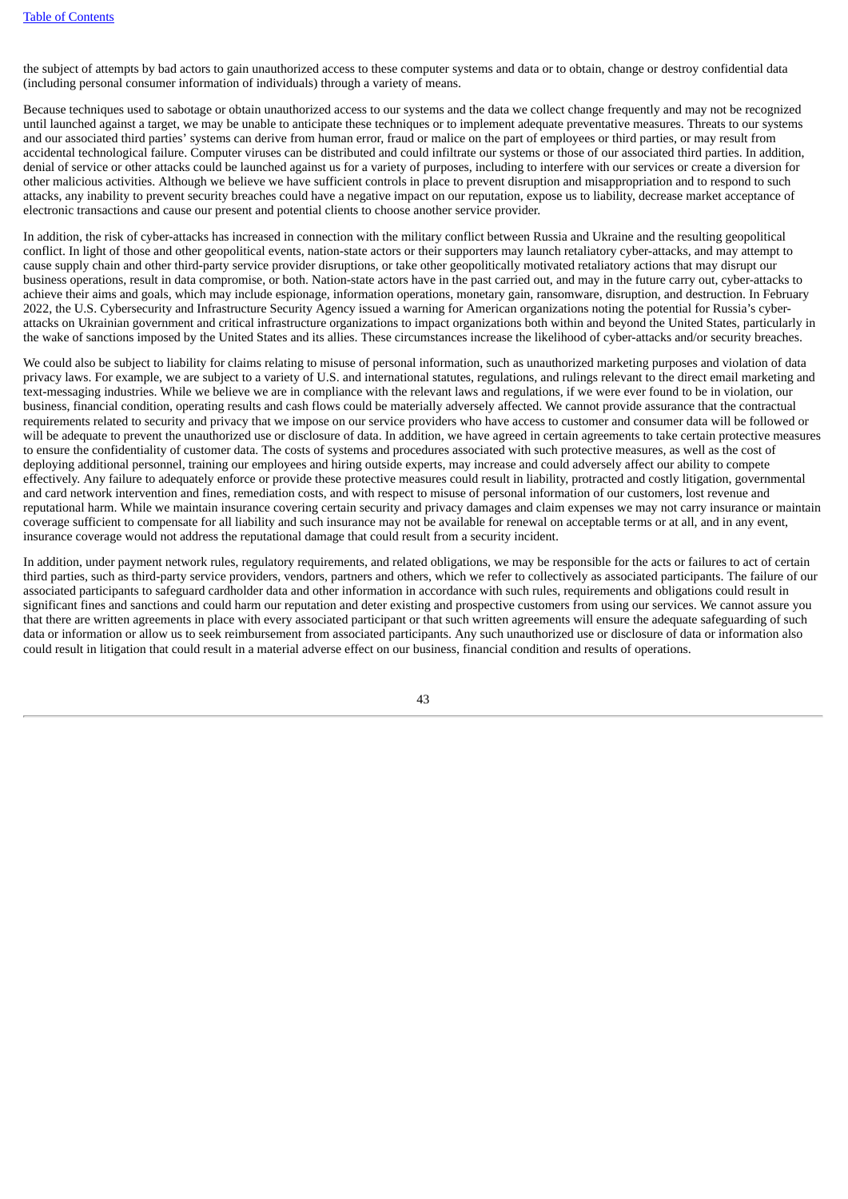the subject of attempts by bad actors to gain unauthorized access to these computer systems and data or to obtain, change or destroy confidential data (including personal consumer information of individuals) through a variety of means.

Because techniques used to sabotage or obtain unauthorized access to our systems and the data we collect change frequently and may not be recognized until launched against a target, we may be unable to anticipate these techniques or to implement adequate preventative measures. Threats to our systems and our associated third parties' systems can derive from human error, fraud or malice on the part of employees or third parties, or may result from accidental technological failure. Computer viruses can be distributed and could infiltrate our systems or those of our associated third parties. In addition, denial of service or other attacks could be launched against us for a variety of purposes, including to interfere with our services or create a diversion for other malicious activities. Although we believe we have sufficient controls in place to prevent disruption and misappropriation and to respond to such attacks, any inability to prevent security breaches could have a negative impact on our reputation, expose us to liability, decrease market acceptance of electronic transactions and cause our present and potential clients to choose another service provider.

In addition, the risk of cyber-attacks has increased in connection with the military conflict between Russia and Ukraine and the resulting geopolitical conflict. In light of those and other geopolitical events, nation-state actors or their supporters may launch retaliatory cyber-attacks, and may attempt to cause supply chain and other third-party service provider disruptions, or take other geopolitically motivated retaliatory actions that may disrupt our business operations, result in data compromise, or both. Nation-state actors have in the past carried out, and may in the future carry out, cyber-attacks to achieve their aims and goals, which may include espionage, information operations, monetary gain, ransomware, disruption, and destruction. In February 2022, the U.S. Cybersecurity and Infrastructure Security Agency issued a warning for American organizations noting the potential for Russia's cyberattacks on Ukrainian government and critical infrastructure organizations to impact organizations both within and beyond the United States, particularly in the wake of sanctions imposed by the United States and its allies. These circumstances increase the likelihood of cyber-attacks and/or security breaches.

We could also be subject to liability for claims relating to misuse of personal information, such as unauthorized marketing purposes and violation of data privacy laws. For example, we are subject to a variety of U.S. and international statutes, regulations, and rulings relevant to the direct email marketing and text-messaging industries. While we believe we are in compliance with the relevant laws and regulations, if we were ever found to be in violation, our business, financial condition, operating results and cash flows could be materially adversely affected. We cannot provide assurance that the contractual requirements related to security and privacy that we impose on our service providers who have access to customer and consumer data will be followed or will be adequate to prevent the unauthorized use or disclosure of data. In addition, we have agreed in certain agreements to take certain protective measures to ensure the confidentiality of customer data. The costs of systems and procedures associated with such protective measures, as well as the cost of deploying additional personnel, training our employees and hiring outside experts, may increase and could adversely affect our ability to compete effectively. Any failure to adequately enforce or provide these protective measures could result in liability, protracted and costly litigation, governmental and card network intervention and fines, remediation costs, and with respect to misuse of personal information of our customers, lost revenue and reputational harm. While we maintain insurance covering certain security and privacy damages and claim expenses we may not carry insurance or maintain coverage sufficient to compensate for all liability and such insurance may not be available for renewal on acceptable terms or at all, and in any event, insurance coverage would not address the reputational damage that could result from a security incident.

<span id="page-44-0"></span>In addition, under payment network rules, regulatory requirements, and related obligations, we may be responsible for the acts or failures to act of certain third parties, such as third-party service providers, vendors, partners and others, which we refer to collectively as associated participants. The failure of our associated participants to safeguard cardholder data and other information in accordance with such rules, requirements and obligations could result in significant fines and sanctions and could harm our reputation and deter existing and prospective customers from using our services. We cannot assure you that there are written agreements in place with every associated participant or that such written agreements will ensure the adequate safeguarding of such data or information or allow us to seek reimbursement from associated participants. Any such unauthorized use or disclosure of data or information also could result in litigation that could result in a material adverse effect on our business, financial condition and results of operations.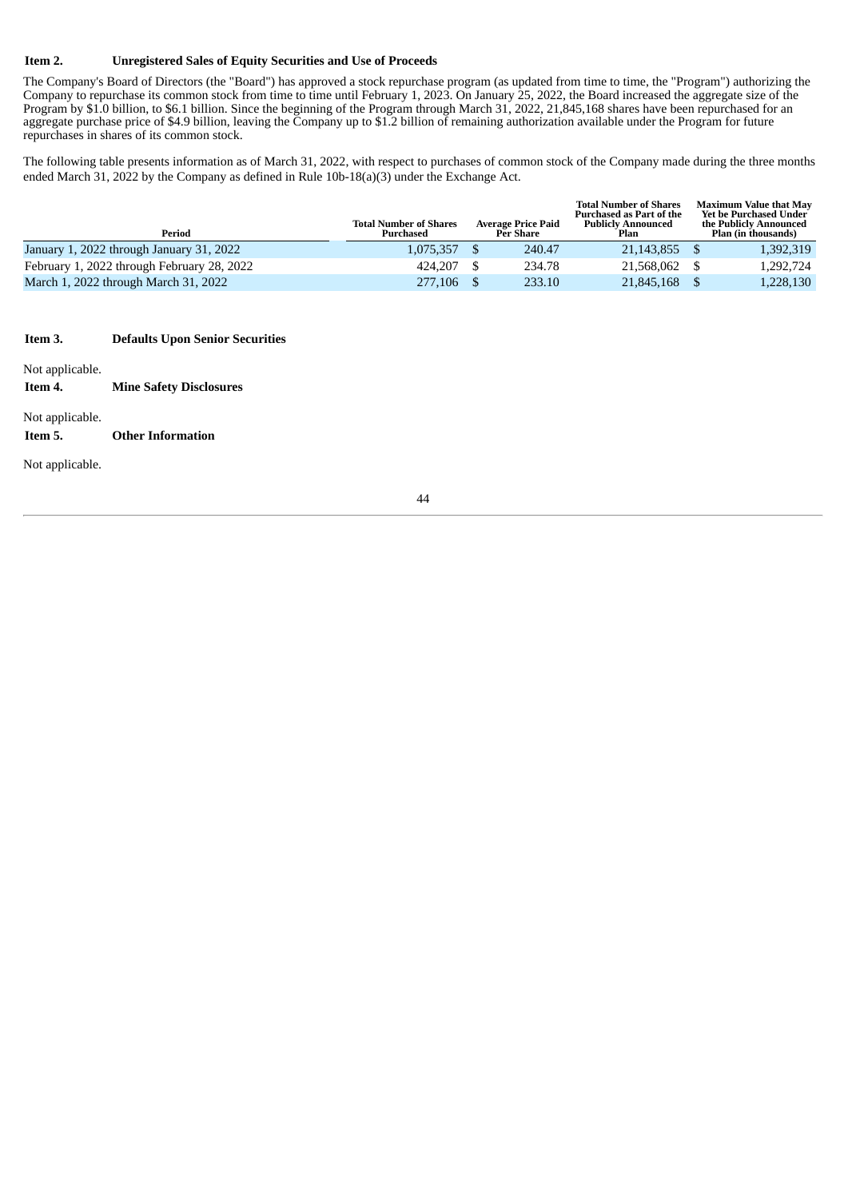#### **Item 2. Unregistered Sales of Equity Securities and Use of Proceeds**

The Company's Board of Directors (the "Board") has approved a stock repurchase program (as updated from time to time, the "Program") authorizing the Company to repurchase its common stock from time to time until February 1, 2023. On January 25, 2022, the Board increased the aggregate size of the Program by \$1.0 billion, to \$6.1 billion. Since the beginning of the Program through March 31, 2022, 21,845,168 shares have been repurchased for an aggregate purchase price of \$4.9 billion, leaving the Company up to \$1.2 billion of remaining authorization available under the Program for future repurchases in shares of its common stock.

The following table presents information as of March 31, 2022, with respect to purchases of common stock of the Company made during the three months ended March 31, 2022 by the Company as defined in Rule 10b-18(a)(3) under the Exchange Act.

| Period                                     | <b>Total Number of Shares</b><br>Purchased | <b>Average Price Paid</b><br>Per Share | <b>Total Number of Shares</b><br>Purchased as Part of the<br>Publicly Announced<br>Plan | <b>Maximum Value that May</b><br><b>Yet be Purchased Under</b><br>the Publicly Announced<br>Plan (in thousands) |
|--------------------------------------------|--------------------------------------------|----------------------------------------|-----------------------------------------------------------------------------------------|-----------------------------------------------------------------------------------------------------------------|
| January 1, 2022 through January 31, 2022   | 1.075.357                                  | 240.47                                 | 21,143,855                                                                              | 1,392,319                                                                                                       |
| February 1, 2022 through February 28, 2022 | 424,207                                    | 234.78                                 | 21.568.062                                                                              | 1,292,724                                                                                                       |
| March 1, 2022 through March 31, 2022       | 277,106 \$                                 | 233.10                                 | 21,845,168                                                                              | 1,228,130                                                                                                       |

## <span id="page-45-0"></span>**Item 3. Defaults Upon Senior Securities**

<span id="page-45-1"></span>Not applicable. **Item 4. Mine Safety Disclosures**

<span id="page-45-2"></span>Not applicable. **Item 5. Other Information**

<span id="page-45-3"></span>Not applicable.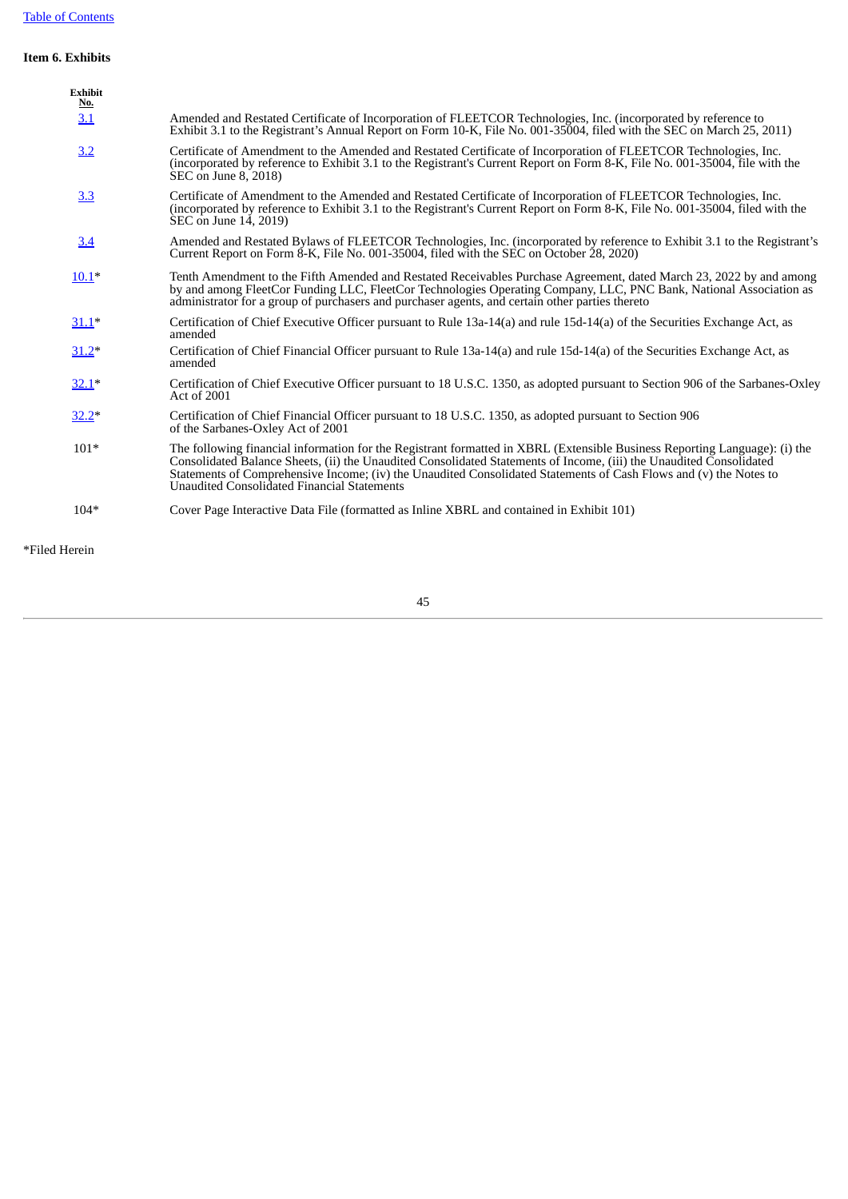## Table of [Contents](#page-0-0)

## **Item 6. Exhibits**

<span id="page-46-0"></span>

| <b>Exhibit</b><br>No. |                                                                                                                                                                                                                                                                                                                                                                                                                              |
|-----------------------|------------------------------------------------------------------------------------------------------------------------------------------------------------------------------------------------------------------------------------------------------------------------------------------------------------------------------------------------------------------------------------------------------------------------------|
| 3.1                   | Amended and Restated Certificate of Incorporation of FLEETCOR Technologies, Inc. (incorporated by reference to<br>Exhibit 3.1 to the Registrant's Annual Report on Form 10-K, File No. 001-35004, filed with the SEC on March 25, 2011)                                                                                                                                                                                      |
| 3.2                   | Certificate of Amendment to the Amended and Restated Certificate of Incorporation of FLEETCOR Technologies, Inc.<br>(incorporated by reference to Exhibit 3.1 to the Registrant's Current Report on Form 8-K, File No. 001-35004, file with the<br>SEC on June 8, 2018)                                                                                                                                                      |
| 3.3                   | Certificate of Amendment to the Amended and Restated Certificate of Incorporation of FLEETCOR Technologies, Inc.<br>(incorporated by reference to Exhibit 3.1 to the Registrant's Current Report on Form 8-K, File No. 001-35004, filed with the<br>SEC on June 14, 2019)                                                                                                                                                    |
| <u>3.4</u>            | Amended and Restated Bylaws of FLEETCOR Technologies, Inc. (incorporated by reference to Exhibit 3.1 to the Registrant's<br>Current Report on Form 8-K, File No. 001-35004, filed with the SEC on October 28, 2020)                                                                                                                                                                                                          |
| $10.1*$               | Tenth Amendment to the Fifth Amended and Restated Receivables Purchase Agreement, dated March 23, 2022 by and among<br>by and among FleetCor Funding LLC, FleetCor Technologies Operating Company, LLC, PNC Bank, National Association as<br>administrator for a group of purchasers and purchaser agents, and certain other parties thereto                                                                                 |
| $31.1*$               | Certification of Chief Executive Officer pursuant to Rule 13a-14(a) and rule 15d-14(a) of the Securities Exchange Act, as<br>amended                                                                                                                                                                                                                                                                                         |
| $31.2*$               | Certification of Chief Financial Officer pursuant to Rule 13a-14(a) and rule 15d-14(a) of the Securities Exchange Act, as<br>amended                                                                                                                                                                                                                                                                                         |
| $32.1*$               | Certification of Chief Executive Officer pursuant to 18 U.S.C. 1350, as adopted pursuant to Section 906 of the Sarbanes-Oxley<br>Act of 2001                                                                                                                                                                                                                                                                                 |
| $32.2*$               | Certification of Chief Financial Officer pursuant to 18 U.S.C. 1350, as adopted pursuant to Section 906<br>of the Sarbanes-Oxley Act of 2001                                                                                                                                                                                                                                                                                 |
| $101*$                | The following financial information for the Registrant formatted in XBRL (Extensible Business Reporting Language): (i) the<br>Consolidated Balance Sheets, (ii) the Unaudited Consolidated Statements of Income, (iii) the Unaudited Consolidated<br>Statements of Comprehensive Income; (iv) the Unaudited Consolidated Statements of Cash Flows and (v) the Notes to<br><b>Unaudited Consolidated Financial Statements</b> |
| $104*$                | Cover Page Interactive Data File (formatted as Inline XBRL and contained in Exhibit 101)                                                                                                                                                                                                                                                                                                                                     |
| *Filed Herein         |                                                                                                                                                                                                                                                                                                                                                                                                                              |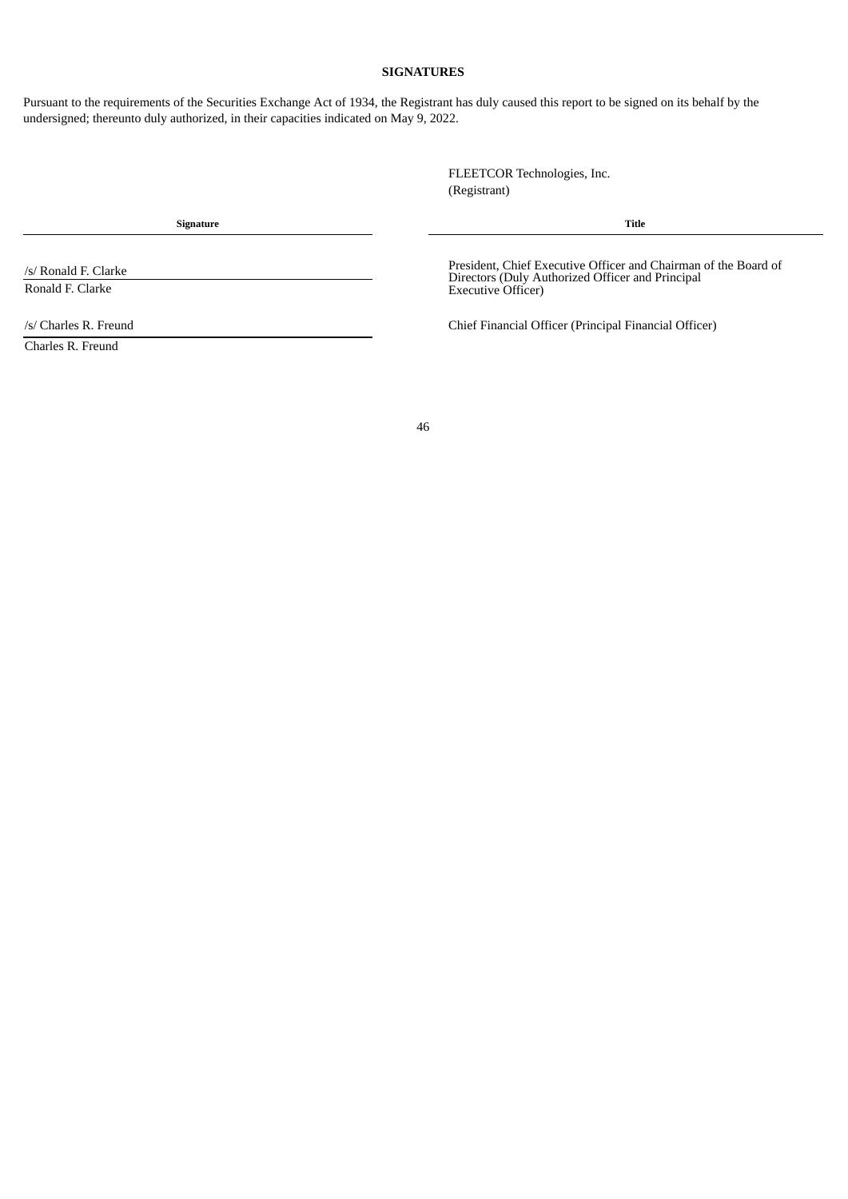### **SIGNATURES**

Pursuant to the requirements of the Securities Exchange Act of 1934, the Registrant has duly caused this report to be signed on its behalf by the undersigned; thereunto duly authorized, in their capacities indicated on May 9, 2022.

**Signature Title**

FLEETCOR Technologies, Inc. (Registrant)

President, Chief Executive Officer and Chairman of the Board of <u>Sy Ronald F. Clarke</u><br>
Ronald F. Clarke **Executive Club Authorized Officer** and Principal<br>
Executive Officer)

/s/ Ronald F. Clarke

Charles R. Freund

/s/ Charles R. Freund Chief Financial Officer (Principal Financial Officer)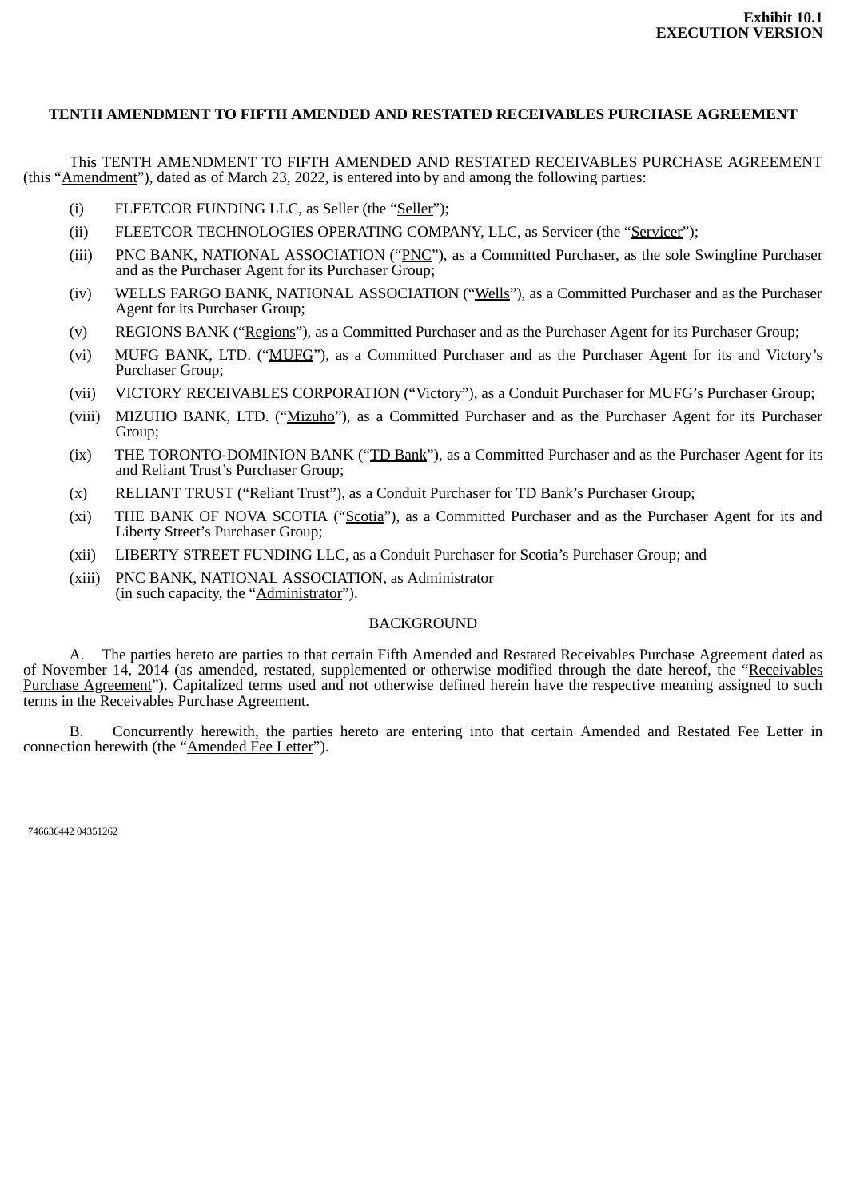## <span id="page-48-0"></span>**TENTH AMENDMENT TO FIFTH AMENDED AND RESTATED RECEIVABLES PURCHASE AGREEMENT**

This TENTH AMENDMENT TO FIFTH AMENDED AND RESTATED RECEIVABLES PURCHASE AGREEMENT (this "Amendment"), dated as of March 23, 2022, is entered into by and among the following parties:

- (i) FLEETCOR FUNDING LLC, as Seller (the "Seller");
- (ii) FLEETCOR TECHNOLOGIES OPERATING COMPANY, LLC, as Servicer (the "Servicer");
- (iii) PNC BANK, NATIONAL ASSOCIATION ("PNC"), as a Committed Purchaser, as the sole Swingline Purchaser and as the Purchaser Agent for its Purchaser Group;
- (iv) WELLS FARGO BANK, NATIONAL ASSOCIATION ("Wells"), as a Committed Purchaser and as the Purchaser Agent for its Purchaser Group;
- (v) REGIONS BANK ("Regions"), as a Committed Purchaser and as the Purchaser Agent for its Purchaser Group;
- (vi) MUFG BANK, LTD. ("MUFG"), as a Committed Purchaser and as the Purchaser Agent for its and Victory's Purchaser Group:
- (vii) VICTORY RECEIVABLES CORPORATION ("Victory"), as a Conduit Purchaser for MUFG's Purchaser Group;
- (viii) MIZUHO BANK, LTD. ("Mizuho"), as a Committed Purchaser and as the Purchaser Agent for its Purchaser Group;
- (ix) THE TORONTO-DOMINION BANK ("TD Bank"), as a Committed Purchaser and as the Purchaser Agent for its and Reliant Trust's Purchaser Group;
- (x) RELIANT TRUST ("Reliant Trust"), as a Conduit Purchaser for TD Bank's Purchaser Group;
- (xi) THE BANK OF NOVA SCOTIA ("Scotia"), as a Committed Purchaser and as the Purchaser Agent for its and Liberty Street's Purchaser Group;
- (xii) LIBERTY STREET FUNDING LLC, as a Conduit Purchaser for Scotia's Purchaser Group; and
- (xiii) PNC BANK, NATIONAL ASSOCIATION, as Administrator (in such capacity, the "Administrator").

### **BACKGROUND**

A. The parties hereto are parties to that certain Fifth Amended and Restated Receivables Purchase Agreement dated as of November 14, 2014 (as amended, restated, supplemented or otherwise modified through the date hereof, the "Receivables Purchase Agreement"). Capitalized terms used and not otherwise defined herein have the respective meaning assigned to such terms in the Receivables Purchase Agreement.

B. Concurrently herewith, the parties hereto are entering into that certain Amended and Restated Fee Letter in connection herewith (the "Amended Fee Letter").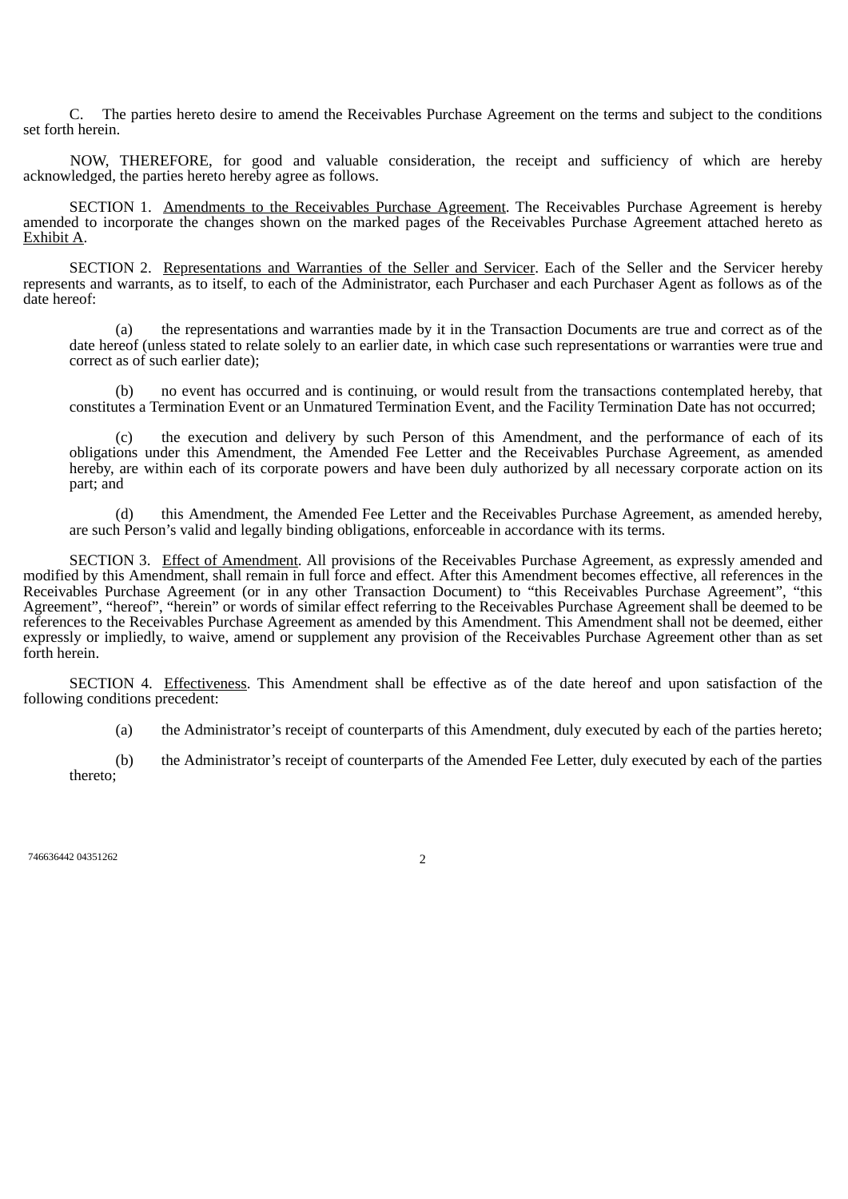C. The parties hereto desire to amend the Receivables Purchase Agreement on the terms and subject to the conditions set forth herein.

NOW, THEREFORE, for good and valuable consideration, the receipt and sufficiency of which are hereby acknowledged, the parties hereto hereby agree as follows.

SECTION 1. Amendments to the Receivables Purchase Agreement. The Receivables Purchase Agreement is hereby amended to incorporate the changes shown on the marked pages of the Receivables Purchase Agreement attached hereto as Exhibit A.

SECTION 2. Representations and Warranties of the Seller and Servicer. Each of the Seller and the Servicer hereby represents and warrants, as to itself, to each of the Administrator, each Purchaser and each Purchaser Agent as follows as of the date hereof:

(a) the representations and warranties made by it in the Transaction Documents are true and correct as of the date hereof (unless stated to relate solely to an earlier date, in which case such representations or warranties were true and correct as of such earlier date);

(b) no event has occurred and is continuing, or would result from the transactions contemplated hereby, that constitutes a Termination Event or an Unmatured Termination Event, and the Facility Termination Date has not occurred;

(c) the execution and delivery by such Person of this Amendment, and the performance of each of its obligations under this Amendment, the Amended Fee Letter and the Receivables Purchase Agreement, as amended hereby, are within each of its corporate powers and have been duly authorized by all necessary corporate action on its part; and

(d) this Amendment, the Amended Fee Letter and the Receivables Purchase Agreement, as amended hereby, are such Person's valid and legally binding obligations, enforceable in accordance with its terms.

SECTION 3. Effect of Amendment. All provisions of the Receivables Purchase Agreement, as expressly amended and modified by this Amendment, shall remain in full force and effect. After this Amendment becomes effective, all references in the Receivables Purchase Agreement (or in any other Transaction Document) to "this Receivables Purchase Agreement", "this Agreement", "hereof", "herein" or words of similar effect referring to the Receivables Purchase Agreement shall be deemed to be references to the Receivables Purchase Agreement as amended by this Amendment. This Amendment shall not be deemed, either expressly or impliedly, to waive, amend or supplement any provision of the Receivables Purchase Agreement other than as set forth herein.

SECTION 4. Effectiveness. This Amendment shall be effective as of the date hereof and upon satisfaction of the following conditions precedent:

(a) the Administrator's receipt of counterparts of this Amendment, duly executed by each of the parties hereto;

(b) the Administrator's receipt of counterparts of the Amended Fee Letter, duly executed by each of the parties thereto;

746636442 04351262 2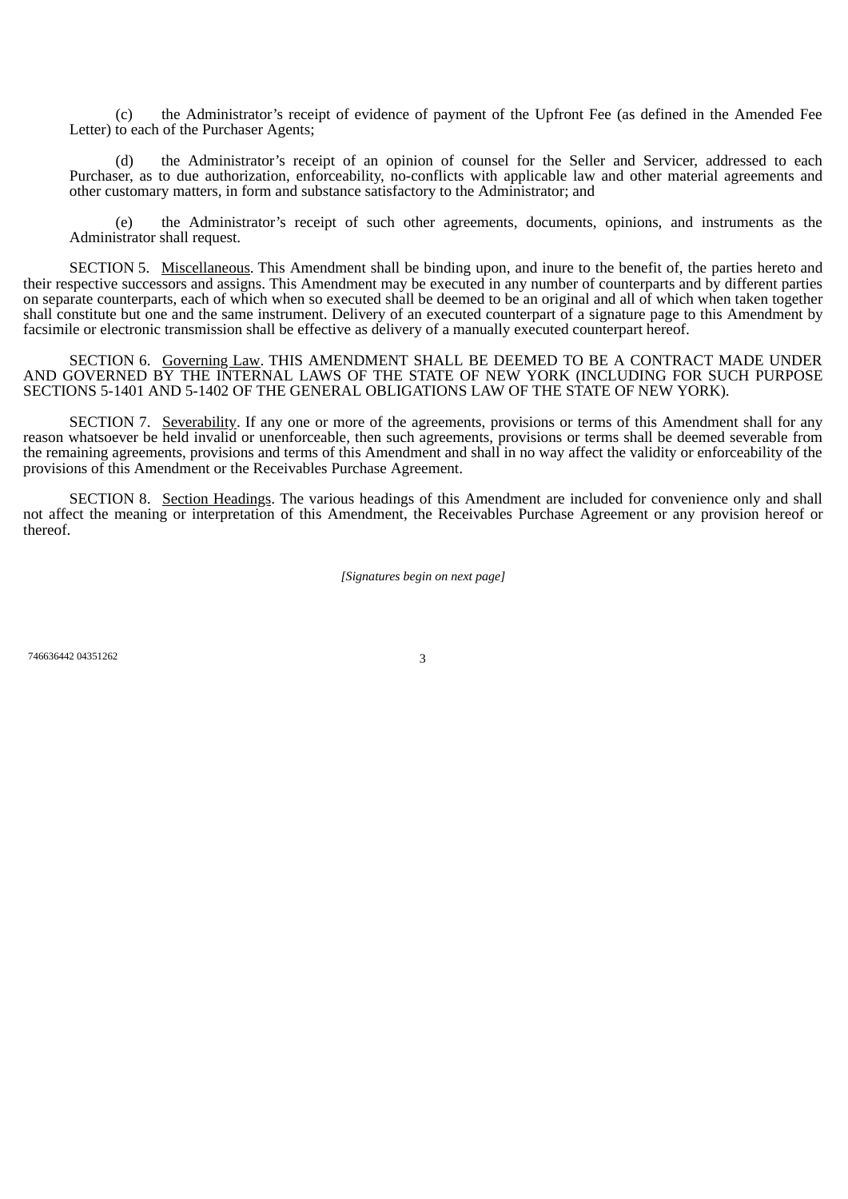(c) the Administrator's receipt of evidence of payment of the Upfront Fee (as defined in the Amended Fee Letter) to each of the Purchaser Agents;

(d) the Administrator's receipt of an opinion of counsel for the Seller and Servicer, addressed to each Purchaser, as to due authorization, enforceability, no-conflicts with applicable law and other material agreements and other customary matters, in form and substance satisfactory to the Administrator; and

(e) the Administrator's receipt of such other agreements, documents, opinions, and instruments as the Administrator shall request.

SECTION 5. Miscellaneous. This Amendment shall be binding upon, and inure to the benefit of, the parties hereto and their respective successors and assigns. This Amendment may be executed in any number of counterparts and by different parties on separate counterparts, each of which when so executed shall be deemed to be an original and all of which when taken together shall constitute but one and the same instrument. Delivery of an executed counterpart of a signature page to this Amendment by facsimile or electronic transmission shall be effective as delivery of a manually executed counterpart hereof.

SECTION 6. Governing Law. THIS AMENDMENT SHALL BE DEEMED TO BE A CONTRACT MADE UNDER AND GOVERNED BY THE INTERNAL LAWS OF THE STATE OF NEW YORK (INCLUDING FOR SUCH PURPOSE SECTIONS 5-1401 AND 5-1402 OF THE GENERAL OBLIGATIONS LAW OF THE STATE OF NEW YORK).

SECTION 7. Severability. If any one or more of the agreements, provisions or terms of this Amendment shall for any reason whatsoever be held invalid or unenforceable, then such agreements, provisions or terms shall be deemed severable from the remaining agreements, provisions and terms of this Amendment and shall in no way affect the validity or enforceability of the provisions of this Amendment or the Receivables Purchase Agreement.

SECTION 8. Section Headings. The various headings of this Amendment are included for convenience only and shall not affect the meaning or interpretation of this Amendment, the Receivables Purchase Agreement or any provision hereof or thereof.

*[Signatures begin on next page]*

746636442 04351262 3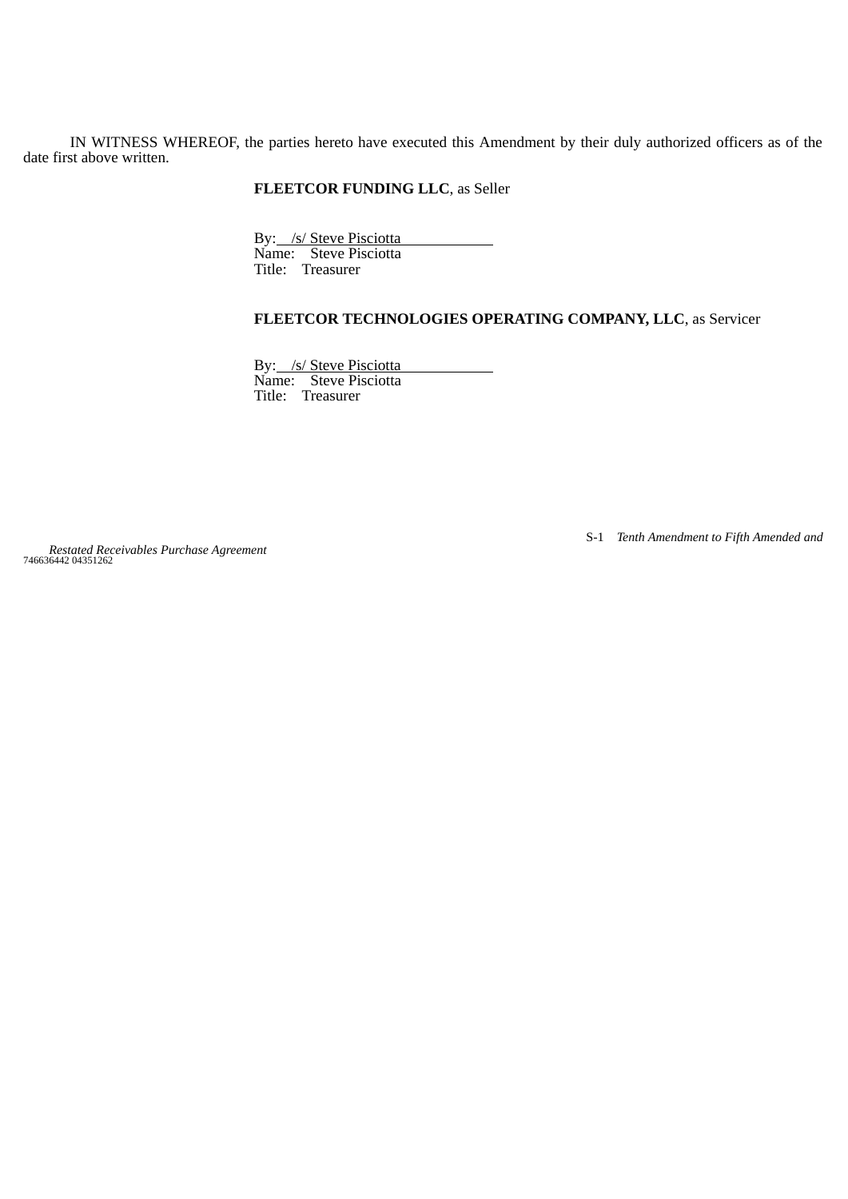IN WITNESS WHEREOF, the parties hereto have executed this Amendment by their duly authorized officers as of the date first above written.

## **FLEETCOR FUNDING LLC**, as Seller

By: /s/ Steve Pisciotta Name: Steve Pisciotta Title: Treasurer

## **FLEETCOR TECHNOLOGIES OPERATING COMPANY, LLC**, as Servicer

By: /s/ Steve Pisciotta Name: Steve Pisciotta Title: Treasurer

S-1 *Tenth Amendment to Fifth Amended and*

*Restated Receivables Purchase Agreement* 746636442 04351262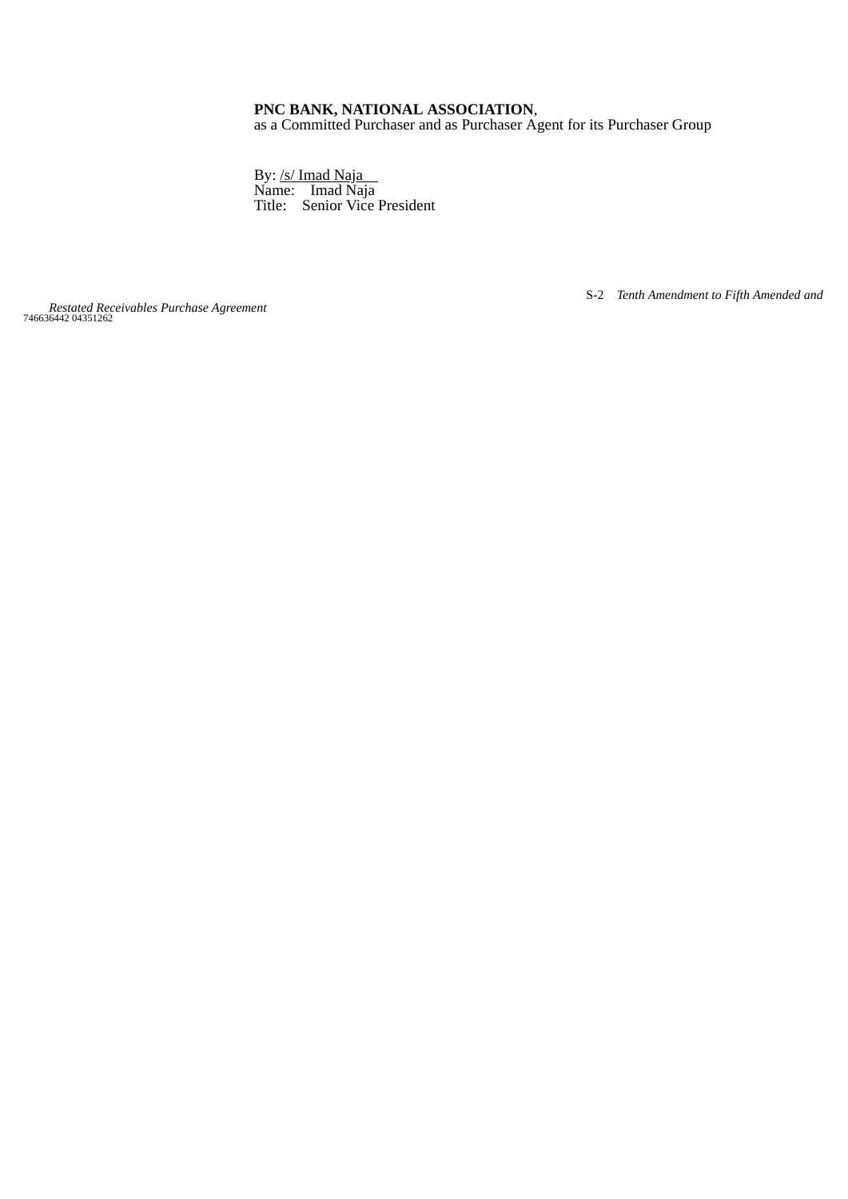## **PNC BANK, NATIONAL ASSOCIATION**,

as a Committed Purchaser and as Purchaser Agent for its Purchaser Group

By: /s/ Imad Naja Name: Imad Naja Title: Senior Vice President

*Restated Receivables Purchase Agreement* 746636442 04351262

S-2 *Tenth Amendment to Fifth Amended and*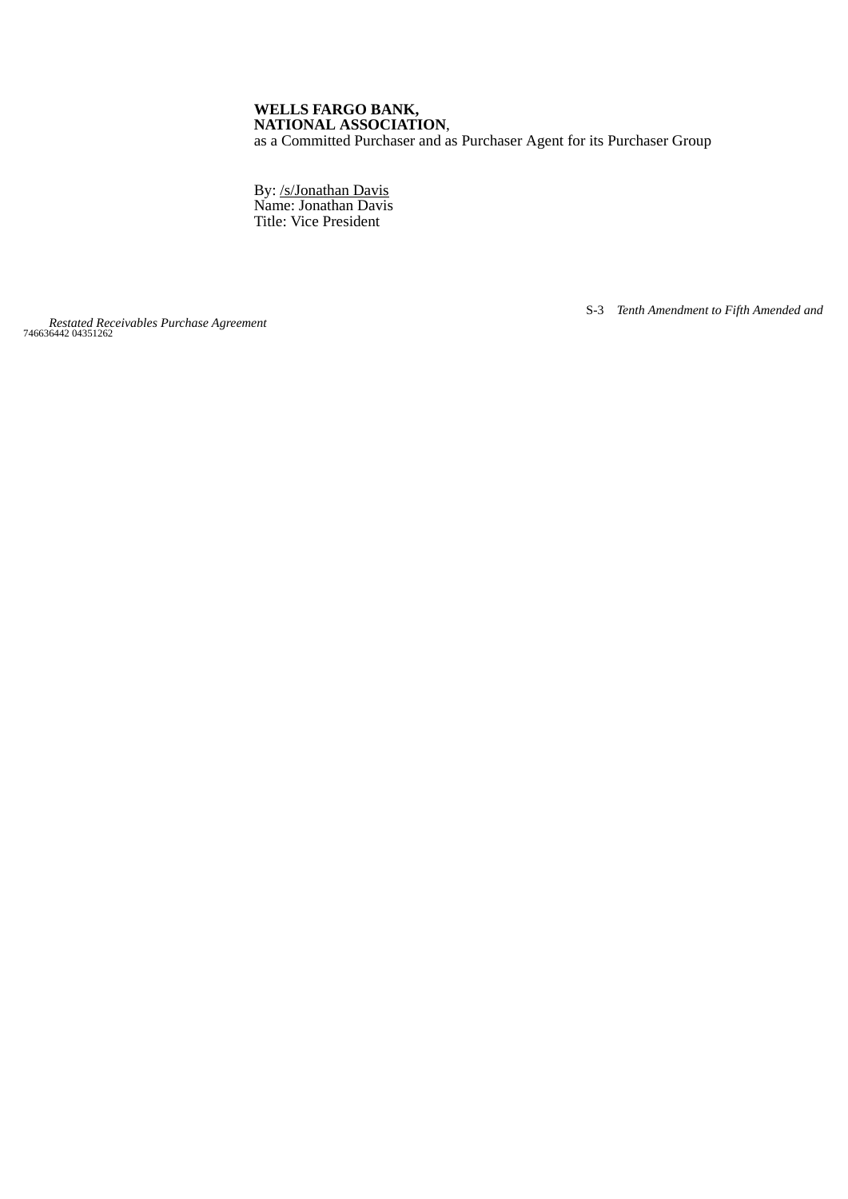## **WELLS FARGO BANK, NATIONAL ASSOCIATION**, as a Committed Purchaser and as Purchaser Agent for its Purchaser Group

By: /s/Jonathan Davis Name: Jonathan Davis Title: Vice President

*Restated Receivables Purchase Agreement* 746636442 04351262

S-3 *Tenth Amendment to Fifth Amended and*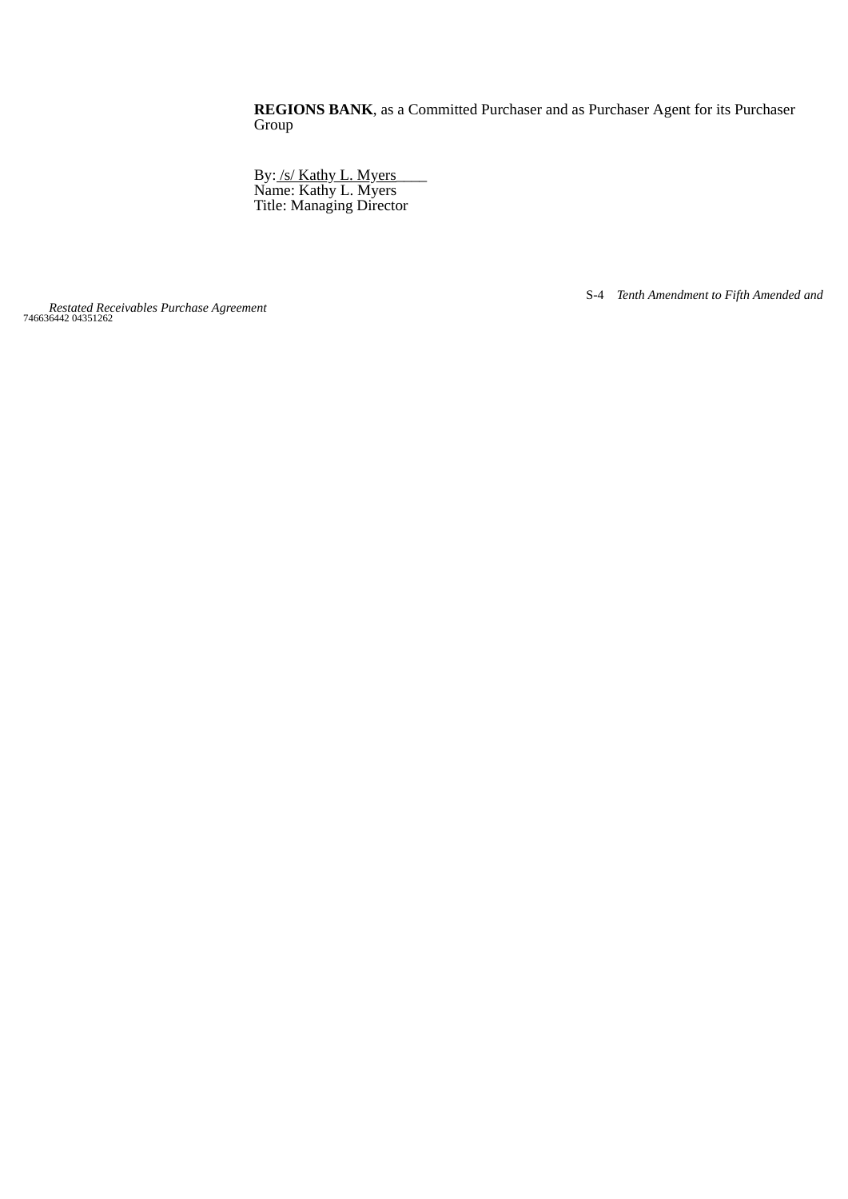**REGIONS BANK**, as a Committed Purchaser and as Purchaser Agent for its Purchaser Group

By: /s/ Kathy L. Myers Name: Kathy L. Myers Title: Managing Director

*Restated Receivables Purchase Agreement* 746636442 04351262

S-4 *Tenth Amendment to Fifth Amended and*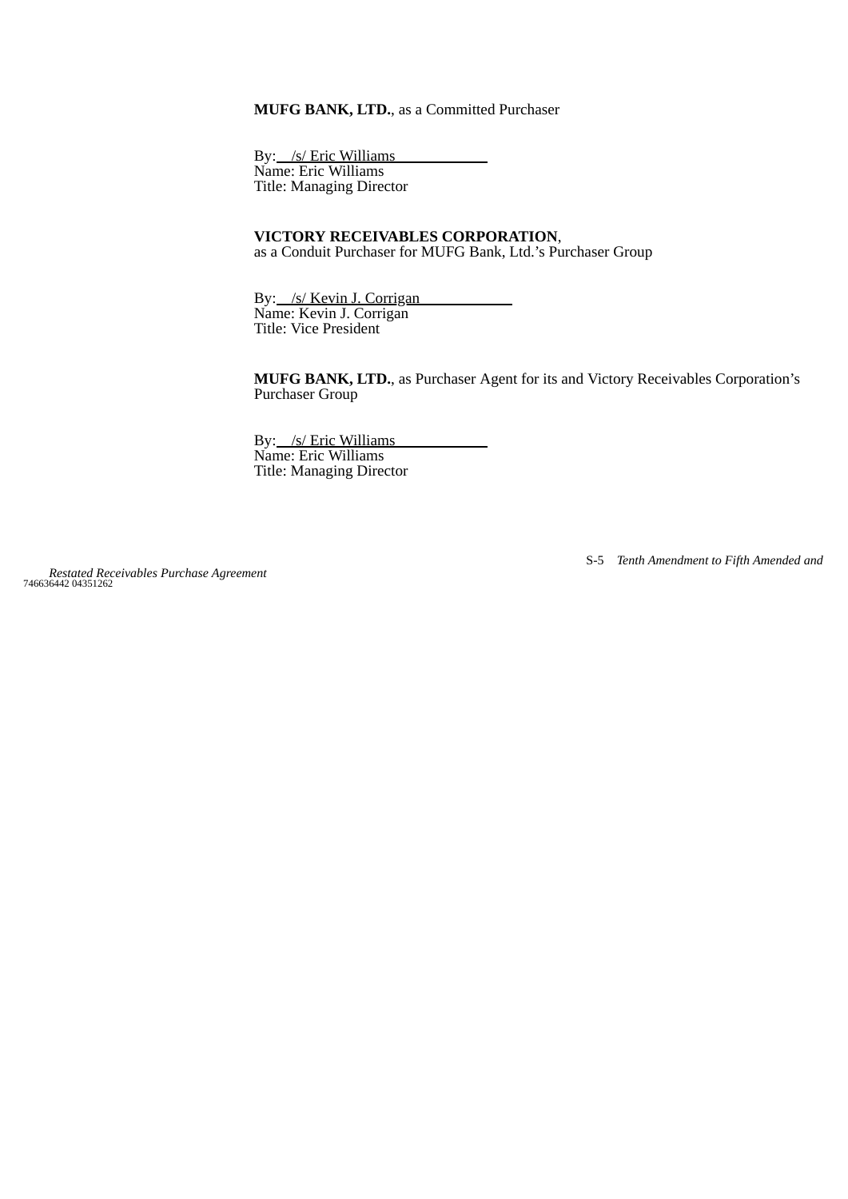## **MUFG BANK, LTD.**, as a Committed Purchaser

By: /s/ Eric Williams Name: Eric Williams Title: Managing Director

**VICTORY RECEIVABLES CORPORATION**, as a Conduit Purchaser for MUFG Bank, Ltd.'s Purchaser Group

By: /s/ Kevin J. Corrigan Name: Kevin J. Corrigan Title: Vice President

**MUFG BANK, LTD.**, as Purchaser Agent for its and Victory Receivables Corporation's Purchaser Group

By: /s/ Eric Williams Name: Eric Williams Title: Managing Director

*Restated Receivables Purchase Agreement* 746636442 04351262

S-5 *Tenth Amendment to Fifth Amended and*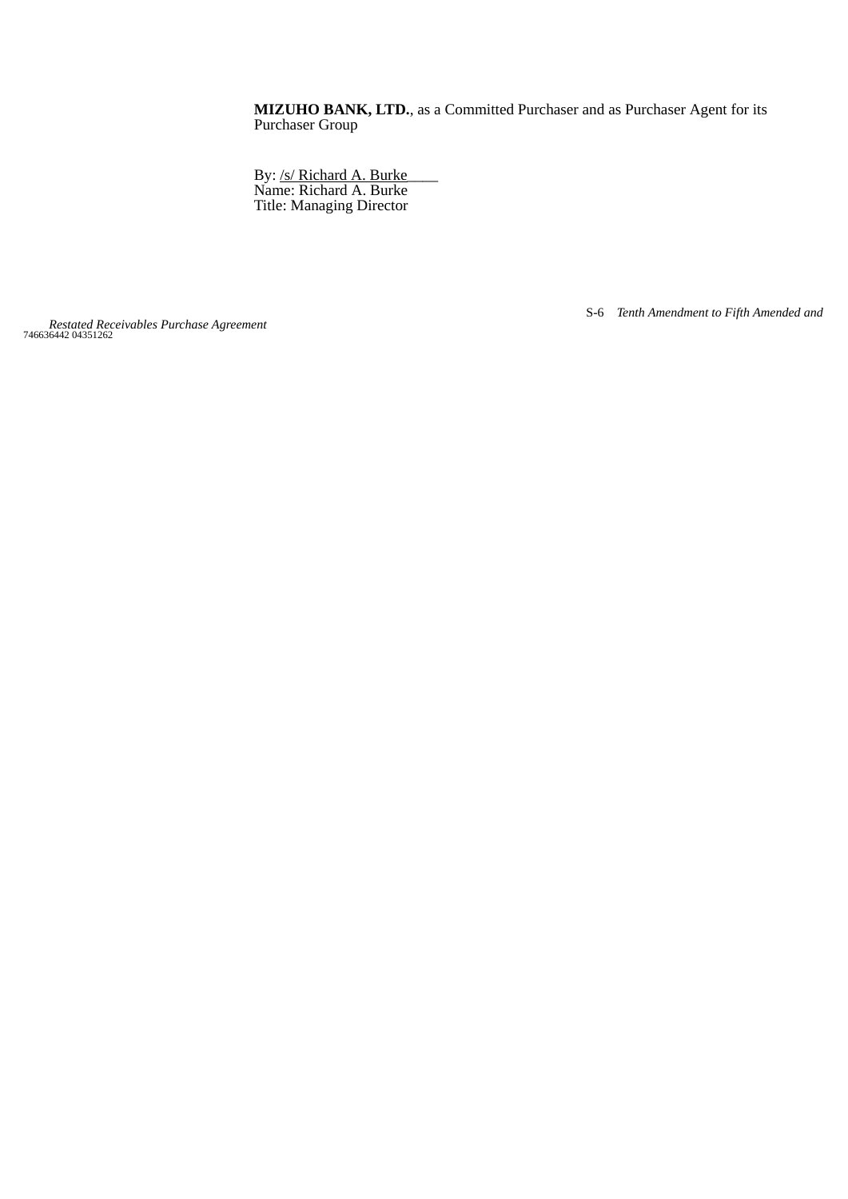**MIZUHO BANK, LTD.**, as a Committed Purchaser and as Purchaser Agent for its Purchaser Group

By: <u>/s/ Richard A. Burke</u> Name: Richard A. Burke Title: Managing Director

*Restated Receivables Purchase Agreement* 746636442 04351262

S-6 *Tenth Amendment to Fifth Amended and*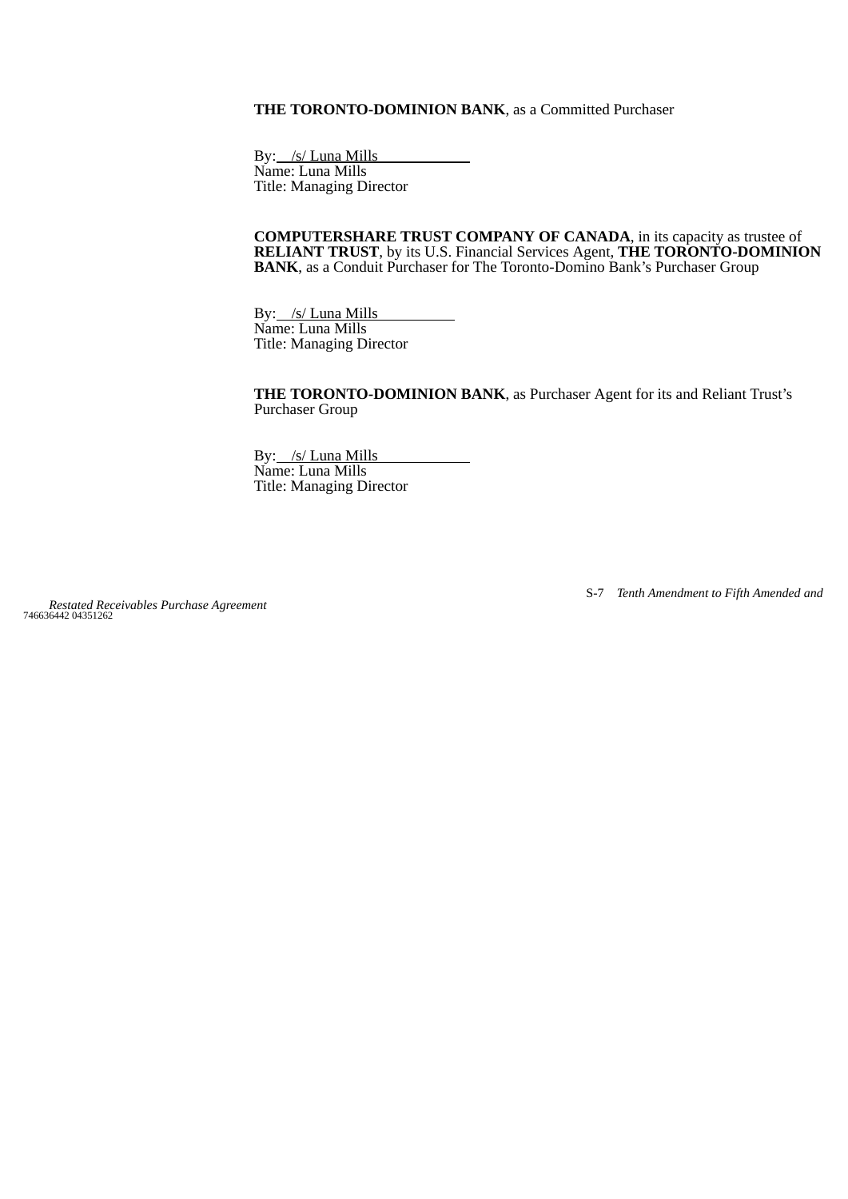## **THE TORONTO-DOMINION BANK**, as a Committed Purchaser

By: /s/ Luna Mills Name: Luna Mills Title: Managing Director

**COMPUTERSHARE TRUST COMPANY OF CANADA**, in its capacity as trustee of **RELIANT TRUST**, by its U.S. Financial Services Agent, **THE TORONTO-DOMINION BANK**, as a Conduit Purchaser for The Toronto-Domino Bank's Purchaser Group

By: /s/ Luna Mills Name: Luna Mills Title: Managing Director

**THE TORONTO-DOMINION BANK**, as Purchaser Agent for its and Reliant Trust's Purchaser Group

By: /s/ Luna Mills Name: Luna Mills Title: Managing Director

*Restated Receivables Purchase Agreement* 746636442 04351262

S-7 *Tenth Amendment to Fifth Amended and*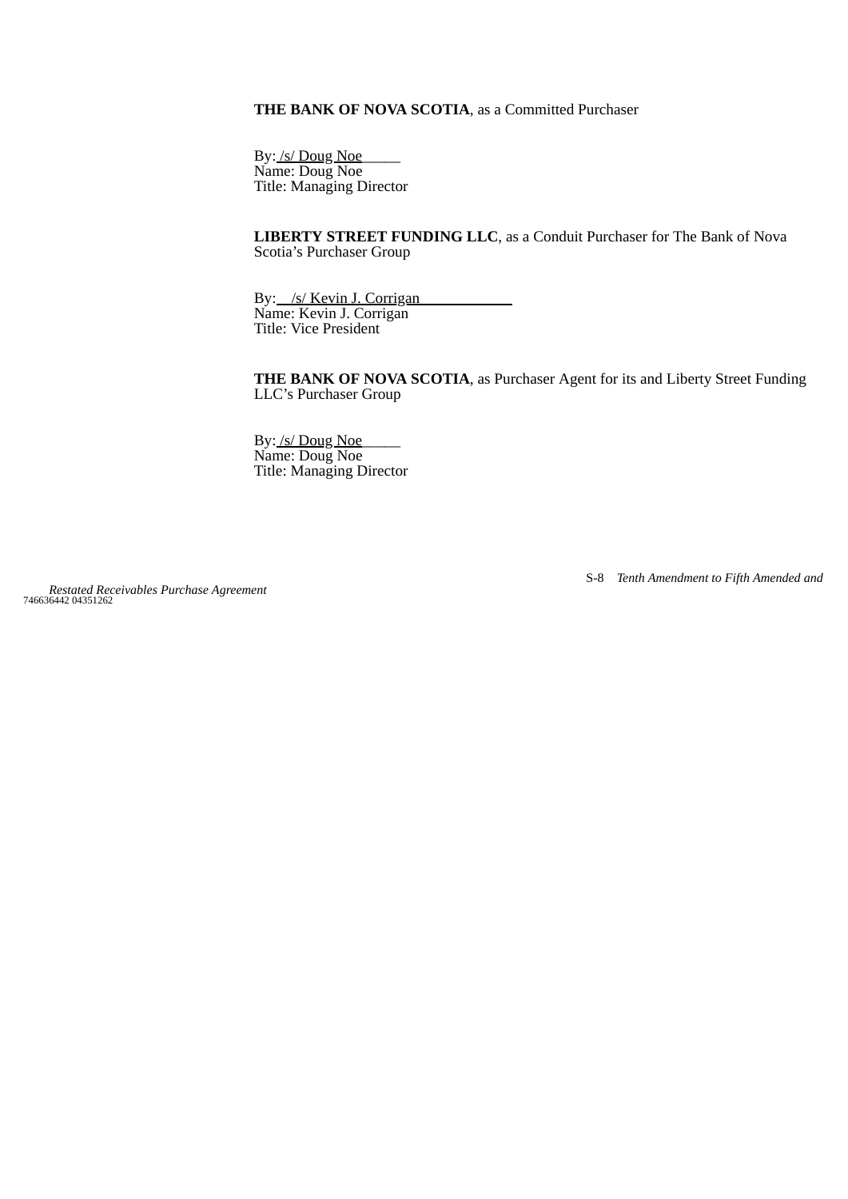## **THE BANK OF NOVA SCOTIA**, as a Committed Purchaser

By: /s/ Doug Noe Name: Doug Noe Title: Managing Director

**LIBERTY STREET FUNDING LLC**, as a Conduit Purchaser for The Bank of Nova Scotia's Purchaser Group

By: /s/ Kevin J. Corrigan Name: Kevin J. Corrigan Title: Vice President

**THE BANK OF NOVA SCOTIA**, as Purchaser Agent for its and Liberty Street Funding LLC's Purchaser Group

By: /s/ Doug Noe Name: Doug Noe Title: Managing Director

*Restated Receivables Purchase Agreement* 746636442 04351262

S-8 *Tenth Amendment to Fifth Amended and*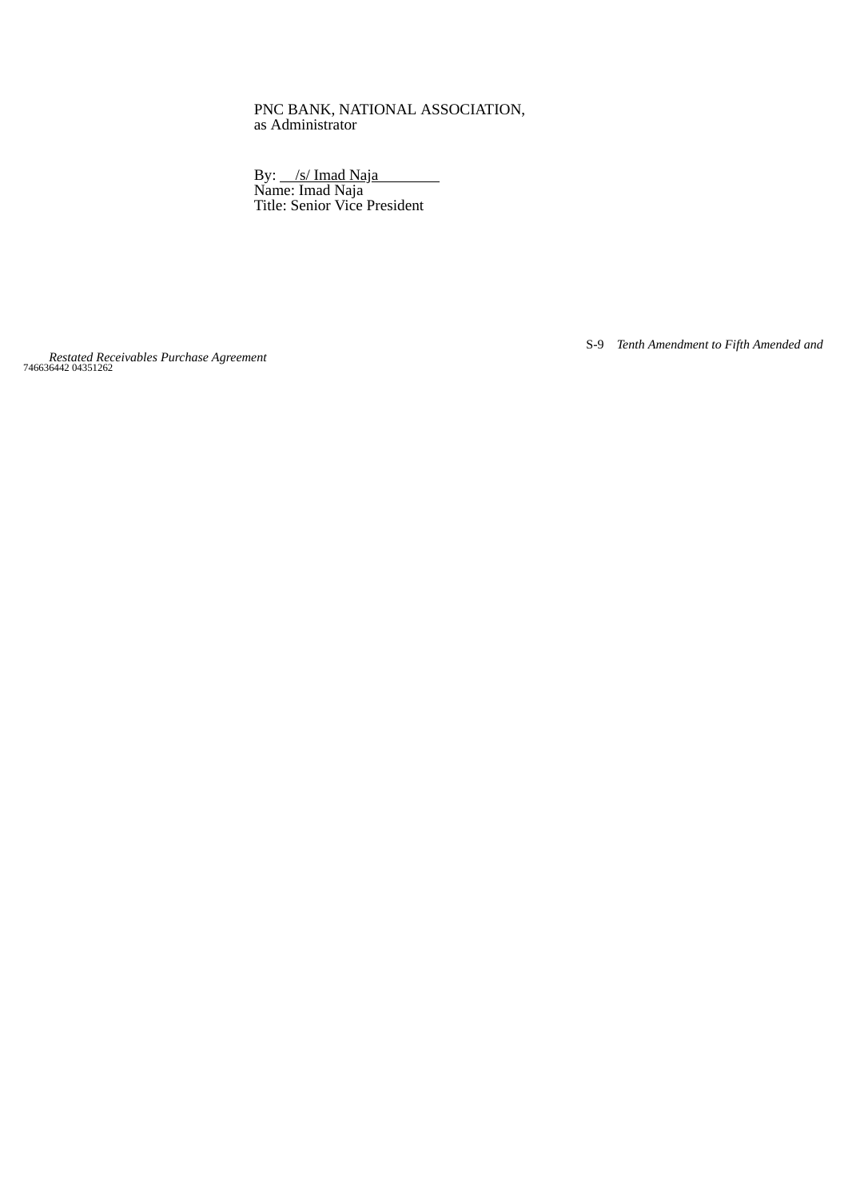## PNC BANK, NATIONAL ASSOCIATION, as Administrator

By: /s/ Imad Naja Name: Imad Naja Title: Senior Vice President

*Restated Receivables Purchase Agreement* 746636442 04351262

S-9 *Tenth Amendment to Fifth Amended and*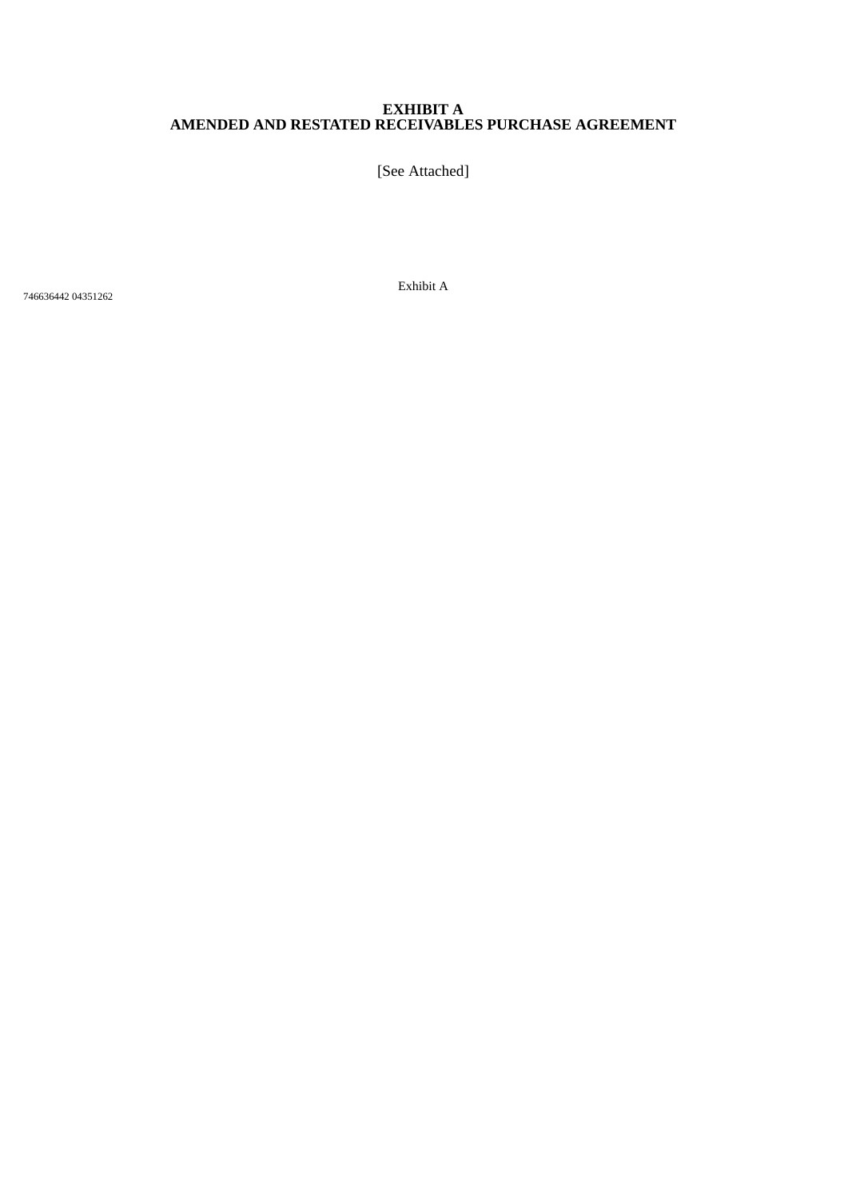## **EXHIBIT A AMENDED AND RESTATED RECEIVABLES PURCHASE AGREEMENT**

[See Attached]

746636442 04351262

Exhibit A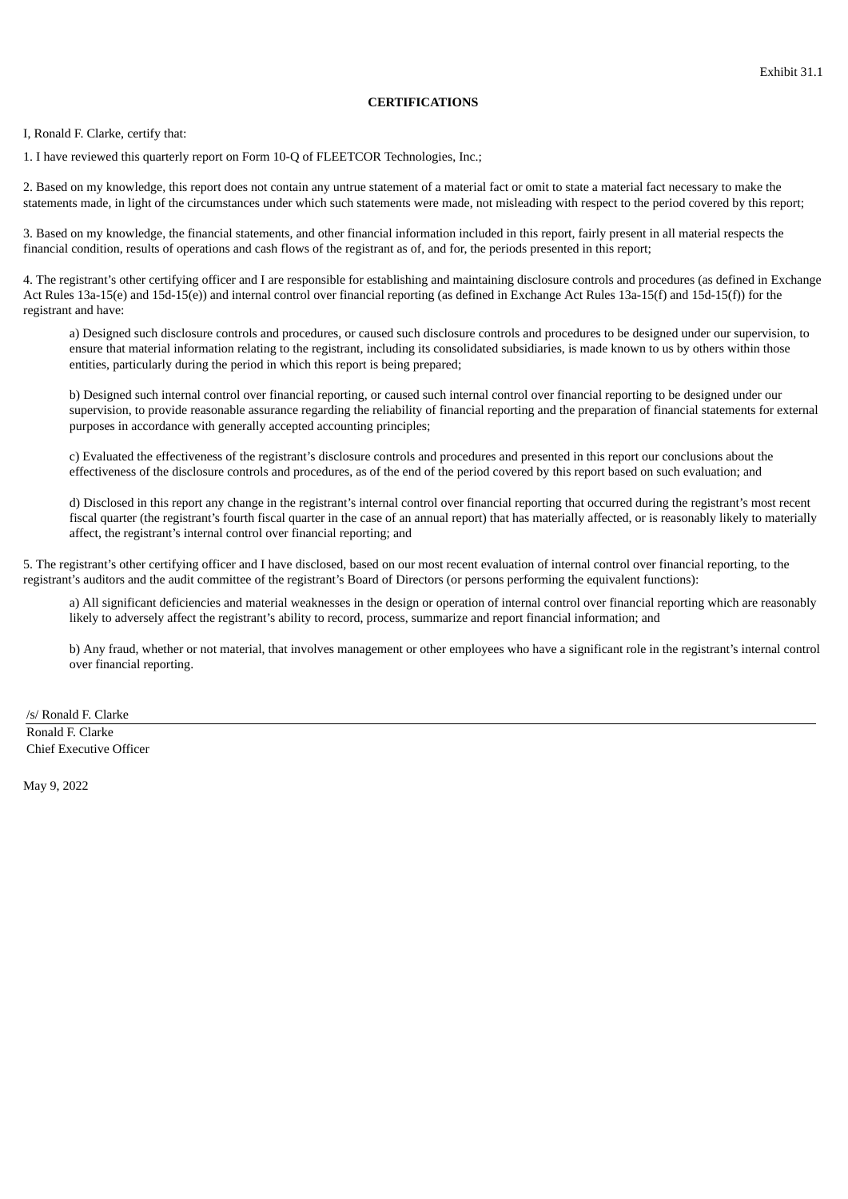#### **CERTIFICATIONS**

<span id="page-61-0"></span>I, Ronald F. Clarke, certify that:

1. I have reviewed this quarterly report on Form 10-Q of FLEETCOR Technologies, Inc.;

2. Based on my knowledge, this report does not contain any untrue statement of a material fact or omit to state a material fact necessary to make the statements made, in light of the circumstances under which such statements were made, not misleading with respect to the period covered by this report;

3. Based on my knowledge, the financial statements, and other financial information included in this report, fairly present in all material respects the financial condition, results of operations and cash flows of the registrant as of, and for, the periods presented in this report;

4. The registrant's other certifying officer and I are responsible for establishing and maintaining disclosure controls and procedures (as defined in Exchange Act Rules 13a-15(e) and 15d-15(e)) and internal control over financial reporting (as defined in Exchange Act Rules 13a-15(f) and 15d-15(f)) for the registrant and have:

a) Designed such disclosure controls and procedures, or caused such disclosure controls and procedures to be designed under our supervision, to ensure that material information relating to the registrant, including its consolidated subsidiaries, is made known to us by others within those entities, particularly during the period in which this report is being prepared;

b) Designed such internal control over financial reporting, or caused such internal control over financial reporting to be designed under our supervision, to provide reasonable assurance regarding the reliability of financial reporting and the preparation of financial statements for external purposes in accordance with generally accepted accounting principles;

c) Evaluated the effectiveness of the registrant's disclosure controls and procedures and presented in this report our conclusions about the effectiveness of the disclosure controls and procedures, as of the end of the period covered by this report based on such evaluation; and

d) Disclosed in this report any change in the registrant's internal control over financial reporting that occurred during the registrant's most recent fiscal quarter (the registrant's fourth fiscal quarter in the case of an annual report) that has materially affected, or is reasonably likely to materially affect, the registrant's internal control over financial reporting; and

5. The registrant's other certifying officer and I have disclosed, based on our most recent evaluation of internal control over financial reporting, to the registrant's auditors and the audit committee of the registrant's Board of Directors (or persons performing the equivalent functions):

a) All significant deficiencies and material weaknesses in the design or operation of internal control over financial reporting which are reasonably likely to adversely affect the registrant's ability to record, process, summarize and report financial information; and

b) Any fraud, whether or not material, that involves management or other employees who have a significant role in the registrant's internal control over financial reporting.

/s/ Ronald F. Clarke Ronald F. Clarke Chief Executive Officer

May 9, 2022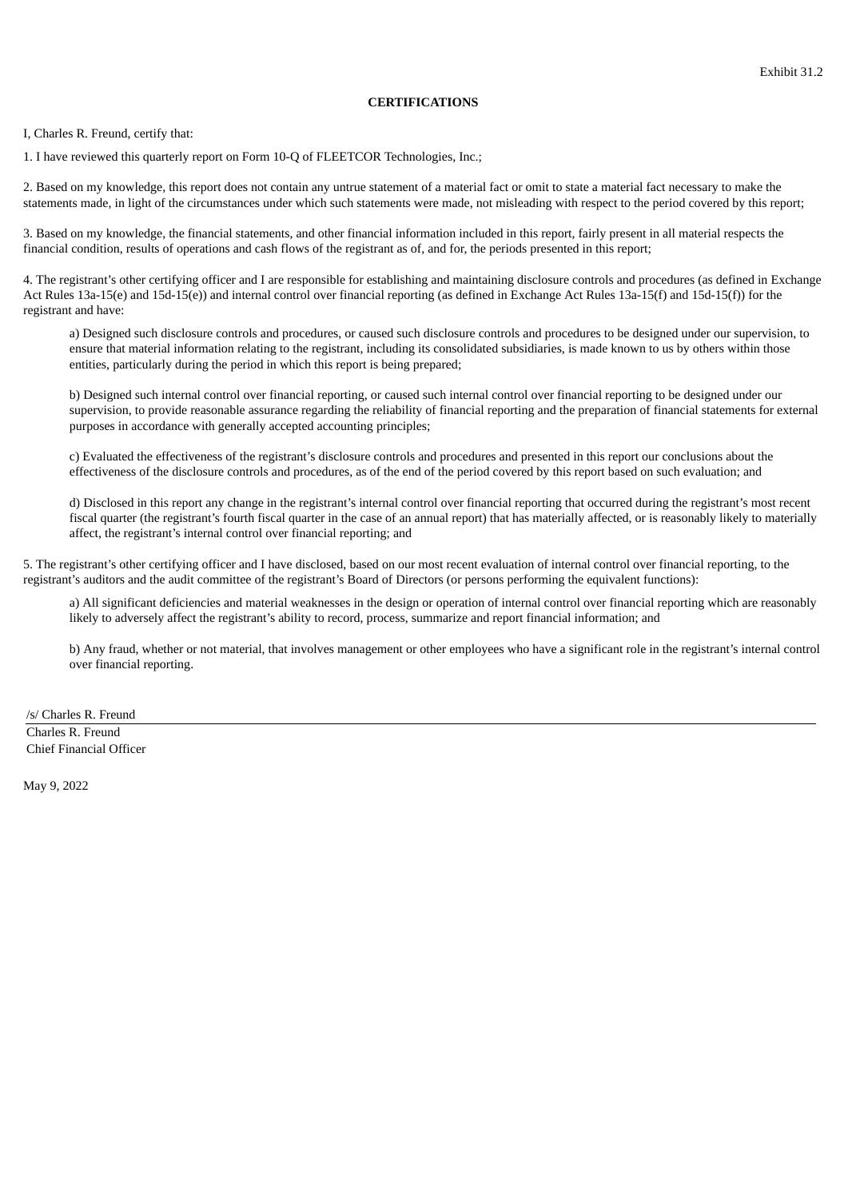#### **CERTIFICATIONS**

<span id="page-62-0"></span>I, Charles R. Freund, certify that:

1. I have reviewed this quarterly report on Form 10-Q of FLEETCOR Technologies, Inc.;

2. Based on my knowledge, this report does not contain any untrue statement of a material fact or omit to state a material fact necessary to make the statements made, in light of the circumstances under which such statements were made, not misleading with respect to the period covered by this report;

3. Based on my knowledge, the financial statements, and other financial information included in this report, fairly present in all material respects the financial condition, results of operations and cash flows of the registrant as of, and for, the periods presented in this report;

4. The registrant's other certifying officer and I are responsible for establishing and maintaining disclosure controls and procedures (as defined in Exchange Act Rules 13a-15(e) and 15d-15(e)) and internal control over financial reporting (as defined in Exchange Act Rules 13a-15(f) and 15d-15(f)) for the registrant and have:

a) Designed such disclosure controls and procedures, or caused such disclosure controls and procedures to be designed under our supervision, to ensure that material information relating to the registrant, including its consolidated subsidiaries, is made known to us by others within those entities, particularly during the period in which this report is being prepared;

b) Designed such internal control over financial reporting, or caused such internal control over financial reporting to be designed under our supervision, to provide reasonable assurance regarding the reliability of financial reporting and the preparation of financial statements for external purposes in accordance with generally accepted accounting principles;

c) Evaluated the effectiveness of the registrant's disclosure controls and procedures and presented in this report our conclusions about the effectiveness of the disclosure controls and procedures, as of the end of the period covered by this report based on such evaluation; and

d) Disclosed in this report any change in the registrant's internal control over financial reporting that occurred during the registrant's most recent fiscal quarter (the registrant's fourth fiscal quarter in the case of an annual report) that has materially affected, or is reasonably likely to materially affect, the registrant's internal control over financial reporting; and

5. The registrant's other certifying officer and I have disclosed, based on our most recent evaluation of internal control over financial reporting, to the registrant's auditors and the audit committee of the registrant's Board of Directors (or persons performing the equivalent functions):

a) All significant deficiencies and material weaknesses in the design or operation of internal control over financial reporting which are reasonably likely to adversely affect the registrant's ability to record, process, summarize and report financial information; and

b) Any fraud, whether or not material, that involves management or other employees who have a significant role in the registrant's internal control over financial reporting.

/s/ Charles R. Freund Charles R. Freund Chief Financial Officer

May 9, 2022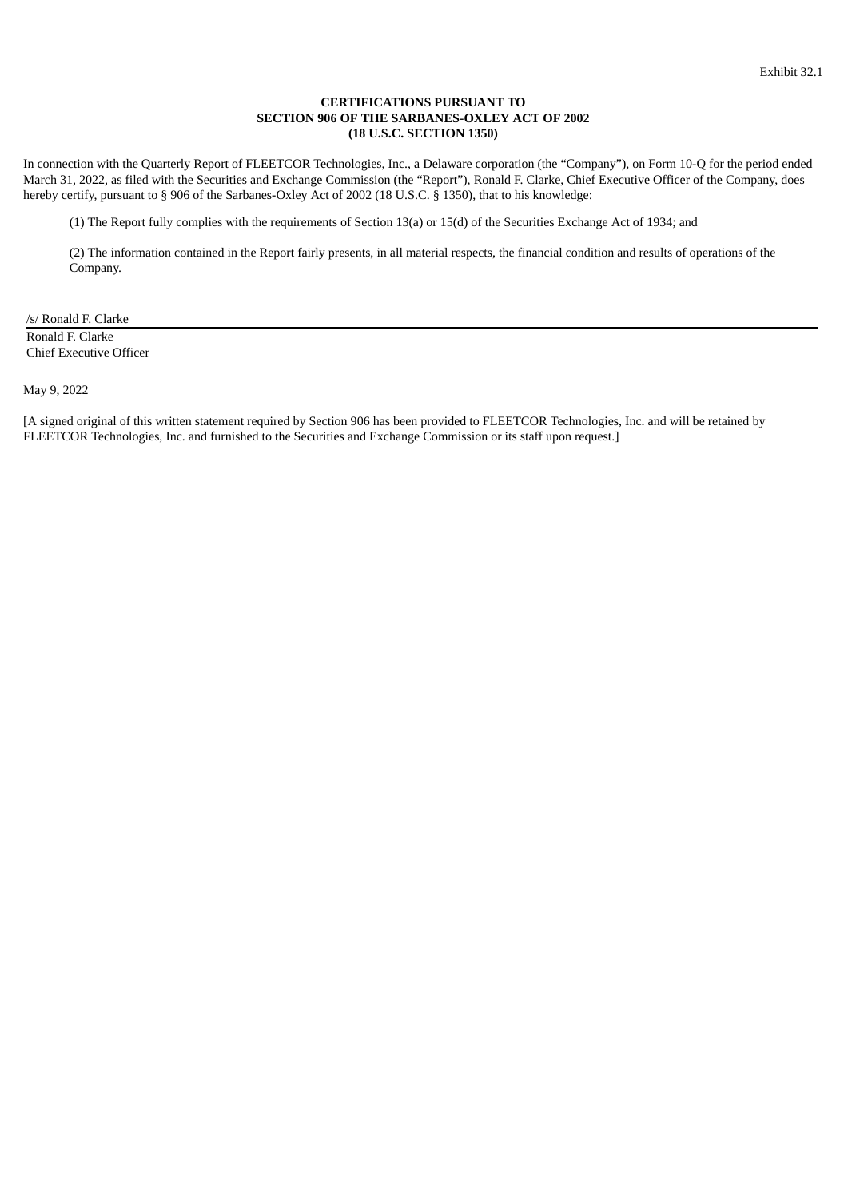#### **CERTIFICATIONS PURSUANT TO SECTION 906 OF THE SARBANES-OXLEY ACT OF 2002 (18 U.S.C. SECTION 1350)**

<span id="page-63-0"></span>In connection with the Quarterly Report of FLEETCOR Technologies, Inc., a Delaware corporation (the "Company"), on Form 10-Q for the period ended March 31, 2022, as filed with the Securities and Exchange Commission (the "Report"), Ronald F. Clarke, Chief Executive Officer of the Company, does hereby certify, pursuant to § 906 of the Sarbanes-Oxley Act of 2002 (18 U.S.C. § 1350), that to his knowledge:

(1) The Report fully complies with the requirements of Section 13(a) or 15(d) of the Securities Exchange Act of 1934; and

(2) The information contained in the Report fairly presents, in all material respects, the financial condition and results of operations of the Company.

/s/ Ronald F. Clarke Ronald F. Clarke Chief Executive Officer

May 9, 2022

[A signed original of this written statement required by Section 906 has been provided to FLEETCOR Technologies, Inc. and will be retained by FLEETCOR Technologies, Inc. and furnished to the Securities and Exchange Commission or its staff upon request.]